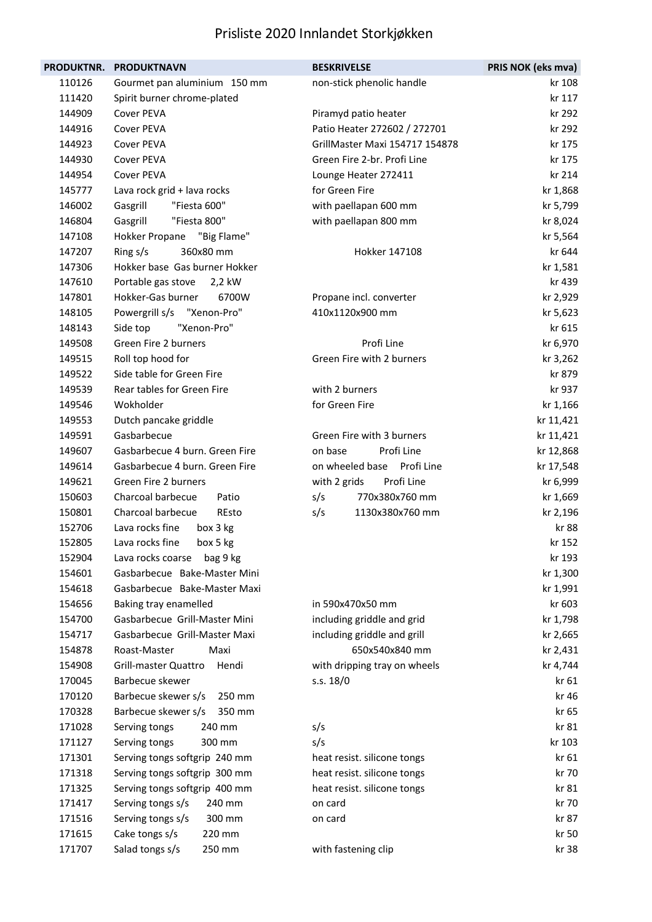| <b>PRODUKTNR.</b> | <b>PRODUKTNAVN</b>             | <b>BESKRIVELSE</b>             | PRIS NOK (eks mva) |
|-------------------|--------------------------------|--------------------------------|--------------------|
| 110126            | Gourmet pan aluminium 150 mm   | non-stick phenolic handle      | kr 108             |
| 111420            | Spirit burner chrome-plated    |                                | kr 117             |
| 144909            | Cover PEVA                     | Piramyd patio heater           | kr 292             |
| 144916            | Cover PEVA                     | Patio Heater 272602 / 272701   | kr 292             |
| 144923            | Cover PEVA                     | GrillMaster Maxi 154717 154878 | kr 175             |
| 144930            | Cover PEVA                     | Green Fire 2-br. Profi Line    | kr 175             |
| 144954            | Cover PEVA                     | Lounge Heater 272411           | kr 214             |
| 145777            | Lava rock grid + lava rocks    | for Green Fire                 | kr 1,868           |
| 146002            | "Fiesta 600"<br>Gasgrill       | with paellapan 600 mm          | kr 5,799           |
| 146804            | Gasgrill<br>"Fiesta 800"       | with paellapan 800 mm          | kr 8,024           |
| 147108            | "Big Flame"<br>Hokker Propane  |                                | kr 5,564           |
| 147207            | Ring s/s<br>360x80 mm          | Hokker 147108                  | kr 644             |
| 147306            | Hokker base Gas burner Hokker  |                                | kr 1,581           |
| 147610            | Portable gas stove<br>2,2 kW   |                                | kr 439             |
| 147801            | Hokker-Gas burner<br>6700W     | Propane incl. converter        | kr 2,929           |
| 148105            | Powergrill s/s "Xenon-Pro"     | 410x1120x900 mm                | kr 5,623           |
| 148143            | Side top<br>"Xenon-Pro"        |                                | kr 615             |
| 149508            | Green Fire 2 burners           | Profi Line                     | kr 6,970           |
| 149515            | Roll top hood for              | Green Fire with 2 burners      | kr 3,262           |
| 149522            | Side table for Green Fire      |                                | kr 879             |
| 149539            | Rear tables for Green Fire     | with 2 burners                 | kr 937             |
| 149546            | Wokholder                      | for Green Fire                 | kr 1,166           |
| 149553            | Dutch pancake griddle          |                                | kr 11,421          |
| 149591            | Gasbarbecue                    | Green Fire with 3 burners      | kr 11,421          |
| 149607            | Gasbarbecue 4 burn. Green Fire | on base<br>Profi Line          | kr 12,868          |
| 149614            | Gasbarbecue 4 burn. Green Fire | on wheeled base<br>Profi Line  | kr 17,548          |
| 149621            | Green Fire 2 burners           | with 2 grids<br>Profi Line     | kr 6,999           |
| 150603            | Charcoal barbecue<br>Patio     | s/s<br>770x380x760 mm          | kr 1,669           |
| 150801            | Charcoal barbecue<br>REsto     | s/s<br>1130x380x760 mm         | kr 2,196           |
| 152706            | Lava rocks fine<br>box 3 kg    |                                | kr 88              |
| 152805            | Lava rocks fine<br>box 5 kg    |                                | kr 152             |
| 152904            | Lava rocks coarse<br>bag 9 kg  |                                | kr 193             |
| 154601            | Gasbarbecue Bake-Master Mini   |                                | kr 1,300           |
| 154618            | Gasbarbecue Bake-Master Maxi   |                                | kr 1,991           |
| 154656            | Baking tray enamelled          | in 590x470x50 mm               | kr 603             |
| 154700            | Gasbarbecue Grill-Master Mini  | including griddle and grid     | kr 1,798           |
| 154717            | Gasbarbecue Grill-Master Maxi  | including griddle and grill    | kr 2,665           |
| 154878            | Roast-Master<br>Maxi           | 650x540x840 mm                 | kr 2,431           |
| 154908            | Grill-master Quattro<br>Hendi  | with dripping tray on wheels   | kr 4,744           |
| 170045            | Barbecue skewer                | s.s. 18/0                      | kr 61              |
| 170120            | Barbecue skewer s/s<br>250 mm  |                                | kr 46              |
| 170328            | Barbecue skewer s/s<br>350 mm  |                                | kr 65              |
| 171028            | Serving tongs<br>240 mm        | s/s                            | kr 81              |
| 171127            | 300 mm<br>Serving tongs        | s/s                            | kr 103             |
| 171301            | Serving tongs softgrip 240 mm  | heat resist. silicone tongs    | kr 61              |
| 171318            | Serving tongs softgrip 300 mm  | heat resist. silicone tongs    | kr 70              |
| 171325            | Serving tongs softgrip 400 mm  | heat resist. silicone tongs    | kr 81              |
| 171417            | Serving tongs s/s<br>240 mm    | on card                        | kr 70              |
| 171516            | 300 mm<br>Serving tongs s/s    | on card                        | kr 87              |
| 171615            | Cake tongs s/s<br>220 mm       |                                | kr 50              |
| 171707            | Salad tongs s/s<br>250 mm      | with fastening clip            | kr 38              |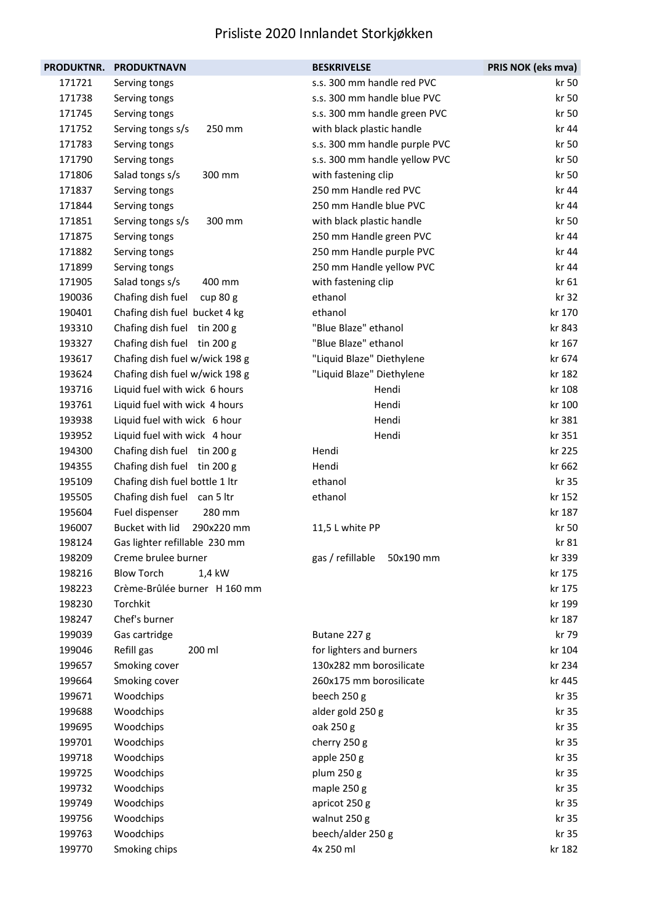| <b>PRODUKTNR.</b> | <b>PRODUKTNAVN</b>              | <b>BESKRIVELSE</b>            | PRIS NOK (eks mva) |
|-------------------|---------------------------------|-------------------------------|--------------------|
| 171721            | Serving tongs                   | s.s. 300 mm handle red PVC    | kr 50              |
| 171738            | Serving tongs                   | s.s. 300 mm handle blue PVC   | kr 50              |
| 171745            | Serving tongs                   | s.s. 300 mm handle green PVC  | kr 50              |
| 171752            | 250 mm<br>Serving tongs s/s     | with black plastic handle     | kr 44              |
| 171783            | Serving tongs                   | s.s. 300 mm handle purple PVC | kr 50              |
| 171790            | Serving tongs                   | s.s. 300 mm handle yellow PVC | kr 50              |
| 171806            | 300 mm<br>Salad tongs s/s       | with fastening clip           | kr 50              |
| 171837            | Serving tongs                   | 250 mm Handle red PVC         | kr 44              |
| 171844            | Serving tongs                   | 250 mm Handle blue PVC        | kr 44              |
| 171851            | 300 mm<br>Serving tongs s/s     | with black plastic handle     | kr 50              |
| 171875            | Serving tongs                   | 250 mm Handle green PVC       | kr 44              |
| 171882            | Serving tongs                   | 250 mm Handle purple PVC      | kr 44              |
| 171899            | Serving tongs                   | 250 mm Handle yellow PVC      | kr 44              |
| 171905            | Salad tongs s/s<br>400 mm       | with fastening clip           | kr 61              |
| 190036            | Chafing dish fuel<br>cup $80 g$ | ethanol                       | kr 32              |
| 190401            | Chafing dish fuel bucket 4 kg   | ethanol                       | kr 170             |
| 193310            | Chafing dish fuel tin 200 g     | "Blue Blaze" ethanol          | kr 843             |
| 193327            | Chafing dish fuel tin 200 g     | "Blue Blaze" ethanol          | kr 167             |
| 193617            | Chafing dish fuel w/wick 198 g  | "Liquid Blaze" Diethylene     | kr 674             |
| 193624            | Chafing dish fuel w/wick 198 g  | "Liquid Blaze" Diethylene     | kr 182             |
| 193716            | Liquid fuel with wick 6 hours   | Hendi                         | kr 108             |
| 193761            | Liquid fuel with wick 4 hours   | Hendi                         | kr 100             |
| 193938            | Liquid fuel with wick 6 hour    | Hendi                         | kr 381             |
| 193952            | Liquid fuel with wick 4 hour    | Hendi                         | kr 351             |
| 194300            | Chafing dish fuel tin 200 g     | Hendi                         | kr 225             |
| 194355            | Chafing dish fuel tin 200 g     | Hendi                         | kr 662             |
| 195109            | Chafing dish fuel bottle 1 ltr  | ethanol                       | kr 35              |
| 195505            | Chafing dish fuel can 5 ltr     | ethanol                       | kr 152             |
| 195604            | Fuel dispenser<br>280 mm        |                               | kr 187             |
| 196007            | Bucket with lid<br>290x220 mm   | 11,5 L white PP               | kr 50              |
| 198124            | Gas lighter refillable 230 mm   |                               | kr 81              |
| 198209            | Creme brulee burner             | gas / refillable<br>50x190 mm | kr 339             |
| 198216            | <b>Blow Torch</b><br>1,4 kW     |                               | kr 175             |
| 198223            | Crème-Brûlée burner H 160 mm    |                               | kr 175             |
| 198230            | Torchkit                        |                               | kr 199             |
| 198247            | Chef's burner                   |                               | kr 187             |
| 199039            | Gas cartridge                   | Butane 227 g                  | kr 79              |
| 199046            | Refill gas<br>200 ml            | for lighters and burners      | kr 104             |
| 199657            | Smoking cover                   | 130x282 mm borosilicate       | kr 234             |
| 199664            | Smoking cover                   | 260x175 mm borosilicate       | kr 445             |
| 199671            | Woodchips                       | beech 250 g                   | kr 35              |
| 199688            | Woodchips                       | alder gold 250 g              | kr 35              |
| 199695            | Woodchips                       | oak 250 g                     | kr 35              |
| 199701            | Woodchips                       | cherry 250 g                  | kr 35              |
| 199718            | Woodchips                       | apple 250 g                   | kr 35              |
| 199725            | Woodchips                       | plum 250 g                    | kr 35              |
| 199732            | Woodchips                       | maple 250 g                   | kr 35              |
| 199749            | Woodchips                       | apricot 250 g                 | kr 35              |
| 199756            | Woodchips                       | walnut 250 g                  | kr 35              |
| 199763            | Woodchips                       | beech/alder 250 g             | kr 35              |
| 199770            | Smoking chips                   | 4x 250 ml                     | kr 182             |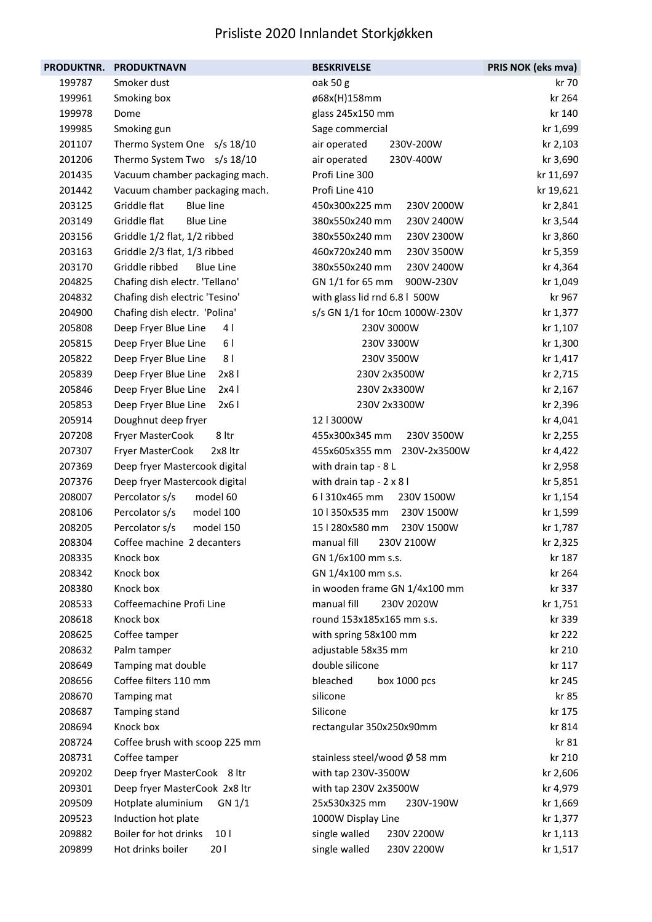| <b>PRODUKTNR.</b> | <b>PRODUKTNAVN</b>                       | <b>BESKRIVELSE</b>             | PRIS NOK (eks mva) |
|-------------------|------------------------------------------|--------------------------------|--------------------|
| 199787            | Smoker dust                              | oak 50 g                       | kr 70              |
| 199961            | Smoking box                              | ø68x(H)158mm                   | kr 264             |
| 199978            | Dome                                     | glass 245x150 mm               | kr 140             |
| 199985            | Smoking gun                              | Sage commercial                | kr 1,699           |
| 201107            | Thermo System One s/s 18/10              | 230V-200W<br>air operated      | kr 2,103           |
| 201206            | Thermo System Two s/s 18/10              | air operated<br>230V-400W      | kr 3,690           |
| 201435            | Vacuum chamber packaging mach.           | Profi Line 300                 | kr 11,697          |
| 201442            | Vacuum chamber packaging mach.           | Profi Line 410                 | kr 19,621          |
| 203125            | Griddle flat<br><b>Blue line</b>         | 450x300x225 mm<br>230V 2000W   | kr 2,841           |
| 203149            | Griddle flat<br><b>Blue Line</b>         | 380x550x240 mm<br>230V 2400W   | kr 3,544           |
| 203156            | Griddle 1/2 flat, 1/2 ribbed             | 380x550x240 mm<br>230V 2300W   | kr 3,860           |
| 203163            | Griddle 2/3 flat, 1/3 ribbed             | 460x720x240 mm<br>230V 3500W   | kr 5,359           |
| 203170            | Griddle ribbed<br><b>Blue Line</b>       | 380x550x240 mm<br>230V 2400W   | kr 4,364           |
| 204825            | Chafing dish electr. 'Tellano'           | GN 1/1 for 65 mm<br>900W-230V  | kr 1,049           |
| 204832            | Chafing dish electric 'Tesino'           | with glass lid rnd 6.8   500W  | kr 967             |
| 204900            | Chafing dish electr. 'Polina'            | s/s GN 1/1 for 10cm 1000W-230V | kr 1,377           |
| 205808            | 4<br>Deep Fryer Blue Line                | 230V 3000W                     | kr 1,107           |
| 205815            | 61<br>Deep Fryer Blue Line               | 230V 3300W                     | kr 1,300           |
| 205822            | 8 <sub>1</sub><br>Deep Fryer Blue Line   | 230V 3500W                     | kr 1,417           |
| 205839            | 2x8<br>Deep Fryer Blue Line              | 230V 2x3500W                   | kr 2,715           |
| 205846            | 2x4<br>Deep Fryer Blue Line              | 230V 2x3300W                   | kr 2,167           |
| 205853            | Deep Fryer Blue Line<br>2x61             | 230V 2x3300W                   | kr 2,396           |
| 205914            | Doughnut deep fryer                      | 12   3000W                     | kr 4,041           |
| 207208            | 8 ltr<br>Fryer MasterCook                | 455x300x345 mm<br>230V 3500W   | kr 2,255           |
| 207307            | Fryer MasterCook<br>2x8 ltr              | 455x605x355 mm<br>230V-2x3500W | kr 4,422           |
| 207369            | Deep fryer Mastercook digital            | with drain tap - 8 L           | kr 2,958           |
| 207376            | Deep fryer Mastercook digital            | with drain tap - 2 x 8 l       | kr 5,851           |
| 208007            | Percolator s/s<br>model 60               | 6   310x465 mm<br>230V 1500W   | kr 1,154           |
| 208106            | Percolator s/s<br>model 100              | 10   350x535 mm<br>230V 1500W  | kr 1,599           |
| 208205            | Percolator s/s<br>model 150              | 15   280x580 mm<br>230V 1500W  | kr 1,787           |
| 208304            | Coffee machine 2 decanters               | manual fill<br>230V 2100W      | kr 2,325           |
| 208335            | Knock box                                | GN 1/6x100 mm s.s.             | kr 187             |
| 208342            | Knock box                                | GN 1/4x100 mm s.s.             | kr 264             |
| 208380            | Knock box                                | in wooden frame GN 1/4x100 mm  | kr 337             |
| 208533            | Coffeemachine Profi Line                 | manual fill<br>230V 2020W      | kr 1,751           |
| 208618            | Knock box                                | round 153x185x165 mm s.s.      | kr 339             |
| 208625            | Coffee tamper                            | with spring 58x100 mm          | kr 222             |
| 208632            | Palm tamper                              | adjustable 58x35 mm            | kr 210             |
| 208649            | Tamping mat double                       | double silicone                | kr 117             |
| 208656            | Coffee filters 110 mm                    | bleached<br>box 1000 pcs       | kr 245             |
| 208670            | Tamping mat                              | silicone                       | kr 85              |
| 208687            | Tamping stand                            | Silicone                       | kr 175             |
| 208694            | Knock box                                | rectangular 350x250x90mm       | kr 814             |
| 208724            | Coffee brush with scoop 225 mm           |                                | kr 81              |
| 208731            | Coffee tamper                            | stainless steel/wood Ø 58 mm   | kr 210             |
| 209202            | Deep fryer MasterCook 8 ltr              | with tap 230V-3500W            | kr 2,606           |
| 209301            | Deep fryer MasterCook 2x8 ltr            | with tap 230V 2x3500W          | kr 4,979           |
| 209509            | Hotplate aluminium<br>GN 1/1             | 25x530x325 mm<br>230V-190W     | kr 1,669           |
| 209523            | Induction hot plate                      | 1000W Display Line             | kr 1,377           |
| 209882            | Boiler for hot drinks<br>10 <sub>1</sub> | single walled<br>230V 2200W    | kr 1,113           |
| 209899            | Hot drinks boiler<br>201                 | single walled<br>230V 2200W    | kr 1,517           |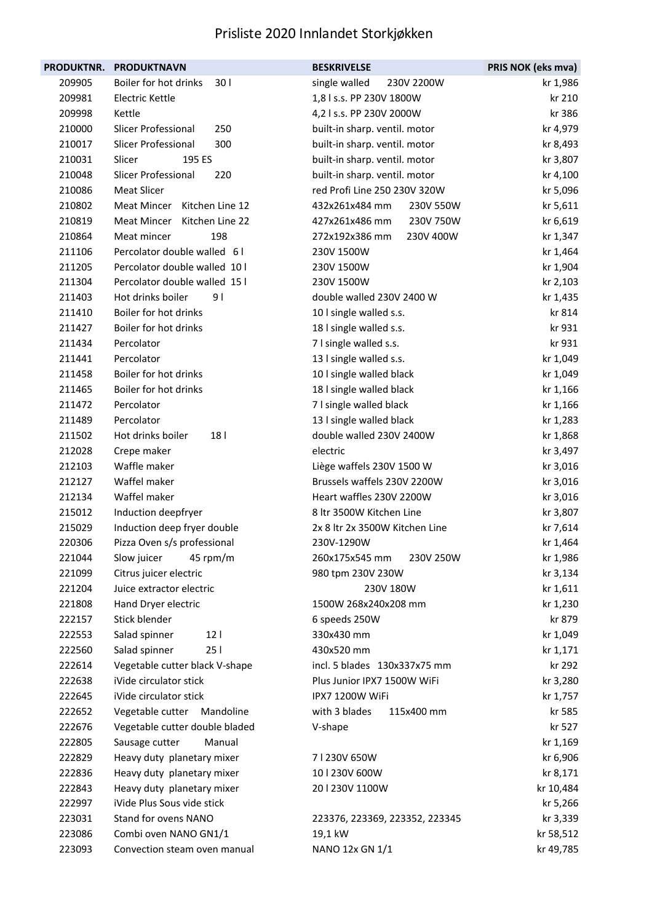| <b>PRODUKTNR.</b> | <b>PRODUKTNAVN</b>               | <b>BESKRIVELSE</b>             | PRIS NOK (eks mva) |
|-------------------|----------------------------------|--------------------------------|--------------------|
| 209905            | Boiler for hot drinks<br>301     | single walled<br>230V 2200W    | kr 1,986           |
| 209981            | Electric Kettle                  | 1,8 l s.s. PP 230V 1800W       | kr 210             |
| 209998            | Kettle                           | 4,2 l s.s. PP 230V 2000W       | kr 386             |
| 210000            | Slicer Professional<br>250       | built-in sharp. ventil. motor  | kr 4,979           |
| 210017            | Slicer Professional<br>300       | built-in sharp. ventil. motor  | kr 8,493           |
| 210031            | 195 ES<br>Slicer                 | built-in sharp. ventil. motor  | kr 3,807           |
| 210048            | Slicer Professional<br>220       | built-in sharp. ventil. motor  | kr 4,100           |
| 210086            | <b>Meat Slicer</b>               | red Profi Line 250 230V 320W   | kr 5,096           |
| 210802            | Meat Mincer Kitchen Line 12      | 432x261x484 mm<br>230V 550W    | kr 5,611           |
| 210819            | Meat Mincer Kitchen Line 22      | 427x261x486 mm<br>230V 750W    | kr 6,619           |
| 210864            | Meat mincer<br>198               | 272x192x386 mm<br>230V 400W    | kr 1,347           |
| 211106            | Percolator double walled 61      | 230V 1500W                     | kr 1,464           |
| 211205            | Percolator double walled 10 l    | 230V 1500W                     | kr 1,904           |
| 211304            | Percolator double walled 15 l    | 230V 1500W                     | kr 2,103           |
| 211403            | Hot drinks boiler<br>9 I         | double walled 230V 2400 W      | kr 1,435           |
| 211410            | Boiler for hot drinks            | 10 I single walled s.s.        | kr 814             |
| 211427            | Boiler for hot drinks            | 18 I single walled s.s.        | kr 931             |
| 211434            | Percolator                       | 7 I single walled s.s.         | kr 931             |
| 211441            | Percolator                       | 13 I single walled s.s.        | kr 1,049           |
| 211458            | Boiler for hot drinks            | 10 I single walled black       | kr 1,049           |
| 211465            | Boiler for hot drinks            | 18 I single walled black       | kr 1,166           |
| 211472            | Percolator                       | 7 I single walled black        | kr 1,166           |
| 211489            | Percolator                       | 13 I single walled black       | kr 1,283           |
| 211502            | Hot drinks boiler<br>18          | double walled 230V 2400W       | kr 1,868           |
| 212028            | Crepe maker                      | electric                       | kr 3,497           |
| 212103            | Waffle maker                     | Liège waffels 230V 1500 W      | kr 3,016           |
| 212127            | Waffel maker                     | Brussels waffels 230V 2200W    | kr 3,016           |
| 212134            | Waffel maker                     | Heart waffles 230V 2200W       | kr 3,016           |
| 215012            | Induction deepfryer              | 8 ltr 3500W Kitchen Line       | kr 3,807           |
| 215029            | Induction deep fryer double      | 2x 8 ltr 2x 3500W Kitchen Line | kr 7,614           |
| 220306            | Pizza Oven s/s professional      | 230V-1290W                     | kr 1,464           |
| 221044            | Slow juicer<br>45 rpm/m          | 260x175x545 mm<br>230V 250W    | kr 1,986           |
| 221099            | Citrus juicer electric           | 980 tpm 230V 230W              | kr 3,134           |
| 221204            | Juice extractor electric         | 230V 180W                      | kr 1,611           |
| 221808            | Hand Dryer electric              | 1500W 268x240x208 mm           | kr 1,230           |
| 222157            | Stick blender                    | 6 speeds 250W                  | kr 879             |
| 222553            | Salad spinner<br>12 <sub>1</sub> | 330x430 mm                     | kr 1,049           |
| 222560            | 251<br>Salad spinner             | 430x520 mm                     | kr 1,171           |
| 222614            | Vegetable cutter black V-shape   | incl. 5 blades 130x337x75 mm   | kr 292             |
| 222638            | iVide circulator stick           | Plus Junior IPX7 1500W WiFi    | kr 3,280           |
| 222645            | iVide circulator stick           | IPX7 1200W WiFi                | kr 1,757           |
| 222652            | Vegetable cutter Mandoline       | with 3 blades<br>115x400 mm    | kr 585             |
| 222676            | Vegetable cutter double bladed   | V-shape                        | kr 527             |
| 222805            | Manual<br>Sausage cutter         |                                | kr 1,169           |
| 222829            | Heavy duty planetary mixer       | 71230V 650W                    | kr 6,906           |
| 222836            | Heavy duty planetary mixer       | 10   230V 600W                 | kr 8,171           |
| 222843            | Heavy duty planetary mixer       | 201230V 1100W                  | kr 10,484          |
| 222997            | iVide Plus Sous vide stick       |                                | kr 5,266           |
| 223031            | Stand for ovens NANO             | 223376, 223369, 223352, 223345 | kr 3,339           |
| 223086            | Combi oven NANO GN1/1            | 19,1 kW                        | kr 58,512          |
| 223093            | Convection steam oven manual     | NANO 12x GN 1/1                | kr 49,785          |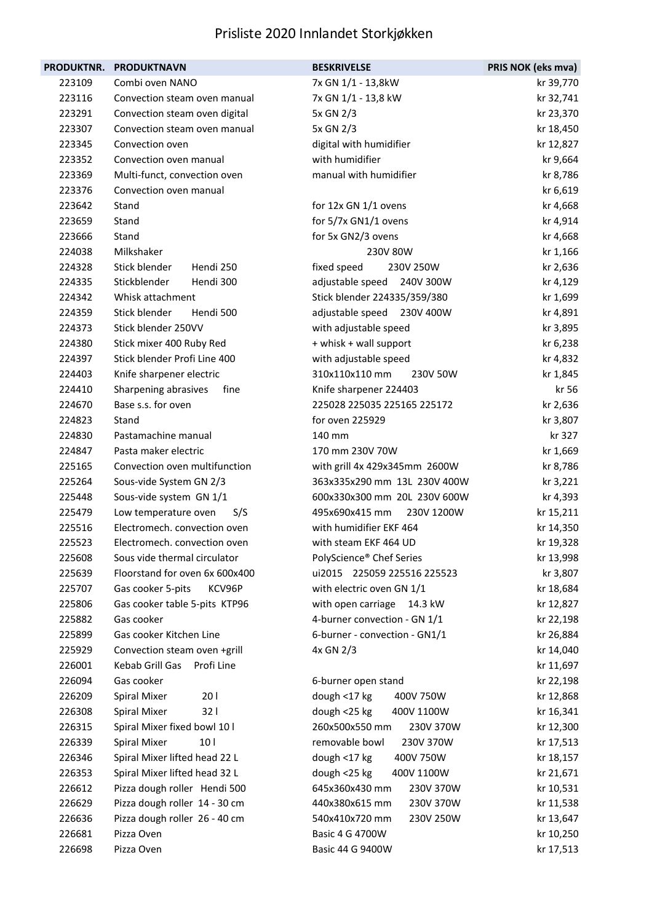|        | PRODUKTNR. PRODUKTNAVN                 | <b>BESKRIVELSE</b>            | PRIS NOK (eks mva) |
|--------|----------------------------------------|-------------------------------|--------------------|
| 223109 | Combi oven NANO                        | 7x GN 1/1 - 13,8kW            | kr 39,770          |
| 223116 | Convection steam oven manual           | 7x GN 1/1 - 13,8 kW           | kr 32,741          |
| 223291 | Convection steam oven digital          | 5x GN 2/3                     | kr 23,370          |
| 223307 | Convection steam oven manual           | 5x GN 2/3                     | kr 18,450          |
| 223345 | Convection oven                        | digital with humidifier       | kr 12,827          |
| 223352 | Convection oven manual                 | with humidifier               | kr 9,664           |
| 223369 | Multi-funct, convection oven           | manual with humidifier        | kr 8,786           |
| 223376 | Convection oven manual                 |                               | kr 6,619           |
| 223642 | Stand                                  | for 12x GN 1/1 ovens          | kr 4,668           |
| 223659 | Stand                                  | for 5/7x GN1/1 ovens          | kr 4,914           |
| 223666 | Stand                                  | for 5x GN2/3 ovens            | kr 4,668           |
| 224038 | Milkshaker                             | 230V 80W                      | kr 1,166           |
| 224328 | Stick blender<br>Hendi 250             | fixed speed<br>230V 250W      | kr 2,636           |
| 224335 | Stickblender<br>Hendi 300              | adjustable speed<br>240V 300W | kr 4,129           |
| 224342 | Whisk attachment                       | Stick blender 224335/359/380  | kr 1,699           |
| 224359 | Stick blender<br>Hendi 500             | adjustable speed 230V 400W    | kr 4,891           |
| 224373 | Stick blender 250VV                    | with adjustable speed         | kr 3,895           |
| 224380 | Stick mixer 400 Ruby Red               | + whisk + wall support        | kr 6,238           |
| 224397 | Stick blender Profi Line 400           | with adjustable speed         | kr 4,832           |
| 224403 | Knife sharpener electric               | 310x110x110 mm<br>230V 50W    | kr 1,845           |
| 224410 | Sharpening abrasives<br>fine           | Knife sharpener 224403        | kr 56              |
| 224670 | Base s.s. for oven                     | 225028 225035 225165 225172   | kr 2,636           |
| 224823 | Stand                                  | for oven 225929               | kr 3,807           |
| 224830 | Pastamachine manual                    | 140 mm                        | kr 327             |
| 224847 | Pasta maker electric                   | 170 mm 230V 70W               | kr 1,669           |
| 225165 | Convection oven multifunction          | with grill 4x 429x345mm 2600W | kr 8,786           |
| 225264 | Sous-vide System GN 2/3                | 363x335x290 mm 13L 230V 400W  | kr 3,221           |
| 225448 | Sous-vide system GN 1/1                | 600x330x300 mm 20L 230V 600W  | kr 4,393           |
| 225479 | Low temperature oven<br>S/S            | 495x690x415 mm<br>230V 1200W  | kr 15,211          |
| 225516 | Electromech. convection oven           | with humidifier EKF 464       | kr 14,350          |
| 225523 | Electromech. convection oven           | with steam EKF 464 UD         | kr 19,328          |
| 225608 | Sous vide thermal circulator           | PolyScience® Chef Series      | kr 13,998          |
| 225639 | Floorstand for oven 6x 600x400         | ui2015 225059 225516 225523   | kr 3,807           |
| 225707 | Gas cooker 5-pits<br>KCV96P            | with electric oven GN 1/1     | kr 18,684          |
| 225806 | Gas cooker table 5-pits KTP96          | with open carriage<br>14.3 kW | kr 12,827          |
| 225882 | Gas cooker                             | 4-burner convection - GN 1/1  | kr 22,198          |
| 225899 | Gas cooker Kitchen Line                | 6-burner - convection - GN1/1 | kr 26,884          |
| 225929 | Convection steam oven +grill           | 4x GN 2/3                     | kr 14,040          |
| 226001 | Kebab Grill Gas<br>Profi Line          |                               | kr 11,697          |
| 226094 | Gas cooker                             | 6-burner open stand           | kr 22,198          |
| 226209 | <b>Spiral Mixer</b><br>201             | dough <17 kg<br>400V 750W     | kr 12,868          |
| 226308 | <b>Spiral Mixer</b><br>321             | dough <25 kg<br>400V 1100W    | kr 16,341          |
| 226315 | Spiral Mixer fixed bowl 10 I           | 260x500x550 mm<br>230V 370W   | kr 12,300          |
| 226339 | <b>Spiral Mixer</b><br>10 <sub>1</sub> | removable bowl<br>230V 370W   | kr 17,513          |
| 226346 | Spiral Mixer lifted head 22 L          | dough <17 kg<br>400V 750W     | kr 18,157          |
| 226353 | Spiral Mixer lifted head 32 L          | dough <25 kg<br>400V 1100W    | kr 21,671          |
| 226612 | Pizza dough roller Hendi 500           | 645x360x430 mm<br>230V 370W   | kr 10,531          |
| 226629 | Pizza dough roller 14 - 30 cm          | 440x380x615 mm<br>230V 370W   | kr 11,538          |
| 226636 | Pizza dough roller 26 - 40 cm          | 540x410x720 mm<br>230V 250W   | kr 13,647          |
| 226681 | Pizza Oven                             | Basic 4 G 4700W               | kr 10,250          |
| 226698 | Pizza Oven                             | Basic 44 G 9400W              | kr 17,513          |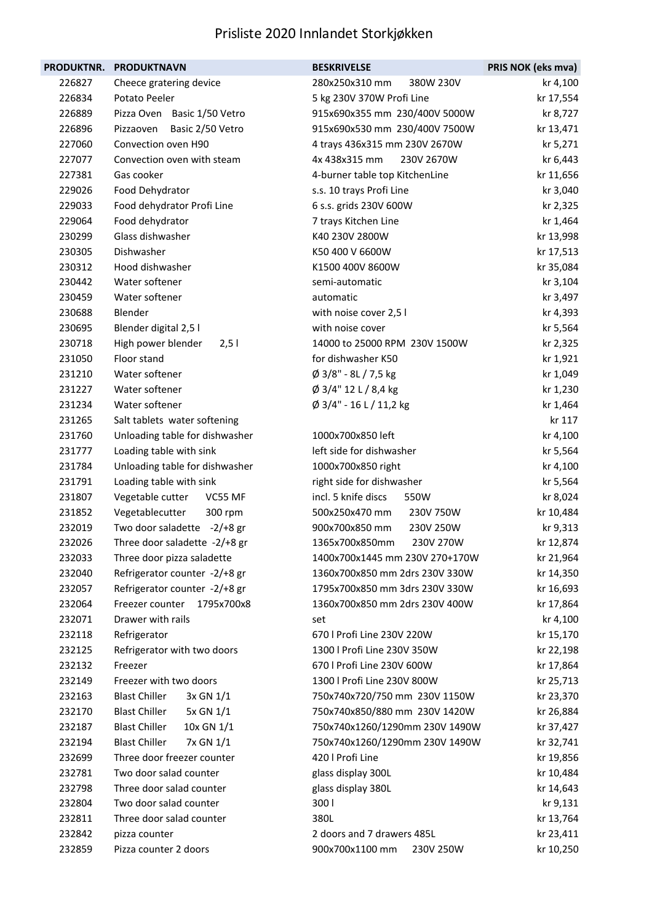| PRODUKTNR. | <b>PRODUKTNAVN</b>                    | <b>BESKRIVELSE</b>             | PRIS NOK (eks mva) |
|------------|---------------------------------------|--------------------------------|--------------------|
| 226827     | Cheece gratering device               | 280x250x310 mm<br>380W 230V    | kr 4,100           |
| 226834     | Potato Peeler                         | 5 kg 230V 370W Profi Line      | kr 17,554          |
| 226889     | Pizza Oven Basic 1/50 Vetro           | 915x690x355 mm 230/400V 5000W  | kr 8,727           |
| 226896     | Basic 2/50 Vetro<br>Pizzaoven         | 915x690x530 mm 230/400V 7500W  | kr 13,471          |
| 227060     | Convection oven H90                   | 4 trays 436x315 mm 230V 2670W  | kr 5,271           |
| 227077     | Convection oven with steam            | 4x 438x315 mm<br>230V 2670W    | kr 6,443           |
| 227381     | Gas cooker                            | 4-burner table top KitchenLine | kr 11,656          |
| 229026     | Food Dehydrator                       | s.s. 10 trays Profi Line       | kr 3,040           |
| 229033     | Food dehydrator Profi Line            | 6 s.s. grids 230V 600W         | kr 2,325           |
| 229064     | Food dehydrator                       | 7 trays Kitchen Line           | kr 1,464           |
| 230299     | Glass dishwasher                      | K40 230V 2800W                 | kr 13,998          |
| 230305     | Dishwasher                            | K50 400 V 6600W                | kr 17,513          |
| 230312     | Hood dishwasher                       | K1500 400V 8600W               | kr 35,084          |
| 230442     | Water softener                        | semi-automatic                 | kr 3,104           |
| 230459     | Water softener                        | automatic                      | kr 3,497           |
| 230688     | Blender                               | with noise cover 2,5 l         | kr 4,393           |
| 230695     | Blender digital 2,5 l                 | with noise cover               | kr 5,564           |
| 230718     | High power blender<br>2,51            | 14000 to 25000 RPM 230V 1500W  | kr 2,325           |
| 231050     | Floor stand                           | for dishwasher K50             | kr 1,921           |
| 231210     | Water softener                        | Ø 3/8" - 8L / 7,5 kg           | kr 1,049           |
| 231227     | Water softener                        | Ø 3/4" 12 L / 8,4 kg           | kr 1,230           |
| 231234     | Water softener                        | Ø 3/4" - 16 L / 11,2 kg        | kr 1,464           |
| 231265     | Salt tablets water softening          |                                | kr 117             |
| 231760     | Unloading table for dishwasher        | 1000x700x850 left              | kr 4,100           |
| 231777     | Loading table with sink               | left side for dishwasher       | kr 5,564           |
| 231784     | Unloading table for dishwasher        | 1000x700x850 right             | kr 4,100           |
| 231791     | Loading table with sink               | right side for dishwasher      | kr 5,564           |
| 231807     | Vegetable cutter<br>VC55 MF           | incl. 5 knife discs<br>550W    | kr 8,024           |
| 231852     | Vegetablecutter<br>300 rpm            | 500x250x470 mm<br>230V 750W    | kr 10,484          |
| 232019     | Two door saladette -2/+8 gr           | 900x700x850 mm<br>230V 250W    | kr 9,313           |
| 232026     | Three door saladette -2/+8 gr         | 1365x700x850mm<br>230V 270W    | kr 12,874          |
| 232033     | Three door pizza saladette            | 1400x700x1445 mm 230V 270+170W | kr 21,964          |
| 232040     | Refrigerator counter -2/+8 gr         | 1360x700x850 mm 2drs 230V 330W | kr 14,350          |
| 232057     | Refrigerator counter -2/+8 gr         | 1795x700x850 mm 3drs 230V 330W | kr 16,693          |
| 232064     | Freezer counter 1795x700x8            | 1360x700x850 mm 2drs 230V 400W | kr 17,864          |
| 232071     | Drawer with rails                     | set                            | kr 4,100           |
| 232118     | Refrigerator                          | 670   Profi Line 230V 220W     | kr 15,170          |
| 232125     | Refrigerator with two doors           | 1300   Profi Line 230V 350W    | kr 22,198          |
| 232132     | Freezer                               | 670   Profi Line 230V 600W     | kr 17,864          |
| 232149     | Freezer with two doors                | 1300   Profi Line 230V 800W    | kr 25,713          |
| 232163     | <b>Blast Chiller</b><br>$3x$ GN $1/1$ | 750x740x720/750 mm 230V 1150W  | kr 23,370          |
| 232170     | <b>Blast Chiller</b><br>5x GN 1/1     | 750x740x850/880 mm 230V 1420W  | kr 26,884          |
| 232187     | <b>Blast Chiller</b><br>10x GN 1/1    | 750x740x1260/1290mm 230V 1490W | kr 37,427          |
| 232194     | <b>Blast Chiller</b><br>7x GN 1/1     | 750x740x1260/1290mm 230V 1490W | kr 32,741          |
| 232699     | Three door freezer counter            | 420   Profi Line               | kr 19,856          |
| 232781     | Two door salad counter                | glass display 300L             | kr 10,484          |
| 232798     | Three door salad counter              | glass display 380L             | kr 14,643          |
| 232804     | Two door salad counter                | 300                            | kr 9,131           |
| 232811     | Three door salad counter              | 380L                           | kr 13,764          |
| 232842     | pizza counter                         | 2 doors and 7 drawers 485L     | kr 23,411          |
| 232859     | Pizza counter 2 doors                 | 900x700x1100 mm<br>230V 250W   | kr 10,250          |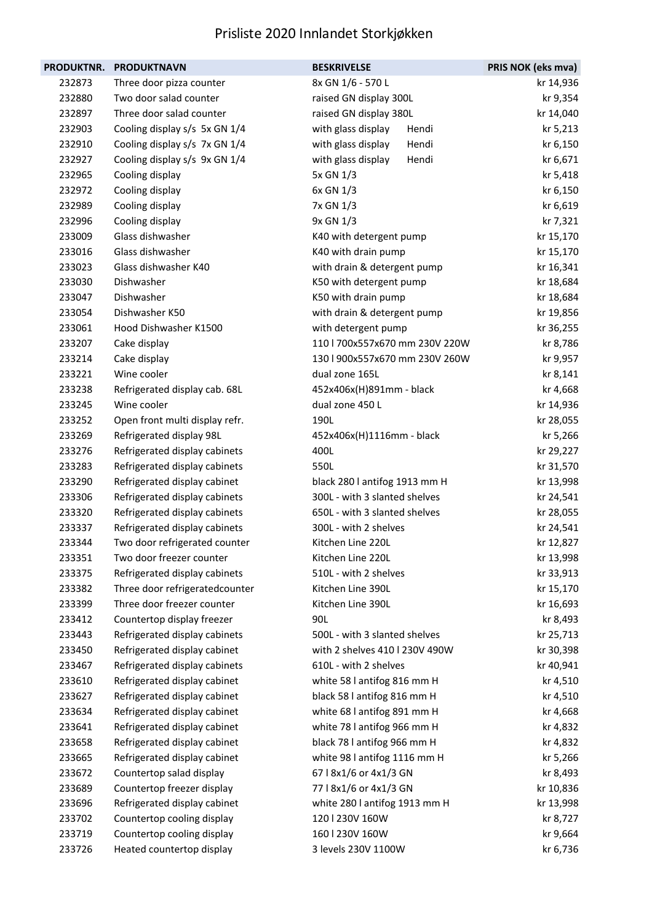| <b>PRODUKTNR.</b> | <b>PRODUKTNAVN</b>             | <b>BESKRIVELSE</b>             | PRIS NOK (eks mva) |
|-------------------|--------------------------------|--------------------------------|--------------------|
| 232873            | Three door pizza counter       | 8x GN 1/6 - 570 L              | kr 14,936          |
| 232880            | Two door salad counter         | raised GN display 300L         | kr 9,354           |
| 232897            | Three door salad counter       | raised GN display 380L         | kr 14,040          |
| 232903            | Cooling display s/s 5x GN 1/4  | with glass display<br>Hendi    | kr 5,213           |
| 232910            | Cooling display s/s 7x GN 1/4  | with glass display<br>Hendi    | kr 6,150           |
| 232927            | Cooling display s/s 9x GN 1/4  | with glass display<br>Hendi    | kr 6,671           |
| 232965            | Cooling display                | 5x GN 1/3                      | kr 5,418           |
| 232972            | Cooling display                | 6x GN 1/3                      | kr 6,150           |
| 232989            | Cooling display                | 7x GN 1/3                      | kr 6,619           |
| 232996            | Cooling display                | 9x GN 1/3                      | kr 7,321           |
| 233009            | Glass dishwasher               | K40 with detergent pump        | kr 15,170          |
| 233016            | Glass dishwasher               | K40 with drain pump            | kr 15,170          |
| 233023            | Glass dishwasher K40           | with drain & detergent pump    | kr 16,341          |
| 233030            | Dishwasher                     | K50 with detergent pump        | kr 18,684          |
| 233047            | Dishwasher                     | K50 with drain pump            | kr 18,684          |
| 233054            | Dishwasher K50                 | with drain & detergent pump    | kr 19,856          |
| 233061            | Hood Dishwasher K1500          | with detergent pump            | kr 36,255          |
| 233207            | Cake display                   | 110   700x557x670 mm 230V 220W | kr 8,786           |
| 233214            | Cake display                   | 130   900x557x670 mm 230V 260W | kr 9,957           |
| 233221            | Wine cooler                    | dual zone 165L                 | kr 8,141           |
| 233238            | Refrigerated display cab. 68L  | 452x406x(H)891mm - black       | kr 4,668           |
| 233245            | Wine cooler                    | dual zone 450 L                | kr 14,936          |
| 233252            | Open front multi display refr. | 190L                           | kr 28,055          |
| 233269            | Refrigerated display 98L       | 452x406x(H)1116mm - black      | kr 5,266           |
| 233276            | Refrigerated display cabinets  | 400L                           | kr 29,227          |
| 233283            | Refrigerated display cabinets  | 550L                           | kr 31,570          |
| 233290            | Refrigerated display cabinet   | black 280 I antifog 1913 mm H  | kr 13,998          |
| 233306            | Refrigerated display cabinets  | 300L - with 3 slanted shelves  | kr 24,541          |
| 233320            | Refrigerated display cabinets  | 650L - with 3 slanted shelves  | kr 28,055          |
| 233337            | Refrigerated display cabinets  | 300L - with 2 shelves          | kr 24,541          |
| 233344            | Two door refrigerated counter  | Kitchen Line 220L              | kr 12,827          |
| 233351            | Two door freezer counter       | Kitchen Line 220L              | kr 13,998          |
| 233375            | Refrigerated display cabinets  | 510L - with 2 shelves          | kr 33,913          |
| 233382            | Three door refrigeratedcounter | Kitchen Line 390L              | kr 15,170          |
| 233399            | Three door freezer counter     | Kitchen Line 390L              | kr 16,693          |
| 233412            | Countertop display freezer     | 90L                            | kr 8,493           |
| 233443            | Refrigerated display cabinets  | 500L - with 3 slanted shelves  | kr 25,713          |
| 233450            | Refrigerated display cabinet   | with 2 shelves 410   230V 490W | kr 30,398          |
| 233467            | Refrigerated display cabinets  | 610L - with 2 shelves          | kr 40,941          |
| 233610            | Refrigerated display cabinet   | white 58 I antifog 816 mm H    | kr 4,510           |
| 233627            | Refrigerated display cabinet   | black 58 l antifog 816 mm H    | kr 4,510           |
| 233634            | Refrigerated display cabinet   | white 68 I antifog 891 mm H    | kr 4,668           |
| 233641            | Refrigerated display cabinet   | white 78 I antifog 966 mm H    | kr 4,832           |
| 233658            | Refrigerated display cabinet   | black 78 I antifog 966 mm H    | kr 4,832           |
| 233665            | Refrigerated display cabinet   | white 98 I antifog 1116 mm H   | kr 5,266           |
| 233672            | Countertop salad display       | 67   8x1/6 or 4x1/3 GN         | kr 8,493           |
| 233689            | Countertop freezer display     | 77   8x1/6 or 4x1/3 GN         | kr 10,836          |
| 233696            | Refrigerated display cabinet   | white 280 I antifog 1913 mm H  | kr 13,998          |
| 233702            | Countertop cooling display     | 120   230V 160W                | kr 8,727           |
| 233719            | Countertop cooling display     | 160   230V 160W                | kr 9,664           |
| 233726            | Heated countertop display      | 3 levels 230V 1100W            | kr 6,736           |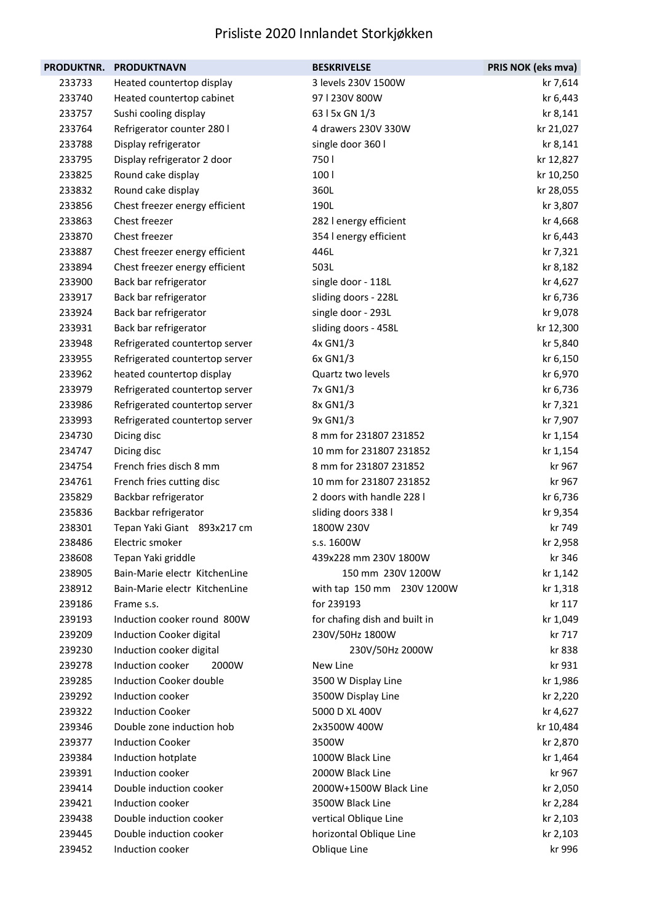| PRODUKTNR. | <b>PRODUKTNAVN</b>             | <b>BESKRIVELSE</b>            | PRIS NOK (eks mva) |
|------------|--------------------------------|-------------------------------|--------------------|
| 233733     | Heated countertop display      | 3 levels 230V 1500W           | kr 7,614           |
| 233740     | Heated countertop cabinet      | 97   230V 800W                | kr 6,443           |
| 233757     | Sushi cooling display          | 63   5x GN 1/3                | kr 8,141           |
| 233764     | Refrigerator counter 280 l     | 4 drawers 230V 330W           | kr 21,027          |
| 233788     | Display refrigerator           | single door 360 l             | kr 8,141           |
| 233795     | Display refrigerator 2 door    | 750 l                         | kr 12,827          |
| 233825     | Round cake display             | 100 l                         | kr 10,250          |
| 233832     | Round cake display             | 360L                          | kr 28,055          |
| 233856     | Chest freezer energy efficient | 190L                          | kr 3,807           |
| 233863     | Chest freezer                  | 282 l energy efficient        | kr 4,668           |
| 233870     | Chest freezer                  | 354 l energy efficient        | kr 6,443           |
| 233887     | Chest freezer energy efficient | 446L                          | kr 7,321           |
| 233894     | Chest freezer energy efficient | 503L                          | kr 8,182           |
| 233900     | Back bar refrigerator          | single door - 118L            | kr 4,627           |
| 233917     | Back bar refrigerator          | sliding doors - 228L          | kr 6,736           |
| 233924     | Back bar refrigerator          | single door - 293L            | kr 9,078           |
| 233931     | Back bar refrigerator          | sliding doors - 458L          | kr 12,300          |
| 233948     | Refrigerated countertop server | 4x GN1/3                      | kr 5,840           |
| 233955     | Refrigerated countertop server | 6x GN1/3                      | kr 6,150           |
| 233962     | heated countertop display      | Quartz two levels             | kr 6,970           |
| 233979     | Refrigerated countertop server | 7x GN1/3                      | kr 6,736           |
| 233986     | Refrigerated countertop server | 8x GN1/3                      | kr 7,321           |
| 233993     | Refrigerated countertop server | 9x GN1/3                      | kr 7,907           |
| 234730     | Dicing disc                    | 8 mm for 231807 231852        | kr 1,154           |
| 234747     | Dicing disc                    | 10 mm for 231807 231852       | kr 1,154           |
| 234754     | French fries disch 8 mm        | 8 mm for 231807 231852        | kr 967             |
| 234761     | French fries cutting disc      | 10 mm for 231807 231852       | kr 967             |
| 235829     | Backbar refrigerator           | 2 doors with handle 228 l     | kr 6,736           |
| 235836     | Backbar refrigerator           | sliding doors 338 l           | kr 9,354           |
| 238301     | Tepan Yaki Giant 893x217 cm    | 1800W 230V                    | kr 749             |
| 238486     | Electric smoker                | s.s. 1600W                    | kr 2,958           |
| 238608     | Tepan Yaki griddle             | 439x228 mm 230V 1800W         | kr 346             |
| 238905     | Bain-Marie electr KitchenLine  | 150 mm 230V 1200W             | kr 1,142           |
| 238912     | Bain-Marie electr KitchenLine  | with tap 150 mm 230V 1200W    | kr 1,318           |
| 239186     | Frame s.s.                     | for 239193                    | kr 117             |
| 239193     | Induction cooker round 800W    | for chafing dish and built in | kr 1,049           |
| 239209     | Induction Cooker digital       | 230V/50Hz 1800W               | kr 717             |
| 239230     | Induction cooker digital       | 230V/50Hz 2000W               | kr 838             |
| 239278     | Induction cooker<br>2000W      | New Line                      | kr 931             |
| 239285     | <b>Induction Cooker double</b> | 3500 W Display Line           | kr 1,986           |
| 239292     | Induction cooker               | 3500W Display Line            | kr 2,220           |
| 239322     | <b>Induction Cooker</b>        | 5000 D XL 400V                | kr 4,627           |
| 239346     | Double zone induction hob      | 2x3500W 400W                  | kr 10,484          |
| 239377     | <b>Induction Cooker</b>        | 3500W                         | kr 2,870           |
| 239384     | Induction hotplate             | 1000W Black Line              | kr 1,464           |
| 239391     | Induction cooker               | 2000W Black Line              | kr 967             |
| 239414     | Double induction cooker        | 2000W+1500W Black Line        | kr 2,050           |
| 239421     | Induction cooker               | 3500W Black Line              | kr 2,284           |
| 239438     | Double induction cooker        | vertical Oblique Line         | kr 2,103           |
| 239445     | Double induction cooker        | horizontal Oblique Line       | kr 2,103           |
| 239452     | Induction cooker               | Oblique Line                  | kr 996             |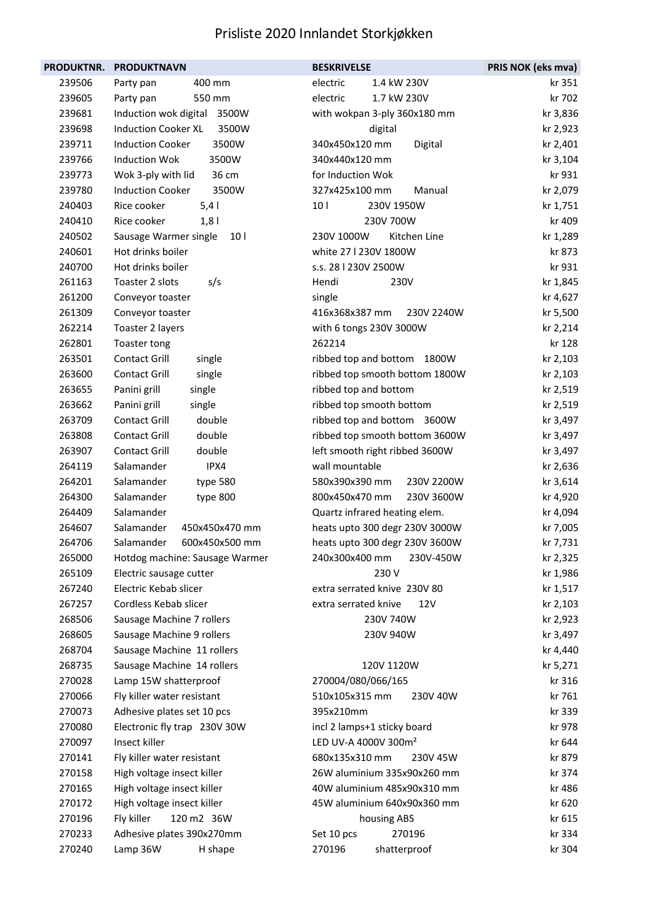| PRODUKTNR. | <b>PRODUKTNAVN</b>                       | <b>BESKRIVELSE</b>               | PRIS NOK (eks mva) |
|------------|------------------------------------------|----------------------------------|--------------------|
| 239506     | 400 mm<br>Party pan                      | 1.4 kW 230V<br>electric          | kr 351             |
| 239605     | 550 mm<br>Party pan                      | 1.7 kW 230V<br>electric          | kr 702             |
| 239681     | 3500W<br>Induction wok digital           | with wokpan 3-ply 360x180 mm     | kr 3,836           |
| 239698     | <b>Induction Cooker XL</b><br>3500W      | digital                          | kr 2,923           |
| 239711     | <b>Induction Cooker</b><br>3500W         | 340x450x120 mm<br>Digital        | kr 2,401           |
| 239766     | <b>Induction Wok</b><br>3500W            | 340x440x120 mm                   | kr 3,104           |
| 239773     | Wok 3-ply with lid<br>36 cm              | for Induction Wok                | kr 931             |
| 239780     | <b>Induction Cooker</b><br>3500W         | 327x425x100 mm<br>Manual         | kr 2,079           |
| 240403     | Rice cooker<br>5,4                       | 10 <sub>1</sub><br>230V 1950W    | kr 1,751           |
| 240410     | Rice cooker<br>1,8                       | 230V 700W                        | kr 409             |
| 240502     | Sausage Warmer single<br>10 <sub>1</sub> | 230V 1000W<br>Kitchen Line       | kr 1,289           |
| 240601     | Hot drinks boiler                        | white 27   230V 1800W            | kr 873             |
| 240700     | Hot drinks boiler                        | s.s. 28   230V 2500W             | kr 931             |
| 261163     | Toaster 2 slots<br>s/s                   | Hendi<br>230V                    | kr 1,845           |
| 261200     | Conveyor toaster                         | single                           | kr 4,627           |
| 261309     | Conveyor toaster                         | 416x368x387 mm<br>230V 2240W     | kr 5,500           |
| 262214     | Toaster 2 layers                         | with 6 tongs 230V 3000W          | kr 2,214           |
| 262801     | Toaster tong                             | 262214                           | kr 128             |
| 263501     | <b>Contact Grill</b><br>single           | ribbed top and bottom 1800W      | kr 2,103           |
| 263600     | Contact Grill<br>single                  | ribbed top smooth bottom 1800W   | kr 2,103           |
| 263655     | Panini grill<br>single                   | ribbed top and bottom            | kr 2,519           |
| 263662     | Panini grill<br>single                   | ribbed top smooth bottom         | kr 2,519           |
| 263709     | double<br>Contact Grill                  | ribbed top and bottom 3600W      | kr 3,497           |
| 263808     | double<br><b>Contact Grill</b>           | ribbed top smooth bottom 3600W   | kr 3,497           |
| 263907     | double<br><b>Contact Grill</b>           | left smooth right ribbed 3600W   | kr 3,497           |
| 264119     | Salamander<br>IPX4                       | wall mountable                   | kr 2,636           |
| 264201     | Salamander<br>type 580                   | 580x390x390 mm<br>230V 2200W     | kr 3,614           |
| 264300     | Salamander<br>type 800                   | 800x450x470 mm<br>230V 3600W     | kr 4,920           |
| 264409     | Salamander                               | Quartz infrared heating elem.    | kr 4,094           |
| 264607     | Salamander<br>450x450x470 mm             | heats upto 300 degr 230V 3000W   | kr 7,005           |
| 264706     | 600x450x500 mm<br>Salamander             | heats upto 300 degr 230V 3600W   | kr 7,731           |
| 265000     | Hotdog machine: Sausage Warmer           | 230V-450W<br>240x300x400 mm      | kr 2,325           |
| 265109     | Electric sausage cutter                  | 230 V                            | kr 1,986           |
| 267240     | Electric Kebab slicer                    | extra serrated knive 230V 80     | kr 1,517           |
| 267257     | Cordless Kebab slicer                    | extra serrated knive<br>12V      | kr 2,103           |
| 268506     | Sausage Machine 7 rollers                | 230V 740W                        | kr 2,923           |
| 268605     | Sausage Machine 9 rollers                | 230V 940W                        | kr 3,497           |
| 268704     | Sausage Machine 11 rollers               |                                  | kr 4,440           |
| 268735     | Sausage Machine 14 rollers               | 120V 1120W                       | kr 5,271           |
| 270028     | Lamp 15W shatterproof                    | 270004/080/066/165               | kr 316             |
| 270066     | Fly killer water resistant               | 510x105x315 mm<br>230V 40W       | kr 761             |
| 270073     | Adhesive plates set 10 pcs               | 395x210mm                        | kr 339             |
| 270080     | Electronic fly trap 230V 30W             | incl 2 lamps+1 sticky board      | kr 978             |
| 270097     | Insect killer                            | LED UV-A 4000V 300m <sup>2</sup> | kr 644             |
| 270141     | Fly killer water resistant               | 680x135x310 mm<br>230V 45W       | kr 879             |
| 270158     | High voltage insect killer               | 26W aluminium 335x90x260 mm      | kr 374             |
| 270165     | High voltage insect killer               | 40W aluminium 485x90x310 mm      | kr 486             |
| 270172     | High voltage insect killer               | 45W aluminium 640x90x360 mm      | kr 620             |
| 270196     | 120 m2 36W<br>Fly killer                 | housing ABS                      | kr 615             |
| 270233     | Adhesive plates 390x270mm                | 270196<br>Set 10 pcs             | kr 334             |
| 270240     | Lamp 36W<br>H shape                      | 270196<br>shatterproof           | kr 304             |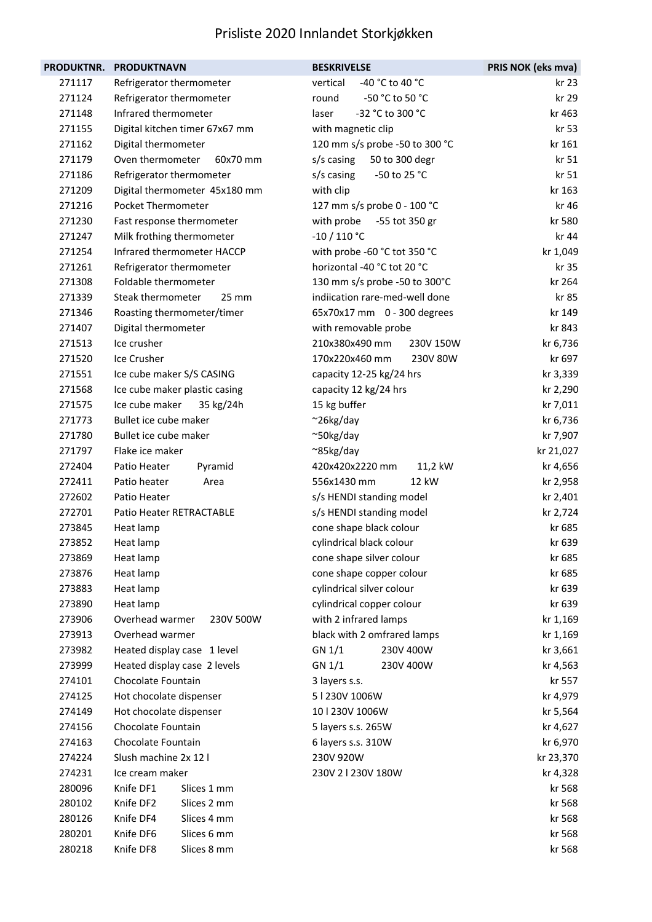| PRODUKTNR.       | <b>PRODUKTNAVN</b>                                   | <b>BESKRIVELSE</b>             | PRIS NOK (eks mva) |
|------------------|------------------------------------------------------|--------------------------------|--------------------|
| 271117           | Refrigerator thermometer                             | -40 °C to 40 °C<br>vertical    | kr 23              |
| 271124           | Refrigerator thermometer                             | -50 °C to 50 °C<br>round       | kr 29              |
| 271148           | Infrared thermometer                                 | -32 °C to 300 °C<br>laser      | kr 463             |
| 271155           | Digital kitchen timer 67x67 mm                       | with magnetic clip             | kr 53              |
| 271162           | Digital thermometer                                  | 120 mm s/s probe -50 to 300 °C | kr 161             |
| 271179           | Oven thermometer<br>60x70 mm                         | s/s casing<br>50 to 300 degr   | kr 51              |
| 271186           | Refrigerator thermometer                             | -50 to 25 °C<br>s/s casing     | kr 51              |
| 271209           | Digital thermometer 45x180 mm                        | with clip                      | kr 163             |
| 271216           | Pocket Thermometer                                   | 127 mm s/s probe 0 - 100 °C    | kr 46              |
| 271230           | Fast response thermometer                            | with probe<br>-55 tot 350 gr   | kr 580             |
| 271247           | Milk frothing thermometer                            | $-10/110 °C$                   | kr 44              |
| 271254           | Infrared thermometer HACCP                           | with probe -60 °C tot 350 °C   | kr 1,049           |
| 271261           | Refrigerator thermometer                             | horizontal -40 °C tot 20 °C    | kr 35              |
| 271308           | Foldable thermometer                                 | 130 mm s/s probe -50 to 300°C  | kr 264             |
| 271339           | Steak thermometer<br>$25 \, \text{mm}$               | indiication rare-med-well done | kr 85              |
| 271346           | Roasting thermometer/timer                           | 65x70x17 mm 0 - 300 degrees    | kr 149             |
| 271407           | Digital thermometer                                  | with removable probe           | kr 843             |
| 271513           | Ice crusher                                          | 210x380x490 mm<br>230V 150W    | kr 6,736           |
| 271520           | Ice Crusher                                          | 170x220x460 mm<br>230V 80W     | kr 697             |
| 271551           | Ice cube maker S/S CASING                            | capacity 12-25 kg/24 hrs       | kr 3,339           |
| 271568           | Ice cube maker plastic casing                        | capacity 12 kg/24 hrs          | kr 2,290           |
| 271575           | Ice cube maker<br>35 kg/24h                          | 15 kg buffer                   | kr 7,011           |
| 271773           | Bullet ice cube maker                                | $~26$ kg/day                   | kr 6,736           |
| 271780           | Bullet ice cube maker                                | ~50kg/day                      | kr 7,907           |
| 271797           | Flake ice maker                                      | ~85kg/day                      | kr 21,027          |
| 272404           | Patio Heater<br>Pyramid                              | 420x420x2220 mm<br>11,2 kW     | kr 4,656           |
| 272411           | Patio heater<br>Area                                 | 556x1430 mm<br>12 kW           | kr 2,958           |
| 272602           | Patio Heater                                         | s/s HENDI standing model       | kr 2,401           |
| 272701           | <b>Patio Heater RETRACTABLE</b>                      | s/s HENDI standing model       | kr 2,724           |
| 273845           | Heat lamp                                            | cone shape black colour        | kr 685             |
| 273852           | Heat lamp                                            | cylindrical black colour       | kr 639             |
| 273869           | Heat lamp                                            | cone shape silver colour       | kr 685             |
| 273876           | Heat lamp                                            | cone shape copper colour       | kr 685             |
| 273883           | Heat lamp                                            | cylindrical silver colour      | kr 639             |
| 273890           | Heat lamp                                            | cylindrical copper colour      | kr 639             |
| 273906           | Overhead warmer<br>230V 500W                         | with 2 infrared lamps          | kr 1,169           |
| 273913           | Overhead warmer                                      | black with 2 omfrared lamps    | kr 1,169           |
| 273982           | Heated display case 1 level                          | GN 1/1<br>230V 400W            | kr 3,661           |
| 273999           | Heated display case 2 levels                         | GN 1/1<br>230V 400W            | kr 4,563           |
| 274101           | Chocolate Fountain                                   | 3 layers s.s.                  | kr 557             |
| 274125           | Hot chocolate dispenser                              | 5   230V 1006W                 | kr 4,979           |
| 274149           | Hot chocolate dispenser                              | 10   230V 1006W                | kr 5,564           |
| 274156           | Chocolate Fountain                                   | 5 layers s.s. 265W             | kr 4,627           |
| 274163           | Chocolate Fountain                                   | 6 layers s.s. 310W             | kr 6,970           |
| 274224           | Slush machine 2x 12 l                                | 230V 920W                      | kr 23,370          |
| 274231           | Ice cream maker                                      | 230V 21230V 180W               | kr 4,328           |
| 280096           | Knife DF1<br>Slices 1 mm                             |                                | kr 568             |
| 280102<br>280126 | Knife DF2<br>Slices 2 mm<br>Knife DF4<br>Slices 4 mm |                                | kr 568             |
|                  |                                                      |                                | kr 568             |
| 280201           | Knife DF6<br>Slices 6 mm<br>Knife DF8                |                                | kr 568             |
| 280218           | Slices 8 mm                                          |                                | kr 568             |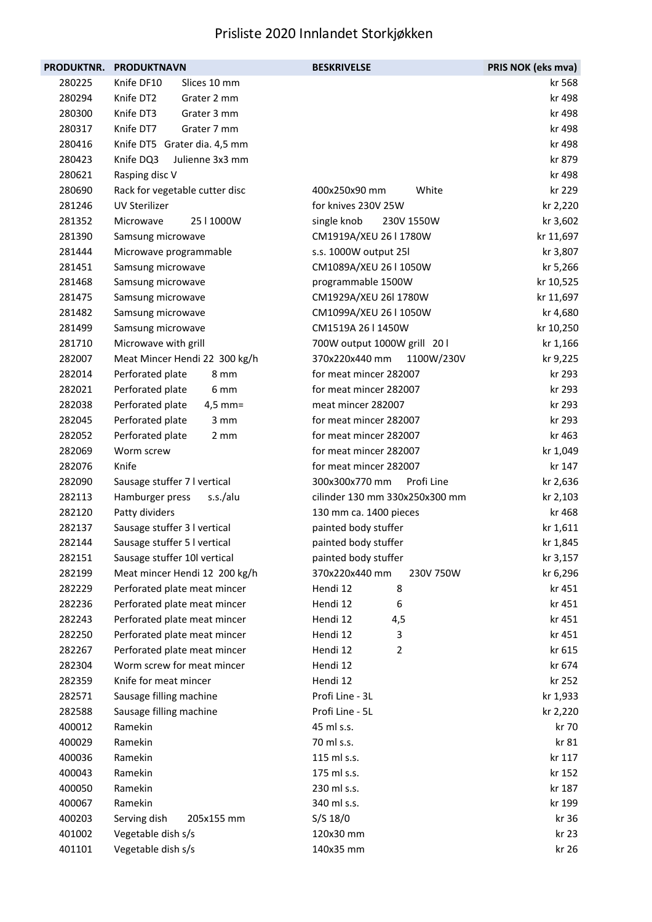|        | PRODUKTNR. PRODUKTNAVN         | <b>BESKRIVELSE</b>             | PRIS NOK (eks mva) |
|--------|--------------------------------|--------------------------------|--------------------|
| 280225 | Knife DF10<br>Slices 10 mm     |                                | kr 568             |
| 280294 | Knife DT2<br>Grater 2 mm       |                                | kr 498             |
| 280300 | Knife DT3<br>Grater 3 mm       |                                | kr 498             |
| 280317 | Knife DT7<br>Grater 7 mm       |                                | kr 498             |
| 280416 | Knife DT5 Grater dia. 4,5 mm   |                                | kr 498             |
| 280423 | Knife DQ3<br>Julienne 3x3 mm   |                                | kr 879             |
| 280621 | Rasping disc V                 |                                | kr 498             |
| 280690 | Rack for vegetable cutter disc | White<br>400x250x90 mm         | kr 229             |
| 281246 | <b>UV Sterilizer</b>           | for knives 230V 25W            | kr 2,220           |
| 281352 | 25   1000W<br>Microwave        | single knob<br>230V 1550W      | kr 3,602           |
| 281390 | Samsung microwave              | CM1919A/XEU 26   1780W         | kr 11,697          |
| 281444 | Microwave programmable         | s.s. 1000W output 25l          | kr 3,807           |
| 281451 | Samsung microwave              | CM1089A/XEU 26   1050W         | kr 5,266           |
| 281468 | Samsung microwave              | programmable 1500W             | kr 10,525          |
| 281475 | Samsung microwave              | CM1929A/XEU 26I 1780W          | kr 11,697          |
| 281482 | Samsung microwave              | CM1099A/XEU 26   1050W         | kr 4,680           |
| 281499 | Samsung microwave              | CM1519A 26   1450W             | kr 10,250          |
| 281710 | Microwave with grill           | 700W output 1000W grill 20 l   | kr 1,166           |
| 282007 | Meat Mincer Hendi 22 300 kg/h  | 370x220x440 mm<br>1100W/230V   | kr 9,225           |
| 282014 | Perforated plate<br>8 mm       | for meat mincer 282007         | kr 293             |
| 282021 | Perforated plate<br>6 mm       | for meat mincer 282007         | kr 293             |
| 282038 | Perforated plate<br>$4,5$ mm=  | meat mincer 282007             | kr 293             |
| 282045 | Perforated plate<br>3 mm       | for meat mincer 282007         | kr 293             |
| 282052 | Perforated plate<br>2 mm       | for meat mincer 282007         | kr 463             |
| 282069 | Worm screw                     | for meat mincer 282007         | kr 1,049           |
| 282076 | Knife                          | for meat mincer 282007         | kr 147             |
| 282090 | Sausage stuffer 7 I vertical   | 300x300x770 mm<br>Profi Line   | kr 2,636           |
| 282113 | Hamburger press<br>s.s./alu    | cilinder 130 mm 330x250x300 mm | kr 2,103           |
| 282120 | Patty dividers                 | 130 mm ca. 1400 pieces         | kr 468             |
| 282137 | Sausage stuffer 3 I vertical   | painted body stuffer           | kr 1,611           |
| 282144 | Sausage stuffer 5 I vertical   | painted body stuffer           | kr 1,845           |
| 282151 | Sausage stuffer 10l vertical   | painted body stuffer           | kr 3,157           |
| 282199 | Meat mincer Hendi 12 200 kg/h  | 370x220x440 mm<br>230V 750W    | kr 6,296           |
| 282229 | Perforated plate meat mincer   | 8<br>Hendi 12                  | kr 451             |
| 282236 | Perforated plate meat mincer   | Hendi 12<br>6                  | kr 451             |
| 282243 | Perforated plate meat mincer   | Hendi 12<br>4,5                | kr 451             |
| 282250 | Perforated plate meat mincer   | Hendi 12<br>3                  | kr 451             |
| 282267 | Perforated plate meat mincer   | Hendi 12<br>2                  | kr 615             |
| 282304 | Worm screw for meat mincer     | Hendi 12                       | kr 674             |
| 282359 | Knife for meat mincer          | Hendi 12                       | kr 252             |
| 282571 | Sausage filling machine        | Profi Line - 3L                | kr 1,933           |
| 282588 | Sausage filling machine        | Profi Line - 5L                | kr 2,220           |
| 400012 | Ramekin                        | 45 ml s.s.                     | kr 70              |
| 400029 | Ramekin                        | 70 ml s.s.                     | kr 81              |
| 400036 | Ramekin                        | 115 ml s.s.                    | kr 117             |
| 400043 | Ramekin                        | 175 ml s.s.                    | kr 152             |
| 400050 | Ramekin                        | 230 ml s.s.                    | kr 187             |
| 400067 | Ramekin                        | 340 ml s.s.                    | kr 199             |
| 400203 | Serving dish<br>205x155 mm     | S/S 18/0                       | kr 36              |
| 401002 | Vegetable dish s/s             | 120x30 mm                      | kr 23              |
| 401101 | Vegetable dish s/s             | 140x35 mm                      | kr 26              |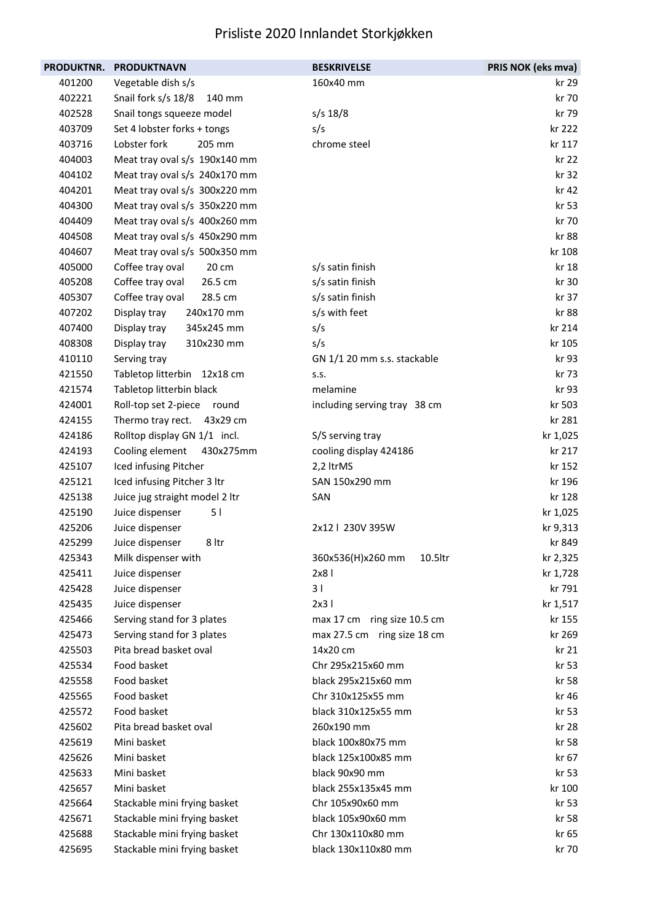| PRODUKTNR. | <b>PRODUKTNAVN</b>             | <b>BESKRIVELSE</b>           | PRIS NOK (eks mva) |
|------------|--------------------------------|------------------------------|--------------------|
| 401200     | Vegetable dish s/s             | 160x40 mm                    | kr 29              |
| 402221     | Snail fork s/s 18/8<br>140 mm  |                              | kr 70              |
| 402528     | Snail tongs squeeze model      | $s/s$ 18/8                   | kr 79              |
| 403709     | Set 4 lobster forks + tongs    | s/s                          | kr 222             |
| 403716     | 205 mm<br>Lobster fork         | chrome steel                 | kr 117             |
| 404003     | Meat tray oval s/s 190x140 mm  |                              | kr 22              |
| 404102     | Meat tray oval s/s 240x170 mm  |                              | kr 32              |
| 404201     | Meat tray oval s/s 300x220 mm  |                              | kr 42              |
| 404300     | Meat tray oval s/s 350x220 mm  |                              | kr 53              |
| 404409     | Meat tray oval s/s 400x260 mm  |                              | kr 70              |
| 404508     | Meat tray oval s/s 450x290 mm  |                              | kr 88              |
| 404607     | Meat tray oval s/s 500x350 mm  |                              | kr 108             |
| 405000     | Coffee tray oval<br>20 cm      | s/s satin finish             | kr 18              |
| 405208     | Coffee tray oval<br>26.5 cm    | s/s satin finish             | kr 30              |
| 405307     | Coffee tray oval<br>28.5 cm    | s/s satin finish             | kr 37              |
| 407202     | Display tray<br>240x170 mm     | s/s with feet                | kr 88              |
| 407400     | Display tray<br>345x245 mm     | s/s                          | kr 214             |
| 408308     | Display tray<br>310x230 mm     | s/s                          | kr 105             |
| 410110     | Serving tray                   | GN 1/1 20 mm s.s. stackable  | kr 93              |
| 421550     | Tabletop litterbin 12x18 cm    | S.S.                         | kr 73              |
| 421574     | Tabletop litterbin black       | melamine                     | kr 93              |
| 424001     | Roll-top set 2-piece round     | including serving tray 38 cm | kr 503             |
| 424155     | Thermo tray rect. 43x29 cm     |                              | kr 281             |
| 424186     | Rolltop display GN 1/1 incl.   | S/S serving tray             | kr 1,025           |
| 424193     | Cooling element<br>430x275mm   | cooling display 424186       | kr 217             |
| 425107     | Iced infusing Pitcher          | 2,2 ltrMS                    | kr 152             |
| 425121     | Iced infusing Pitcher 3 ltr    | SAN 150x290 mm               | kr 196             |
| 425138     | Juice jug straight model 2 ltr | SAN                          | kr 128             |
| 425190     | Juice dispenser<br>51          |                              | kr 1,025           |
| 425206     | Juice dispenser                | 2x12   230V 395W             | kr 9,313           |
| 425299     | Juice dispenser<br>8 ltr       |                              | kr 849             |
| 425343     | Milk dispenser with            | 360x536(H)x260 mm<br>10.5ltr | kr 2,325           |
| 425411     | Juice dispenser                | 2x8                          | kr 1,728           |
| 425428     | Juice dispenser                | 3 <sub>1</sub>               | kr 791             |
| 425435     | Juice dispenser                | 2x3                          | kr 1,517           |
| 425466     | Serving stand for 3 plates     | max 17 cm ring size 10.5 cm  | kr 155             |
| 425473     | Serving stand for 3 plates     | max 27.5 cm ring size 18 cm  | kr 269             |
| 425503     | Pita bread basket oval         | 14x20 cm                     | kr 21              |
| 425534     | Food basket                    | Chr 295x215x60 mm            | kr 53              |
| 425558     | Food basket                    | black 295x215x60 mm          | kr 58              |
| 425565     | Food basket                    | Chr 310x125x55 mm            | kr 46              |
| 425572     | Food basket                    | black 310x125x55 mm          | kr 53              |
| 425602     | Pita bread basket oval         | 260x190 mm                   | kr 28              |
| 425619     | Mini basket                    | black 100x80x75 mm           | kr 58              |
| 425626     | Mini basket                    | black 125x100x85 mm          | kr 67              |
| 425633     | Mini basket                    | black 90x90 mm               | kr 53              |
| 425657     | Mini basket                    | black 255x135x45 mm          | kr 100             |
| 425664     | Stackable mini frying basket   | Chr 105x90x60 mm             | kr 53              |
| 425671     | Stackable mini frying basket   | black 105x90x60 mm           | kr 58              |
| 425688     | Stackable mini frying basket   | Chr 130x110x80 mm            | kr 65              |
| 425695     | Stackable mini frying basket   | black 130x110x80 mm          | kr 70              |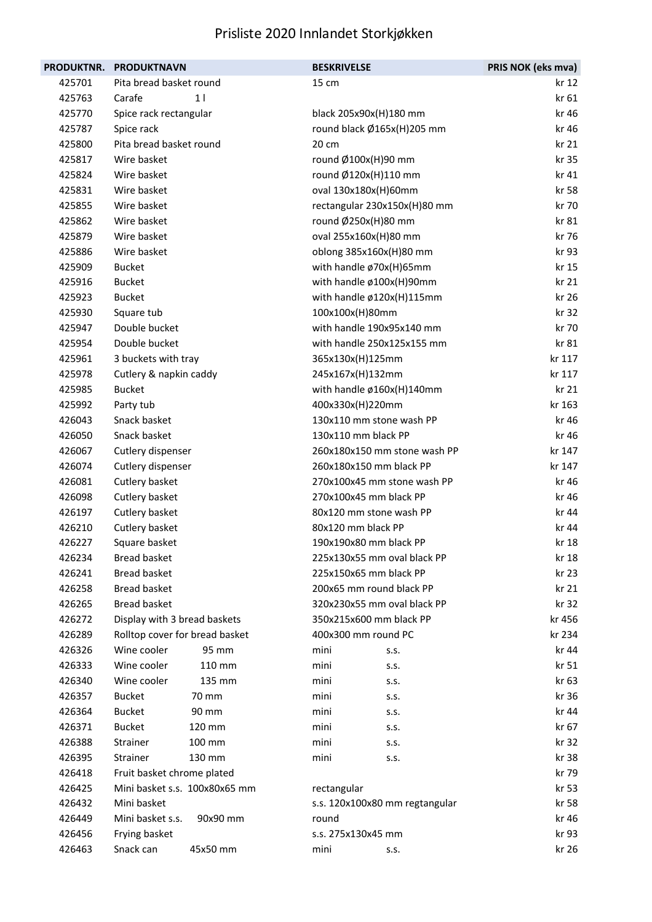| <b>PRODUKTNR.</b> | <b>PRODUKTNAVN</b>             | <b>BESKRIVELSE</b>             | PRIS NOK (eks mva) |
|-------------------|--------------------------------|--------------------------------|--------------------|
| 425701            | Pita bread basket round        | 15 cm                          | kr 12              |
| 425763            | 1 <sup>1</sup><br>Carafe       |                                | kr 61              |
| 425770            | Spice rack rectangular         | black 205x90x(H)180 mm         | kr 46              |
| 425787            | Spice rack                     | round black Ø165x(H)205 mm     | kr 46              |
| 425800            | Pita bread basket round        | 20 cm                          | kr 21              |
| 425817            | Wire basket                    | round Ø100x(H)90 mm            | kr 35              |
| 425824            | Wire basket                    | round Ø120x(H)110 mm           | kr 41              |
| 425831            | Wire basket                    | oval 130x180x(H)60mm           | kr 58              |
| 425855            | Wire basket                    | rectangular 230x150x(H)80 mm   | kr 70              |
| 425862            | Wire basket                    | round Ø250x(H)80 mm            | kr 81              |
| 425879            | Wire basket                    | oval 255x160x(H)80 mm          | kr 76              |
| 425886            | Wire basket                    | oblong 385x160x(H)80 mm        | kr 93              |
| 425909            | <b>Bucket</b>                  | with handle ø70x(H)65mm        | kr 15              |
| 425916            | <b>Bucket</b>                  | with handle ø100x(H)90mm       | kr 21              |
| 425923            | <b>Bucket</b>                  | with handle ø120x(H)115mm      | kr 26              |
| 425930            | Square tub                     | 100x100x(H)80mm                | kr 32              |
| 425947            | Double bucket                  | with handle 190x95x140 mm      | kr 70              |
| 425954            | Double bucket                  | with handle 250x125x155 mm     | kr 81              |
| 425961            | 3 buckets with tray            | 365x130x(H)125mm               | kr 117             |
| 425978            | Cutlery & napkin caddy         | 245x167x(H)132mm               | kr 117             |
| 425985            | <b>Bucket</b>                  | with handle ø160x(H)140mm      | kr <sub>21</sub>   |
| 425992            | Party tub                      | 400x330x(H)220mm               | kr 163             |
| 426043            | Snack basket                   | 130x110 mm stone wash PP       | kr 46              |
| 426050            | Snack basket                   | 130x110 mm black PP            | kr 46              |
| 426067            | Cutlery dispenser              | 260x180x150 mm stone wash PP   | kr 147             |
| 426074            | Cutlery dispenser              | 260x180x150 mm black PP        | kr 147             |
| 426081            | Cutlery basket                 | 270x100x45 mm stone wash PP    | kr 46              |
| 426098            | Cutlery basket                 | 270x100x45 mm black PP         | kr 46              |
| 426197            | Cutlery basket                 | 80x120 mm stone wash PP        | kr 44              |
| 426210            | Cutlery basket                 | 80x120 mm black PP             | kr 44              |
| 426227            | Square basket                  | 190x190x80 mm black PP         | kr 18              |
| 426234            | <b>Bread basket</b>            | 225x130x55 mm oval black PP    | kr 18              |
| 426241            | <b>Bread basket</b>            | 225x150x65 mm black PP         | kr 23              |
| 426258            | <b>Bread basket</b>            | 200x65 mm round black PP       | kr 21              |
| 426265            | <b>Bread basket</b>            | 320x230x55 mm oval black PP    | kr 32              |
| 426272            | Display with 3 bread baskets   | 350x215x600 mm black PP        | kr 456             |
| 426289            | Rolltop cover for bread basket | 400x300 mm round PC            | kr 234             |
| 426326            | Wine cooler<br>95 mm           | mini<br>S.S.                   | kr 44              |
| 426333            | Wine cooler<br>110 mm          | mini<br>S.S.                   | kr 51              |
| 426340            | Wine cooler<br>135 mm          | mini<br>S.S.                   | kr 63              |
| 426357            | <b>Bucket</b><br>70 mm         | mini<br>S.S.                   | kr 36              |
| 426364            | <b>Bucket</b><br>90 mm         | mini<br>S.S.                   | kr 44              |
| 426371            | <b>Bucket</b><br>120 mm        | mini<br>S.S.                   | kr 67              |
| 426388            | 100 mm<br>Strainer             | mini<br>S.S.                   | kr 32              |
| 426395            | Strainer<br>130 mm             | mini<br>S.S.                   | kr 38              |
| 426418            | Fruit basket chrome plated     |                                | kr 79              |
| 426425            | Mini basket s.s. 100x80x65 mm  | rectangular                    | kr 53              |
| 426432            | Mini basket                    | s.s. 120x100x80 mm regtangular | kr 58              |
| 426449            | Mini basket s.s.<br>90x90 mm   | round                          | kr 46              |
| 426456            | Frying basket                  | s.s. 275x130x45 mm             | kr 93              |
| 426463            | Snack can<br>45x50 mm          | mini<br>S.S.                   | kr 26              |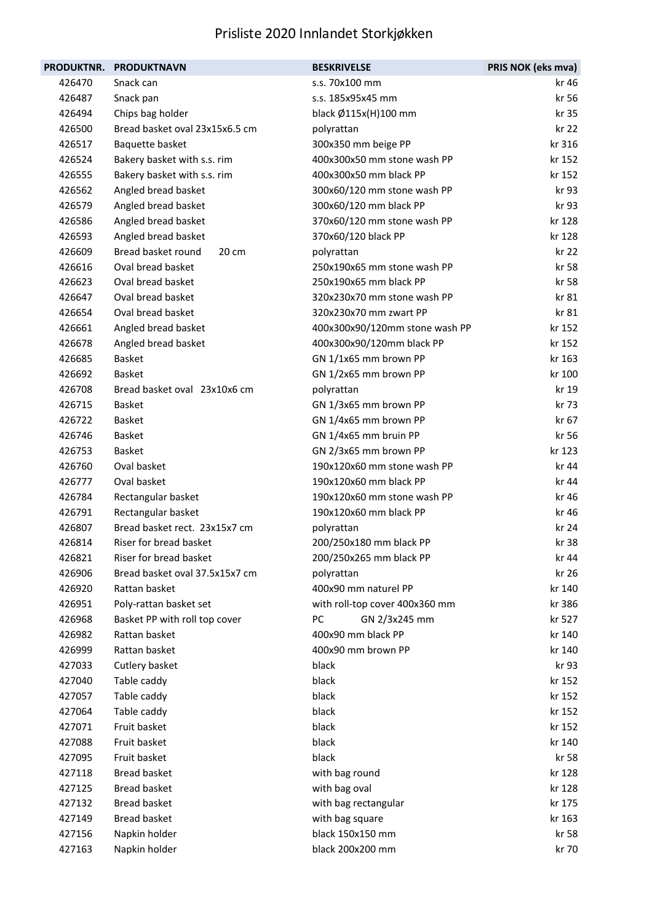| <b>PRODUKTNR.</b> | <b>PRODUKTNAVN</b>             | <b>BESKRIVELSE</b>             | PRIS NOK (eks mva) |
|-------------------|--------------------------------|--------------------------------|--------------------|
| 426470            | Snack can                      | s.s. 70x100 mm                 | kr 46              |
| 426487            | Snack pan                      | s.s. 185x95x45 mm              | kr 56              |
| 426494            | Chips bag holder               | black Ø115x(H)100 mm           | kr 35              |
| 426500            | Bread basket oval 23x15x6.5 cm | polyrattan                     | kr 22              |
| 426517            | Baquette basket                | 300x350 mm beige PP            | kr 316             |
| 426524            | Bakery basket with s.s. rim    | 400x300x50 mm stone wash PP    | kr 152             |
| 426555            | Bakery basket with s.s. rim    | 400x300x50 mm black PP         | kr 152             |
| 426562            | Angled bread basket            | 300x60/120 mm stone wash PP    | kr 93              |
| 426579            | Angled bread basket            | 300x60/120 mm black PP         | kr 93              |
| 426586            | Angled bread basket            | 370x60/120 mm stone wash PP    | kr 128             |
| 426593            | Angled bread basket            | 370x60/120 black PP            | kr 128             |
| 426609            | Bread basket round<br>20 cm    | polyrattan                     | kr 22              |
| 426616            | Oval bread basket              | 250x190x65 mm stone wash PP    | kr 58              |
| 426623            | Oval bread basket              | 250x190x65 mm black PP         | kr 58              |
| 426647            | Oval bread basket              | 320x230x70 mm stone wash PP    | kr 81              |
| 426654            | Oval bread basket              | 320x230x70 mm zwart PP         | kr 81              |
| 426661            | Angled bread basket            | 400x300x90/120mm stone wash PP | kr 152             |
| 426678            | Angled bread basket            | 400x300x90/120mm black PP      | kr 152             |
| 426685            | <b>Basket</b>                  | GN 1/1x65 mm brown PP          | kr 163             |
| 426692            | <b>Basket</b>                  | GN 1/2x65 mm brown PP          | kr 100             |
| 426708            | Bread basket oval 23x10x6 cm   | polyrattan                     | kr 19              |
| 426715            | <b>Basket</b>                  | GN 1/3x65 mm brown PP          | kr 73              |
| 426722            | <b>Basket</b>                  | GN 1/4x65 mm brown PP          | kr 67              |
| 426746            | <b>Basket</b>                  | GN 1/4x65 mm bruin PP          | kr 56              |
| 426753            | <b>Basket</b>                  | GN 2/3x65 mm brown PP          | kr 123             |
| 426760            | Oval basket                    | 190x120x60 mm stone wash PP    | kr 44              |
| 426777            | Oval basket                    | 190x120x60 mm black PP         | kr 44              |
| 426784            | Rectangular basket             | 190x120x60 mm stone wash PP    | kr 46              |
| 426791            | Rectangular basket             | 190x120x60 mm black PP         | kr 46              |
| 426807            | Bread basket rect. 23x15x7 cm  | polyrattan                     | kr 24              |
| 426814            | Riser for bread basket         | 200/250x180 mm black PP        | kr 38              |
| 426821            | Riser for bread basket         | 200/250x265 mm black PP        | kr 44              |
| 426906            | Bread basket oval 37.5x15x7 cm | polyrattan                     | kr 26              |
| 426920            | Rattan basket                  | 400x90 mm naturel PP           | kr 140             |
| 426951            | Poly-rattan basket set         | with roll-top cover 400x360 mm | kr 386             |
| 426968            | Basket PP with roll top cover  | PC<br>GN 2/3x245 mm            | kr 527             |
| 426982            | Rattan basket                  | 400x90 mm black PP             | kr 140             |
| 426999            | Rattan basket                  | 400x90 mm brown PP             | kr 140             |
| 427033            | Cutlery basket                 | black                          | kr 93              |
| 427040            | Table caddy                    | black                          | kr 152             |
| 427057            | Table caddy                    | black                          | kr 152             |
| 427064            | Table caddy                    | black                          | kr 152             |
| 427071            | Fruit basket                   | black                          | kr 152             |
| 427088            | Fruit basket                   | black                          | kr 140             |
| 427095            | Fruit basket                   | black                          | kr 58              |
| 427118            | <b>Bread basket</b>            | with bag round                 | kr 128             |
| 427125            | <b>Bread basket</b>            | with bag oval                  | kr 128             |
| 427132            | <b>Bread basket</b>            | with bag rectangular           | kr 175             |
| 427149            | <b>Bread basket</b>            | with bag square                | kr 163             |
| 427156            | Napkin holder                  | black 150x150 mm               | kr 58              |
| 427163            | Napkin holder                  | black 200x200 mm               | kr 70              |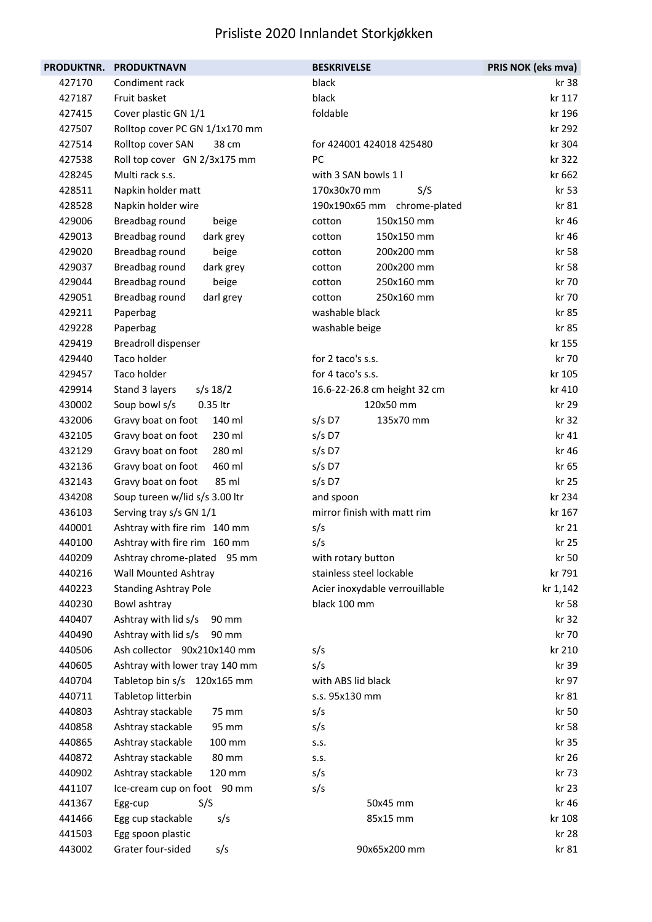| <b>PRODUKTNR.</b> | <b>PRODUKTNAVN</b>             | <b>BESKRIVELSE</b>             | PRIS NOK (eks mva) |
|-------------------|--------------------------------|--------------------------------|--------------------|
| 427170            | Condiment rack                 | black                          | kr 38              |
| 427187            | Fruit basket                   | black                          | kr 117             |
| 427415            | Cover plastic GN 1/1           | foldable                       | kr 196             |
| 427507            | Rolltop cover PC GN 1/1x170 mm |                                | kr 292             |
| 427514            | Rolltop cover SAN<br>38 cm     | for 424001 424018 425480       | kr 304             |
| 427538            | Roll top cover GN 2/3x175 mm   | PC                             | kr 322             |
| 428245            | Multi rack s.s.                | with 3 SAN bowls 1 l           | kr 662             |
| 428511            | Napkin holder matt             | 170x30x70 mm<br>S/S            | kr 53              |
| 428528            | Napkin holder wire             | 190x190x65 mm chrome-plated    | kr 81              |
| 429006            | Breadbag round<br>beige        | 150x150 mm<br>cotton           | kr 46              |
| 429013            | Breadbag round<br>dark grey    | 150x150 mm<br>cotton           | kr 46              |
| 429020            | Breadbag round<br>beige        | 200x200 mm<br>cotton           | kr 58              |
| 429037            | Breadbag round<br>dark grey    | 200x200 mm<br>cotton           | kr 58              |
| 429044            | Breadbag round<br>beige        | 250x160 mm<br>cotton           | kr 70              |
| 429051            | Breadbag round<br>darl grey    | 250x160 mm<br>cotton           | kr 70              |
| 429211            | Paperbag                       | washable black                 | kr 85              |
| 429228            | Paperbag                       | washable beige                 | kr 85              |
| 429419            | <b>Breadroll dispenser</b>     |                                | kr 155             |
| 429440            | Taco holder                    | for 2 taco's s.s.              | kr 70              |
| 429457            | Taco holder                    | for 4 taco's s.s.              | kr 105             |
| 429914            | Stand 3 layers<br>$s/s$ 18/2   | 16.6-22-26.8 cm height 32 cm   | kr 410             |
| 430002            | 0.35 ltr<br>Soup bowl s/s      | 120x50 mm                      | kr 29              |
| 432006            | Gravy boat on foot<br>140 ml   | $s/s$ D7<br>135x70 mm          | kr 32              |
| 432105            | Gravy boat on foot<br>230 ml   | $s/s$ D7                       | kr 41              |
| 432129            | Gravy boat on foot<br>280 ml   | $s/s$ D7                       | kr 46              |
| 432136            | Gravy boat on foot<br>460 ml   | $s/s$ D7                       | kr 65              |
| 432143            | Gravy boat on foot<br>85 ml    | $s/s$ D7                       | kr 25              |
| 434208            | Soup tureen w/lid s/s 3.00 ltr | and spoon                      | kr 234             |
| 436103            | Serving tray s/s GN 1/1        | mirror finish with matt rim    | kr 167             |
| 440001            | Ashtray with fire rim 140 mm   | s/s                            | kr 21              |
| 440100            | Ashtray with fire rim 160 mm   | s/s                            | kr 25              |
| 440209            | Ashtray chrome-plated<br>95 mm | with rotary button             | kr 50              |
| 440216            | <b>Wall Mounted Ashtray</b>    | stainless steel lockable       | kr 791             |
| 440223            | <b>Standing Ashtray Pole</b>   | Acier inoxydable verrouillable | kr 1,142           |
| 440230            | Bowl ashtray                   | black 100 mm                   | kr 58              |
| 440407            | Ashtray with lid s/s<br>90 mm  |                                | kr 32              |
| 440490            | Ashtray with lid s/s<br>90 mm  |                                | kr 70              |
| 440506            | Ash collector 90x210x140 mm    | s/s                            | kr 210             |
| 440605            | Ashtray with lower tray 140 mm | s/s                            | kr 39              |
| 440704            | Tabletop bin s/s 120x165 mm    | with ABS lid black             | kr 97              |
| 440711            | Tabletop litterbin             | s.s. 95x130 mm                 | kr 81              |
| 440803            | Ashtray stackable<br>75 mm     | s/s                            | kr 50              |
| 440858            | Ashtray stackable<br>95 mm     | s/s                            | kr 58              |
| 440865            | Ashtray stackable<br>100 mm    | S.S.                           | kr 35              |
| 440872            | Ashtray stackable<br>80 mm     | S.S.                           | kr 26              |
| 440902            | Ashtray stackable<br>120 mm    | s/s                            | kr 73              |
| 441107            | Ice-cream cup on foot 90 mm    | s/s                            | kr 23              |
| 441367            | S/S<br>Egg-cup                 | 50x45 mm                       | kr 46              |
| 441466            | Egg cup stackable<br>s/s       | 85x15 mm                       | kr 108             |
| 441503            | Egg spoon plastic              |                                | kr 28              |
| 443002            | Grater four-sided<br>s/s       | 90x65x200 mm                   | kr 81              |
|                   |                                |                                |                    |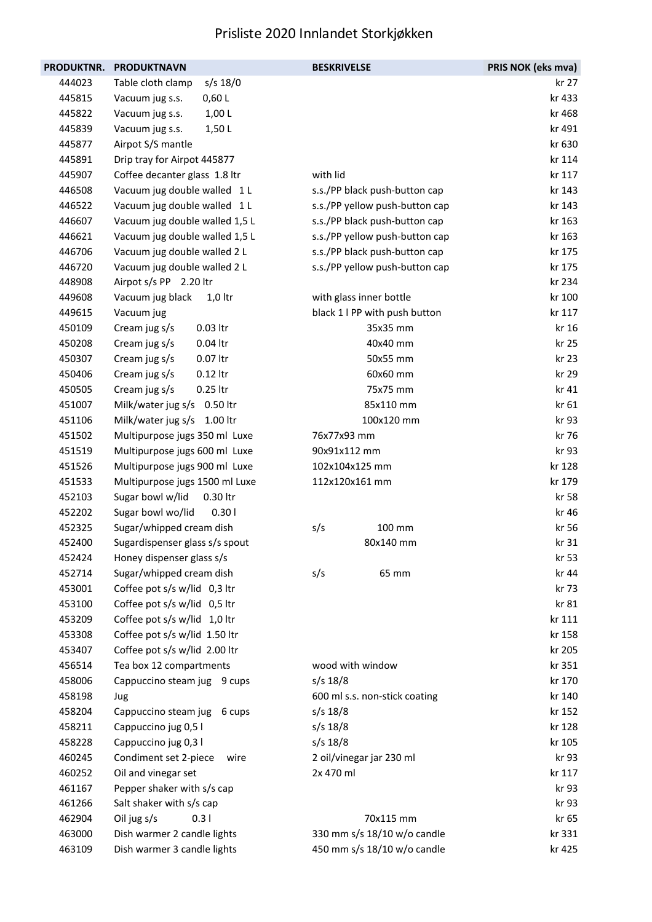| PRODUKTNR. | <b>PRODUKTNAVN</b>              | <b>BESKRIVELSE</b>             | PRIS NOK (eks mva) |
|------------|---------------------------------|--------------------------------|--------------------|
| 444023     | $s/s$ 18/0<br>Table cloth clamp |                                | kr 27              |
| 445815     | 0,60 L<br>Vacuum jug s.s.       |                                | kr 433             |
| 445822     | 1,00 L<br>Vacuum jug s.s.       |                                | kr 468             |
| 445839     | Vacuum jug s.s.<br>1,50L        |                                | kr 491             |
| 445877     | Airpot S/S mantle               |                                | kr 630             |
| 445891     | Drip tray for Airpot 445877     |                                | kr 114             |
| 445907     | Coffee decanter glass 1.8 ltr   | with lid                       | kr 117             |
| 446508     | Vacuum jug double walled 1 L    | s.s./PP black push-button cap  | kr 143             |
| 446522     | Vacuum jug double walled 1 L    | s.s./PP yellow push-button cap | kr 143             |
| 446607     | Vacuum jug double walled 1,5 L  | s.s./PP black push-button cap  | kr 163             |
| 446621     | Vacuum jug double walled 1,5 L  | s.s./PP yellow push-button cap | kr 163             |
| 446706     | Vacuum jug double walled 2 L    | s.s./PP black push-button cap  | kr 175             |
| 446720     | Vacuum jug double walled 2 L    | s.s./PP yellow push-button cap | kr 175             |
| 448908     | Airpot s/s PP 2.20 ltr          |                                | kr 234             |
| 449608     | Vacuum jug black<br>$1,0$ ltr   | with glass inner bottle        | kr 100             |
| 449615     | Vacuum jug                      | black 1 I PP with push button  | kr 117             |
| 450109     | Cream jug s/s<br>0.03 ltr       | 35x35 mm                       | kr 16              |
| 450208     | Cream jug s/s<br>0.04 ltr       | 40x40 mm                       | kr 25              |
| 450307     | Cream jug s/s<br>0.07 ltr       | 50x55 mm                       | kr 23              |
| 450406     | Cream jug s/s<br>0.12 ltr       | 60x60 mm                       | kr 29              |
| 450505     | 0.25 ltr<br>Cream jug s/s       | 75x75 mm                       | kr 41              |
| 451007     | Milk/water jug s/s 0.50 ltr     | 85x110 mm                      | kr 61              |
| 451106     | Milk/water jug s/s 1.00 ltr     | 100x120 mm                     | kr 93              |
| 451502     | Multipurpose jugs 350 ml Luxe   | 76x77x93 mm                    | kr 76              |
| 451519     | Multipurpose jugs 600 ml Luxe   | 90x91x112 mm                   | kr 93              |
| 451526     | Multipurpose jugs 900 ml Luxe   | 102x104x125 mm                 | kr 128             |
| 451533     | Multipurpose jugs 1500 ml Luxe  | 112x120x161 mm                 | kr 179             |
| 452103     | Sugar bowl w/lid<br>0.30 ltr    |                                | kr 58              |
| 452202     | Sugar bowl wo/lid<br>0.301      |                                | kr 46              |
| 452325     | Sugar/whipped cream dish        | 100 mm<br>s/s                  | kr 56              |
| 452400     | Sugardispenser glass s/s spout  | 80x140 mm                      | kr 31              |
| 452424     | Honey dispenser glass s/s       |                                | kr 53              |
| 452714     | Sugar/whipped cream dish        | 65 mm<br>s/s                   | kr 44              |
| 453001     | Coffee pot s/s w/lid 0,3 ltr    |                                | kr 73              |
| 453100     | Coffee pot s/s w/lid 0,5 ltr    |                                | kr 81              |
| 453209     | Coffee pot s/s w/lid 1,0 ltr    |                                | kr 111             |
| 453308     | Coffee pot s/s w/lid 1.50 ltr   |                                | kr 158             |
| 453407     | Coffee pot s/s w/lid 2.00 ltr   |                                | kr 205             |
| 456514     | Tea box 12 compartments         | wood with window               | kr 351             |
| 458006     | Cappuccino steam jug 9 cups     | $s/s$ 18/8                     | kr 170             |
| 458198     | Jug                             | 600 ml s.s. non-stick coating  | kr 140             |
| 458204     | Cappuccino steam jug<br>6 cups  | $s/s$ 18/8                     | kr 152             |
| 458211     | Cappuccino jug 0,5 l            | $s/s$ 18/8                     | kr 128             |
| 458228     | Cappuccino jug 0,3 l            | $s/s$ 18/8                     | kr 105             |
| 460245     | Condiment set 2-piece<br>wire   | 2 oil/vinegar jar 230 ml       | kr 93              |
| 460252     | Oil and vinegar set             | 2x 470 ml                      | kr 117             |
| 461167     | Pepper shaker with s/s cap      |                                | kr 93              |
| 461266     | Salt shaker with s/s cap        |                                | kr 93              |
| 462904     | 0.31<br>Oil jug s/s             | 70x115 mm                      | kr 65              |
| 463000     | Dish warmer 2 candle lights     | 330 mm s/s 18/10 w/o candle    | kr 331             |
| 463109     | Dish warmer 3 candle lights     | 450 mm s/s 18/10 w/o candle    | kr 425             |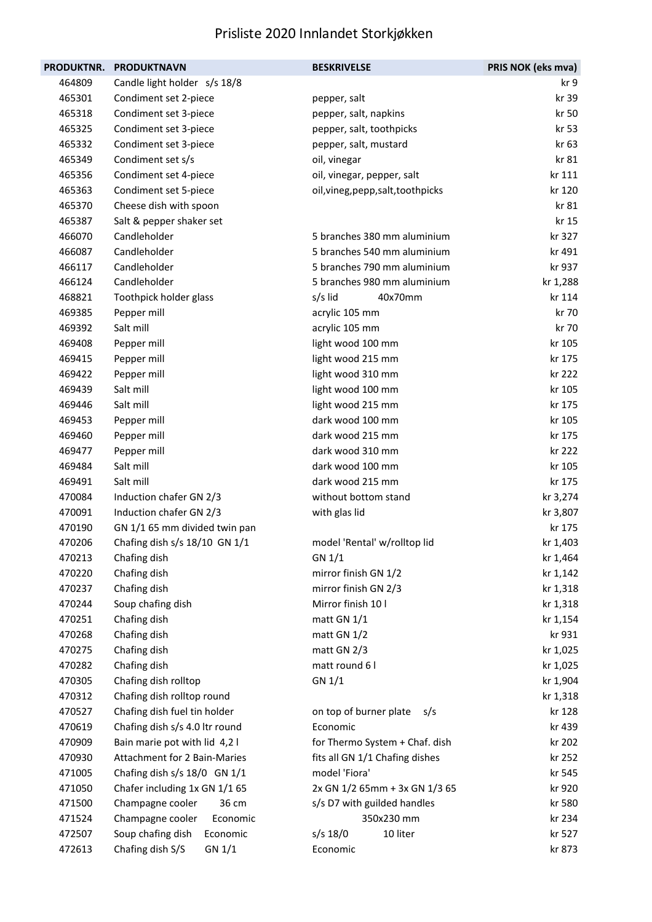| <b>PRODUKTNR.</b> | <b>PRODUKTNAVN</b>                  | <b>BESKRIVELSE</b>                 | PRIS NOK (eks mva) |
|-------------------|-------------------------------------|------------------------------------|--------------------|
| 464809            | Candle light holder s/s 18/8        |                                    | kr 9               |
| 465301            | Condiment set 2-piece               | pepper, salt                       | kr 39              |
| 465318            | Condiment set 3-piece               | pepper, salt, napkins              | kr 50              |
| 465325            | Condiment set 3-piece               | pepper, salt, toothpicks           | kr 53              |
| 465332            | Condiment set 3-piece               | pepper, salt, mustard              | kr 63              |
| 465349            | Condiment set s/s                   | oil, vinegar                       | kr 81              |
| 465356            | Condiment set 4-piece               | oil, vinegar, pepper, salt         | kr 111             |
| 465363            | Condiment set 5-piece               | oil, vineg, pepp, salt, toothpicks | kr 120             |
| 465370            | Cheese dish with spoon              |                                    | kr 81              |
| 465387            | Salt & pepper shaker set            |                                    | kr 15              |
| 466070            | Candleholder                        | 5 branches 380 mm aluminium        | kr 327             |
| 466087            | Candleholder                        | 5 branches 540 mm aluminium        | kr 491             |
| 466117            | Candleholder                        | 5 branches 790 mm aluminium        | kr 937             |
| 466124            | Candleholder                        | 5 branches 980 mm aluminium        | kr 1,288           |
| 468821            | Toothpick holder glass              | 40x70mm<br>s/s lid                 | kr 114             |
| 469385            | Pepper mill                         | acrylic 105 mm                     | kr 70              |
| 469392            | Salt mill                           | acrylic 105 mm                     | kr 70              |
| 469408            | Pepper mill                         | light wood 100 mm                  | kr 105             |
| 469415            | Pepper mill                         | light wood 215 mm                  | kr 175             |
| 469422            | Pepper mill                         | light wood 310 mm                  | kr 222             |
| 469439            | Salt mill                           | light wood 100 mm                  | kr 105             |
| 469446            | Salt mill                           | light wood 215 mm                  | kr 175             |
| 469453            | Pepper mill                         | dark wood 100 mm                   | kr 105             |
| 469460            | Pepper mill                         | dark wood 215 mm                   | kr 175             |
| 469477            | Pepper mill                         | dark wood 310 mm                   | kr 222             |
| 469484            | Salt mill                           | dark wood 100 mm                   | kr 105             |
| 469491            | Salt mill                           | dark wood 215 mm                   | kr 175             |
| 470084            | Induction chafer GN 2/3             | without bottom stand               | kr 3,274           |
| 470091            | Induction chafer GN 2/3             | with glas lid                      | kr 3,807           |
| 470190            | GN 1/1 65 mm divided twin pan       |                                    | kr 175             |
| 470206            | Chafing dish s/s 18/10 GN 1/1       | model 'Rental' w/rolltop lid       | kr 1,403           |
| 470213            | Chafing dish                        | GN 1/1                             | kr 1,464           |
| 470220            | Chafing dish                        | mirror finish GN 1/2               | kr 1,142           |
| 470237            | Chafing dish                        | mirror finish GN 2/3               | kr 1,318           |
| 470244            | Soup chafing dish                   | Mirror finish 10 l                 | kr 1,318           |
| 470251            | Chafing dish                        | matt GN 1/1                        | kr 1,154           |
| 470268            | Chafing dish                        | matt GN 1/2                        | kr 931             |
| 470275            | Chafing dish                        | matt GN 2/3                        | kr 1,025           |
| 470282            | Chafing dish                        | matt round 6 l                     | kr 1,025           |
| 470305            | Chafing dish rolltop                | GN 1/1                             | kr 1,904           |
| 470312            | Chafing dish rolltop round          |                                    | kr 1,318           |
| 470527            | Chafing dish fuel tin holder        | on top of burner plate<br>s/s      | kr 128             |
| 470619            | Chafing dish s/s 4.0 ltr round      | Economic                           | kr 439             |
| 470909            | Bain marie pot with lid 4,2 l       | for Thermo System + Chaf. dish     | kr 202             |
| 470930            | <b>Attachment for 2 Bain-Maries</b> | fits all GN 1/1 Chafing dishes     | kr 252             |
| 471005            | Chafing dish s/s 18/0 GN 1/1        | model 'Fiora'                      | kr 545             |
| 471050            | Chafer including 1x GN 1/1 65       | 2x GN 1/2 65mm + 3x GN 1/3 65      | kr 920             |
| 471500            | Champagne cooler<br>36 cm           | s/s D7 with guilded handles        | kr 580             |
| 471524            | Champagne cooler<br>Economic        | 350x230 mm                         | kr 234             |
| 472507            | Soup chafing dish<br>Economic       | s/s 18/0<br>10 liter               | kr 527             |
| 472613            | Chafing dish S/S<br>GN 1/1          | Economic                           | kr 873             |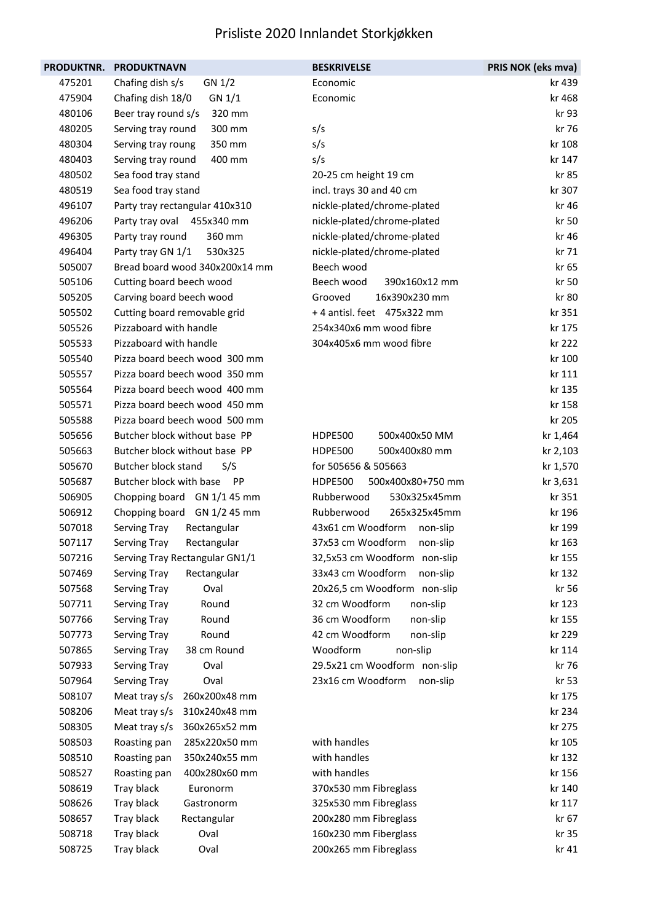| <b>PRODUKTNR.</b> | <b>PRODUKTNAVN</b>                   | <b>BESKRIVELSE</b>                  | PRIS NOK (eks mva) |
|-------------------|--------------------------------------|-------------------------------------|--------------------|
| 475201            | Chafing dish s/s<br>GN 1/2           | Economic                            | kr 439             |
| 475904            | Chafing dish 18/0<br>GN 1/1          | Economic                            | kr 468             |
| 480106            | Beer tray round s/s<br>320 mm        |                                     | kr 93              |
| 480205            | 300 mm<br>Serving tray round         | s/s                                 | kr 76              |
| 480304            | 350 mm<br>Serving tray roung         | s/s                                 | kr 108             |
| 480403            | Serving tray round<br>400 mm         | s/s                                 | kr 147             |
| 480502            | Sea food tray stand                  | 20-25 cm height 19 cm               | kr 85              |
| 480519            | Sea food tray stand                  | incl. trays 30 and 40 cm            | kr 307             |
| 496107            | Party tray rectangular 410x310       | nickle-plated/chrome-plated         | kr 46              |
| 496206            | Party tray oval 455x340 mm           | nickle-plated/chrome-plated         | kr 50              |
| 496305            | Party tray round<br>360 mm           | nickle-plated/chrome-plated         | kr 46              |
| 496404            | Party tray GN 1/1<br>530x325         | nickle-plated/chrome-plated         | kr 71              |
| 505007            | Bread board wood 340x200x14 mm       | Beech wood                          | kr 65              |
| 505106            | Cutting board beech wood             | Beech wood<br>390x160x12 mm         | kr 50              |
| 505205            | Carving board beech wood             | Grooved<br>16x390x230 mm            | kr 80              |
| 505502            | Cutting board removable grid         | +4 antisl. feet 475x322 mm          | kr 351             |
| 505526            | Pizzaboard with handle               | 254x340x6 mm wood fibre             | kr 175             |
| 505533            | Pizzaboard with handle               | 304x405x6 mm wood fibre             | kr 222             |
| 505540            | Pizza board beech wood 300 mm        |                                     | kr 100             |
| 505557            | Pizza board beech wood 350 mm        |                                     | kr 111             |
| 505564            | Pizza board beech wood 400 mm        |                                     | kr 135             |
| 505571            | Pizza board beech wood 450 mm        |                                     | kr 158             |
| 505588            | Pizza board beech wood 500 mm        |                                     | kr 205             |
| 505656            | Butcher block without base PP        | <b>HDPE500</b><br>500x400x50 MM     | kr 1,464           |
| 505663            | Butcher block without base PP        | 500x400x80 mm<br><b>HDPE500</b>     | kr 2,103           |
| 505670            | Butcher block stand<br>S/S           | for 505656 & 505663                 | kr 1,570           |
| 505687            | Butcher block with base<br><b>PP</b> | <b>HDPE500</b><br>500x400x80+750 mm | kr 3,631           |
| 506905            | Chopping board GN 1/1 45 mm          | Rubberwood<br>530x325x45mm          | kr 351             |
| 506912            | Chopping board GN 1/2 45 mm          | Rubberwood<br>265x325x45mm          | kr 196             |
| 507018            | Rectangular<br>Serving Tray          | 43x61 cm Woodform<br>non-slip       | kr 199             |
| 507117            | Serving Tray<br>Rectangular          | 37x53 cm Woodform<br>non-slip       | kr 163             |
| 507216            | Serving Tray Rectangular GN1/1       | 32,5x53 cm Woodform non-slip        | kr 155             |
| 507469            | Serving Tray<br>Rectangular          | 33x43 cm Woodform<br>non-slip       | kr 132             |
| 507568            | Serving Tray<br>Oval                 | 20x26,5 cm Woodform non-slip        | kr 56              |
| 507711            | Round<br>Serving Tray                | 32 cm Woodform<br>non-slip          | kr 123             |
| 507766            | Serving Tray<br>Round                | 36 cm Woodform<br>non-slip          | kr 155             |
| 507773            | Serving Tray<br>Round                | 42 cm Woodform<br>non-slip          | kr 229             |
| 507865            | 38 cm Round<br>Serving Tray          | Woodform<br>non-slip                | kr 114             |
| 507933            | Serving Tray<br>Oval                 | 29.5x21 cm Woodform non-slip        | kr 76              |
| 507964            | Serving Tray<br>Oval                 | 23x16 cm Woodform<br>non-slip       | kr 53              |
| 508107            | Meat tray s/s<br>260x200x48 mm       |                                     | kr 175             |
| 508206            | Meat tray s/s<br>310x240x48 mm       |                                     | kr 234             |
| 508305            | 360x265x52 mm<br>Meat tray s/s       |                                     | kr 275             |
| 508503            | 285x220x50 mm<br>Roasting pan        | with handles                        | kr 105             |
| 508510            | 350x240x55 mm<br>Roasting pan        | with handles                        | kr 132             |
| 508527            | 400x280x60 mm<br>Roasting pan        | with handles                        | kr 156             |
| 508619            | Tray black<br>Euronorm               | 370x530 mm Fibreglass               | kr 140             |
| 508626            | Tray black<br>Gastronorm             | 325x530 mm Fibreglass               | kr 117             |
| 508657            | Tray black<br>Rectangular            | 200x280 mm Fibreglass               | kr 67              |
| 508718            | Tray black<br>Oval                   | 160x230 mm Fiberglass               | kr 35              |
| 508725            | Tray black<br>Oval                   | 200x265 mm Fibreglass               | kr 41              |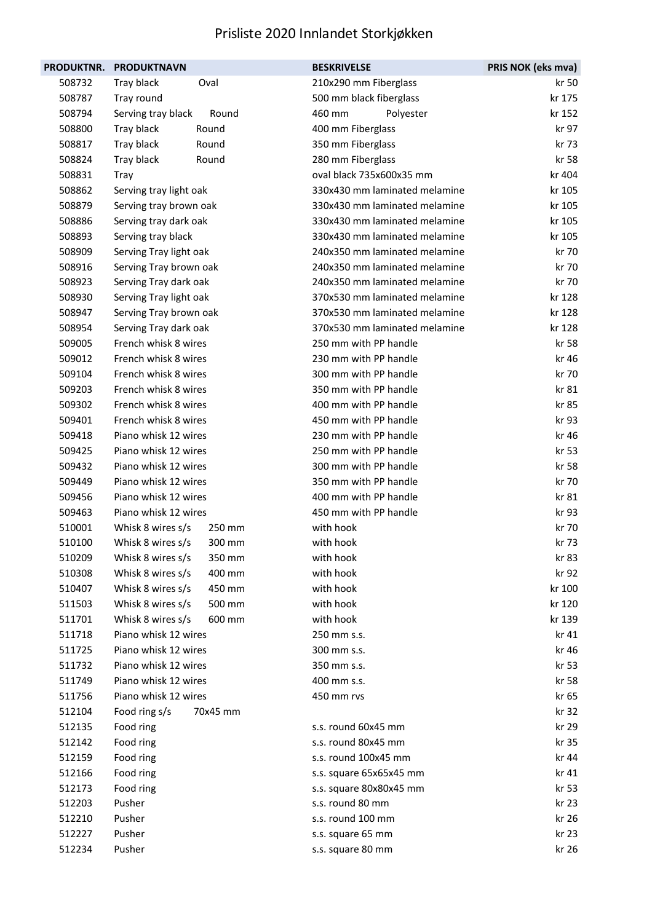|        | PRODUKTNR. PRODUKTNAVN      | <b>BESKRIVELSE</b>            | PRIS NOK (eks mva) |
|--------|-----------------------------|-------------------------------|--------------------|
| 508732 | Tray black<br>Oval          | 210x290 mm Fiberglass         | kr 50              |
| 508787 | Tray round                  | 500 mm black fiberglass       | kr 175             |
| 508794 | Serving tray black<br>Round | 460 mm<br>Polyester           | kr 152             |
| 508800 | Tray black<br>Round         | 400 mm Fiberglass             | kr 97              |
| 508817 | Tray black<br>Round         | 350 mm Fiberglass             | kr 73              |
| 508824 | Round<br>Tray black         | 280 mm Fiberglass             | kr 58              |
| 508831 | Tray                        | oval black 735x600x35 mm      | kr 404             |
| 508862 | Serving tray light oak      | 330x430 mm laminated melamine | kr 105             |
| 508879 | Serving tray brown oak      | 330x430 mm laminated melamine | kr 105             |
| 508886 | Serving tray dark oak       | 330x430 mm laminated melamine | kr 105             |
| 508893 | Serving tray black          | 330x430 mm laminated melamine | kr 105             |
| 508909 | Serving Tray light oak      | 240x350 mm laminated melamine | kr 70              |
| 508916 | Serving Tray brown oak      | 240x350 mm laminated melamine | kr 70              |
| 508923 | Serving Tray dark oak       | 240x350 mm laminated melamine | kr 70              |
| 508930 | Serving Tray light oak      | 370x530 mm laminated melamine | kr 128             |
| 508947 | Serving Tray brown oak      | 370x530 mm laminated melamine | kr 128             |
| 508954 | Serving Tray dark oak       | 370x530 mm laminated melamine | kr 128             |
| 509005 | French whisk 8 wires        | 250 mm with PP handle         | kr 58              |
| 509012 | French whisk 8 wires        | 230 mm with PP handle         | kr 46              |
| 509104 | French whisk 8 wires        | 300 mm with PP handle         | kr 70              |
| 509203 | French whisk 8 wires        | 350 mm with PP handle         | kr 81              |
| 509302 | French whisk 8 wires        | 400 mm with PP handle         | kr 85              |
| 509401 | French whisk 8 wires        | 450 mm with PP handle         | kr 93              |
| 509418 | Piano whisk 12 wires        | 230 mm with PP handle         | kr 46              |
| 509425 | Piano whisk 12 wires        | 250 mm with PP handle         | kr 53              |
| 509432 | Piano whisk 12 wires        | 300 mm with PP handle         | kr 58              |
| 509449 | Piano whisk 12 wires        | 350 mm with PP handle         | kr 70              |
| 509456 | Piano whisk 12 wires        | 400 mm with PP handle         | kr 81              |
| 509463 | Piano whisk 12 wires        | 450 mm with PP handle         | kr 93              |
| 510001 | Whisk 8 wires s/s<br>250 mm | with hook                     | kr 70              |
| 510100 | Whisk 8 wires s/s<br>300 mm | with hook                     | kr 73              |
| 510209 | Whisk 8 wires s/s<br>350 mm | with hook                     | kr 83              |
| 510308 | Whisk 8 wires s/s<br>400 mm | with hook                     | kr 92              |
| 510407 | Whisk 8 wires s/s<br>450 mm | with hook                     | kr 100             |
| 511503 | Whisk 8 wires s/s<br>500 mm | with hook                     | kr 120             |
| 511701 | Whisk 8 wires s/s<br>600 mm | with hook                     | kr 139             |
| 511718 | Piano whisk 12 wires        | 250 mm s.s.                   | kr 41              |
| 511725 | Piano whisk 12 wires        | 300 mm s.s.                   | kr 46              |
| 511732 | Piano whisk 12 wires        | 350 mm s.s.                   | kr 53              |
| 511749 | Piano whisk 12 wires        | 400 mm s.s.                   | kr 58              |
| 511756 | Piano whisk 12 wires        | 450 mm rvs                    | kr 65              |
| 512104 | Food ring s/s<br>70x45 mm   |                               | kr 32              |
| 512135 | Food ring                   | s.s. round 60x45 mm           | kr 29              |
| 512142 | Food ring                   | s.s. round 80x45 mm           | kr 35              |
| 512159 | Food ring                   | s.s. round 100x45 mm          | kr 44              |
| 512166 | Food ring                   | s.s. square 65x65x45 mm       | kr 41              |
| 512173 | Food ring                   | s.s. square 80x80x45 mm       | kr 53              |
| 512203 | Pusher                      | s.s. round 80 mm              | kr 23              |
| 512210 | Pusher                      | s.s. round 100 mm             | kr 26              |
| 512227 | Pusher                      | s.s. square 65 mm             | kr 23              |
| 512234 | Pusher                      | s.s. square 80 mm             | kr 26              |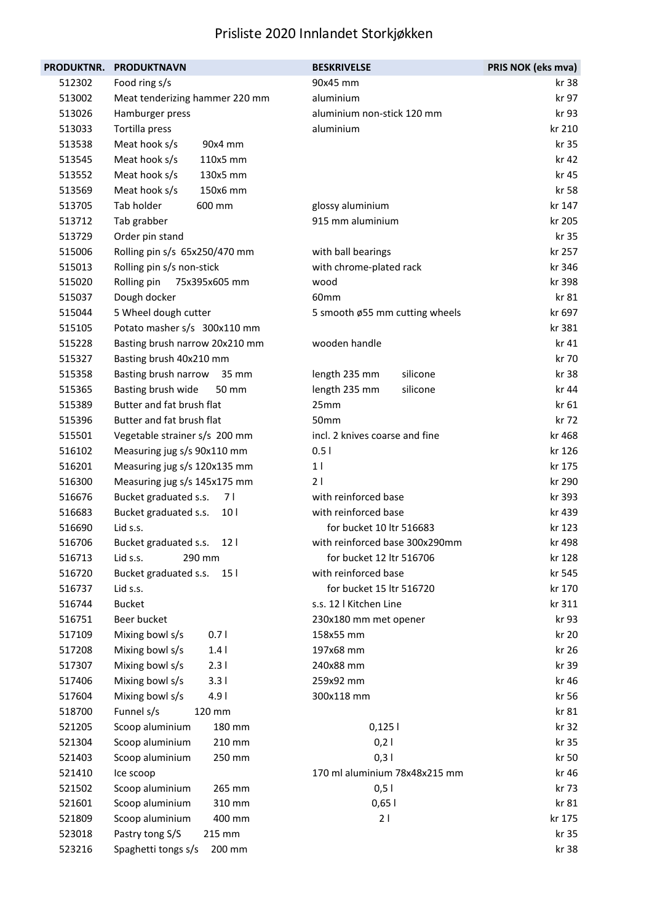| PRODUKTNR. | <b>PRODUKTNAVN</b>                       | <b>BESKRIVELSE</b>             | PRIS NOK (eks mva) |
|------------|------------------------------------------|--------------------------------|--------------------|
| 512302     | Food ring s/s                            | 90x45 mm                       | kr 38              |
| 513002     | Meat tenderizing hammer 220 mm           | aluminium                      | kr 97              |
| 513026     | Hamburger press                          | aluminium non-stick 120 mm     | kr 93              |
| 513033     | Tortilla press                           | aluminium                      | kr 210             |
| 513538     | Meat hook s/s<br>90x4 mm                 |                                | kr 35              |
| 513545     | Meat hook s/s<br>110x5 mm                |                                | kr 42              |
| 513552     | Meat hook s/s<br>130x5 mm                |                                | kr 45              |
| 513569     | Meat hook s/s<br>150x6 mm                |                                | kr 58              |
| 513705     | Tab holder<br>600 mm                     | glossy aluminium               | kr 147             |
| 513712     | Tab grabber                              | 915 mm aluminium               | kr 205             |
| 513729     | Order pin stand                          |                                | kr 35              |
| 515006     | Rolling pin s/s 65x250/470 mm            | with ball bearings             | kr 257             |
| 515013     | Rolling pin s/s non-stick                | with chrome-plated rack        | kr 346             |
| 515020     | Rolling pin<br>75x395x605 mm             | wood                           | kr 398             |
| 515037     | Dough docker                             | 60 <sub>mm</sub>               | kr 81              |
| 515044     | 5 Wheel dough cutter                     | 5 smooth ø55 mm cutting wheels | kr 697             |
| 515105     | Potato masher s/s 300x110 mm             |                                | kr 381             |
| 515228     | Basting brush narrow 20x210 mm           | wooden handle                  | kr 41              |
| 515327     | Basting brush 40x210 mm                  |                                | kr 70              |
| 515358     | Basting brush narrow<br>35 mm            | length 235 mm<br>silicone      | kr 38              |
| 515365     | Basting brush wide<br>50 mm              | length 235 mm<br>silicone      | kr 44              |
| 515389     | Butter and fat brush flat                | 25mm                           | kr 61              |
| 515396     | Butter and fat brush flat                | 50mm                           | kr 72              |
| 515501     | Vegetable strainer s/s 200 mm            | incl. 2 knives coarse and fine | kr 468             |
| 516102     | Measuring jug s/s 90x110 mm              | 0.51                           | kr 126             |
| 516201     | Measuring jug s/s 120x135 mm             | 1 <sup>1</sup>                 | kr 175             |
| 516300     | Measuring jug s/s 145x175 mm             | 21                             | kr 290             |
| 516676     | 7 I<br>Bucket graduated s.s.             | with reinforced base           | kr 393             |
| 516683     | 10 <sub>1</sub><br>Bucket graduated s.s. | with reinforced base           | kr 439             |
| 516690     | Lid s.s.                                 | for bucket 10 ltr 516683       | kr 123             |
| 516706     | Bucket graduated s.s.<br>12 <sub>1</sub> | with reinforced base 300x290mm | kr 498             |
| 516713     | Lid s.s.<br>290 mm                       | for bucket 12 ltr 516706       | kr 128             |
| 516720     | 15 <sub>1</sub><br>Bucket graduated s.s. | with reinforced base           | kr 545             |
| 516737     | Lid s.s.                                 | for bucket 15 ltr 516720       | kr 170             |
| 516744     | <b>Bucket</b>                            | s.s. 12   Kitchen Line         | kr 311             |
| 516751     | Beer bucket                              | 230x180 mm met opener          | kr 93              |
| 517109     | Mixing bowl s/s<br>0.71                  | 158x55 mm                      | kr 20              |
| 517208     | 1.4<br>Mixing bowl s/s                   | 197x68 mm                      | kr 26              |
| 517307     | Mixing bowl s/s<br>2.31                  | 240x88 mm                      | kr 39              |
| 517406     | Mixing bowl s/s<br>3.31                  | 259x92 mm                      | kr 46              |
| 517604     | Mixing bowl s/s<br>4.91                  | 300x118 mm                     | kr 56              |
| 518700     | Funnel s/s<br>120 mm                     |                                | kr 81              |
| 521205     | Scoop aluminium<br>180 mm                | 0,1251                         | kr 32              |
| 521304     | Scoop aluminium<br>210 mm                | 0,21                           | kr 35              |
| 521403     | Scoop aluminium<br>250 mm                | 0,31                           | kr 50              |
| 521410     | Ice scoop                                | 170 ml aluminium 78x48x215 mm  | kr 46              |
| 521502     | Scoop aluminium<br>265 mm                | 0,5                            | kr 73              |
| 521601     | 310 mm<br>Scoop aluminium                | 0,651                          | kr 81              |
| 521809     | Scoop aluminium<br>400 mm                | 21                             | kr 175             |
| 523018     | Pastry tong S/S<br>215 mm                |                                | kr 35              |
| 523216     | Spaghetti tongs s/s<br>200 mm            |                                | kr 38              |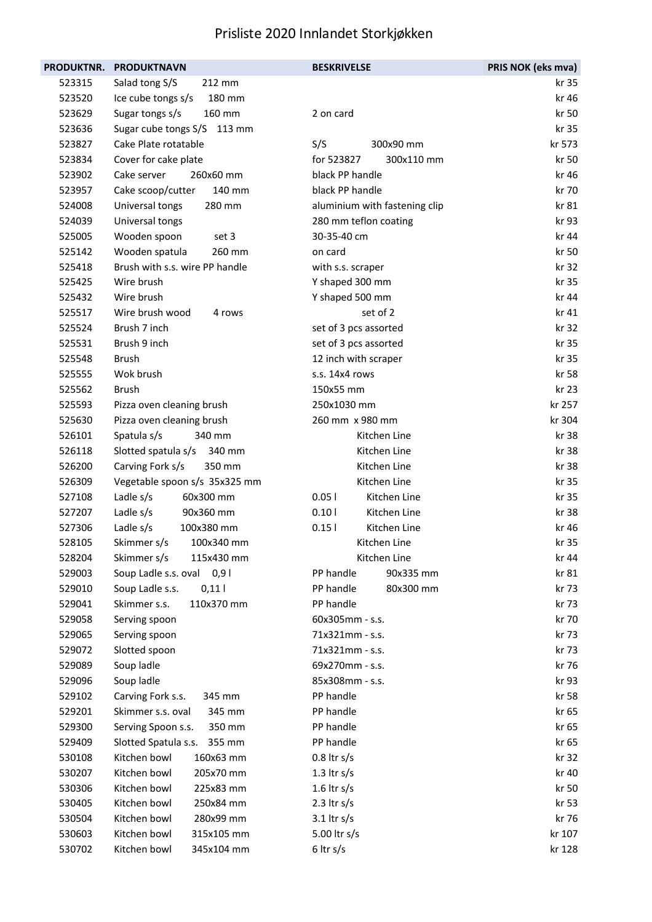| <b>PRODUKTNR.</b> | <b>PRODUKTNAVN</b>             | <b>BESKRIVELSE</b>            | PRIS NOK (eks mva) |
|-------------------|--------------------------------|-------------------------------|--------------------|
| 523315            | Salad tong S/S<br>212 mm       |                               | kr 35              |
| 523520            | 180 mm<br>Ice cube tongs s/s   |                               | kr 46              |
| 523629            | Sugar tongs s/s<br>160 mm      | 2 on card                     | kr 50              |
| 523636            | Sugar cube tongs S/S<br>113 mm |                               | kr 35              |
| 523827            | Cake Plate rotatable           | S/S<br>300x90 mm              | kr 573             |
| 523834            | Cover for cake plate           | for 523827<br>300x110 mm      | kr 50              |
| 523902            | Cake server<br>260x60 mm       | black PP handle               | kr 46              |
| 523957            | Cake scoop/cutter<br>140 mm    | black PP handle               | kr 70              |
| 524008            | 280 mm<br>Universal tongs      | aluminium with fastening clip | kr 81              |
| 524039            | Universal tongs                | 280 mm teflon coating         | kr 93              |
| 525005            | Wooden spoon<br>set 3          | 30-35-40 cm                   | kr 44              |
| 525142            | Wooden spatula<br>260 mm       | on card                       | kr 50              |
| 525418            | Brush with s.s. wire PP handle | with s.s. scraper             | kr 32              |
| 525425            | Wire brush                     | Y shaped 300 mm               | kr 35              |
| 525432            | Wire brush                     | Y shaped 500 mm               | kr 44              |
| 525517            | Wire brush wood<br>4 rows      | set of 2                      | kr 41              |
| 525524            | Brush 7 inch                   | set of 3 pcs assorted         | kr 32              |
| 525531            | Brush 9 inch                   | set of 3 pcs assorted         | kr 35              |
| 525548            | <b>Brush</b>                   | 12 inch with scraper          | kr 35              |
| 525555            | Wok brush                      | s.s. 14x4 rows                | kr 58              |
| 525562            | <b>Brush</b>                   | 150x55 mm                     | kr 23              |
| 525593            | Pizza oven cleaning brush      | 250x1030 mm                   | kr 257             |
| 525630            | Pizza oven cleaning brush      | 260 mm x 980 mm               | kr 304             |
| 526101            | Spatula s/s<br>340 mm          | Kitchen Line                  | kr 38              |
| 526118            | Slotted spatula s/s<br>340 mm  | Kitchen Line                  | kr 38              |
| 526200            | 350 mm<br>Carving Fork s/s     | Kitchen Line                  | kr 38              |
| 526309            | Vegetable spoon s/s 35x325 mm  | Kitchen Line                  | kr 35              |
| 527108            | Ladle s/s<br>60x300 mm         | 0.051<br>Kitchen Line         | kr 35              |
| 527207            | Ladle s/s<br>90x360 mm         | 0.101<br>Kitchen Line         | kr 38              |
| 527306            | Ladle s/s<br>100x380 mm        | 0.15<br>Kitchen Line          | kr 46              |
| 528105            | Skimmer s/s<br>100x340 mm      | Kitchen Line                  | kr 35              |
| 528204            | Skimmer s/s<br>115x430 mm      | Kitchen Line                  | kr 44              |
| 529003            | Soup Ladle s.s. oval 0,9 l     | PP handle<br>90x335 mm        | kr 81              |
| 529010            | Soup Ladle s.s.<br>$0,11$      | PP handle<br>80x300 mm        | kr 73              |
| 529041            | Skimmer s.s.<br>110x370 mm     | PP handle                     | kr 73              |
| 529058            | Serving spoon                  | 60x305mm - s.s.               | kr 70              |
| 529065            | Serving spoon                  | 71x321mm - s.s.               | kr 73              |
| 529072            | Slotted spoon                  | 71x321mm - s.s.               | kr 73              |
| 529089            | Soup ladle                     | 69x270mm - s.s.               | kr 76              |
| 529096            | Soup ladle                     | 85x308mm - s.s.               | kr 93              |
| 529102            | Carving Fork s.s.<br>345 mm    | PP handle                     | kr 58              |
| 529201            | Skimmer s.s. oval<br>345 mm    | PP handle                     | kr 65              |
| 529300            | Serving Spoon s.s.<br>350 mm   | PP handle                     | kr 65              |
| 529409            | 355 mm<br>Slotted Spatula s.s. | PP handle                     | kr 65              |
| 530108            | Kitchen bowl<br>160x63 mm      | $0.8$ ltr s/s                 | kr 32              |
| 530207            | Kitchen bowl<br>205x70 mm      | 1.3 $\text{tr } s/s$          | kr 40              |
| 530306            | Kitchen bowl<br>225x83 mm      | $1.6$ ltr s/s                 | kr 50              |
| 530405            | Kitchen bowl<br>250x84 mm      | 2.3 $\text{tr } s/s$          | kr 53              |
| 530504            | Kitchen bowl<br>280x99 mm      | $3.1$ ltr s/s                 | kr 76              |
| 530603            | Kitchen bowl<br>315x105 mm     | 5.00 ltr s/s                  | kr 107             |
| 530702            | Kitchen bowl<br>345x104 mm     | $6$ ltr s/s                   | kr 128             |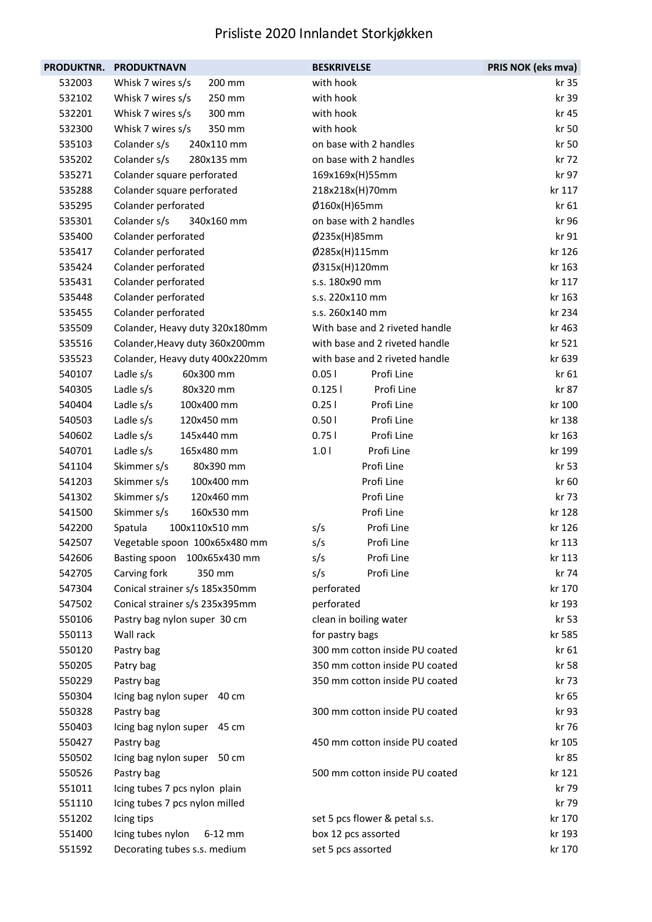| PRODUKTNR. | <b>PRODUKTNAVN</b>             | <b>BESKRIVELSE</b>             | PRIS NOK (eks mva) |
|------------|--------------------------------|--------------------------------|--------------------|
| 532003     | Whisk 7 wires s/s<br>200 mm    | with hook                      | kr 35              |
| 532102     | Whisk 7 wires s/s<br>250 mm    | with hook                      | kr 39              |
| 532201     | Whisk 7 wires s/s<br>300 mm    | with hook                      | kr 45              |
| 532300     | Whisk 7 wires s/s<br>350 mm    | with hook                      | kr 50              |
| 535103     | Colander s/s<br>240x110 mm     | on base with 2 handles         | kr 50              |
| 535202     | Colander s/s<br>280x135 mm     | on base with 2 handles         | kr 72              |
| 535271     | Colander square perforated     | 169x169x(H)55mm                | kr 97              |
| 535288     | Colander square perforated     | 218x218x(H)70mm                | kr 117             |
| 535295     | Colander perforated            | Ø160x(H)65mm                   | kr 61              |
| 535301     | Colander s/s<br>340x160 mm     | on base with 2 handles         | kr 96              |
| 535400     | Colander perforated            | Ø235x(H)85mm                   | kr 91              |
| 535417     | Colander perforated            | Ø285x(H)115mm                  | kr 126             |
| 535424     | Colander perforated            | Ø315x(H)120mm                  | kr 163             |
| 535431     | Colander perforated            | s.s. 180x90 mm                 | kr 117             |
| 535448     | Colander perforated            | s.s. 220x110 mm                | kr 163             |
| 535455     | Colander perforated            | s.s. 260x140 mm                | kr 234             |
| 535509     | Colander, Heavy duty 320x180mm | With base and 2 riveted handle | kr 463             |
| 535516     | Colander, Heavy duty 360x200mm | with base and 2 riveted handle | kr 521             |
| 535523     | Colander, Heavy duty 400x220mm | with base and 2 riveted handle | kr 639             |
| 540107     | Ladle s/s<br>60x300 mm         | 0.051<br>Profi Line            | kr 61              |
| 540305     | Ladle s/s<br>80x320 mm         | Profi Line<br>0.1251           | kr 87              |
| 540404     | Ladle s/s<br>100x400 mm        | 0.251<br>Profi Line            | kr 100             |
| 540503     | Ladle s/s<br>120x450 mm        | Profi Line<br>0.501            | kr 138             |
| 540602     | Ladle s/s<br>145x440 mm        | Profi Line<br>0.751            | kr 163             |
| 540701     | Ladle s/s<br>165x480 mm        | 1.01<br>Profi Line             | kr 199             |
| 541104     | Skimmer s/s<br>80x390 mm       | Profi Line                     | kr 53              |
| 541203     | Skimmer s/s<br>100x400 mm      | Profi Line                     | kr 60              |
| 541302     | Skimmer s/s<br>120x460 mm      | Profi Line                     | kr 73              |
| 541500     | Skimmer s/s<br>160x530 mm      | Profi Line                     | kr 128             |
| 542200     | 100x110x510 mm<br>Spatula      | Profi Line<br>s/s              | kr 126             |
| 542507     | Vegetable spoon 100x65x480 mm  | Profi Line<br>s/s              | kr 113             |
| 542606     | Basting spoon 100x65x430 mm    | Profi Line<br>s/s              | kr 113             |
| 542705     | Carving fork<br>350 mm         | Profi Line<br>s/s              | kr 74              |
| 547304     | Conical strainer s/s 185x350mm | perforated                     | kr 170             |
| 547502     | Conical strainer s/s 235x395mm | perforated                     | kr 193             |
| 550106     | Pastry bag nylon super 30 cm   | clean in boiling water         | kr 53              |
| 550113     | Wall rack                      | for pastry bags                | kr 585             |
| 550120     | Pastry bag                     | 300 mm cotton inside PU coated | kr 61              |
| 550205     | Patry bag                      | 350 mm cotton inside PU coated | kr 58              |
| 550229     | Pastry bag                     | 350 mm cotton inside PU coated | kr 73              |
| 550304     | Icing bag nylon super 40 cm    |                                | kr 65              |
| 550328     | Pastry bag                     | 300 mm cotton inside PU coated | kr 93              |
| 550403     | Icing bag nylon super 45 cm    |                                | kr 76              |
| 550427     | Pastry bag                     | 450 mm cotton inside PU coated | kr 105             |
| 550502     | Icing bag nylon super 50 cm    |                                | kr 85              |
| 550526     | Pastry bag                     | 500 mm cotton inside PU coated | kr 121             |
| 551011     | Icing tubes 7 pcs nylon plain  |                                | kr 79              |
| 551110     | Icing tubes 7 pcs nylon milled |                                | kr 79              |
| 551202     | Icing tips                     | set 5 pcs flower & petal s.s.  | kr 170             |
| 551400     | Icing tubes nylon<br>$6-12$ mm | box 12 pcs assorted            | kr 193             |
| 551592     | Decorating tubes s.s. medium   | set 5 pcs assorted             | kr 170             |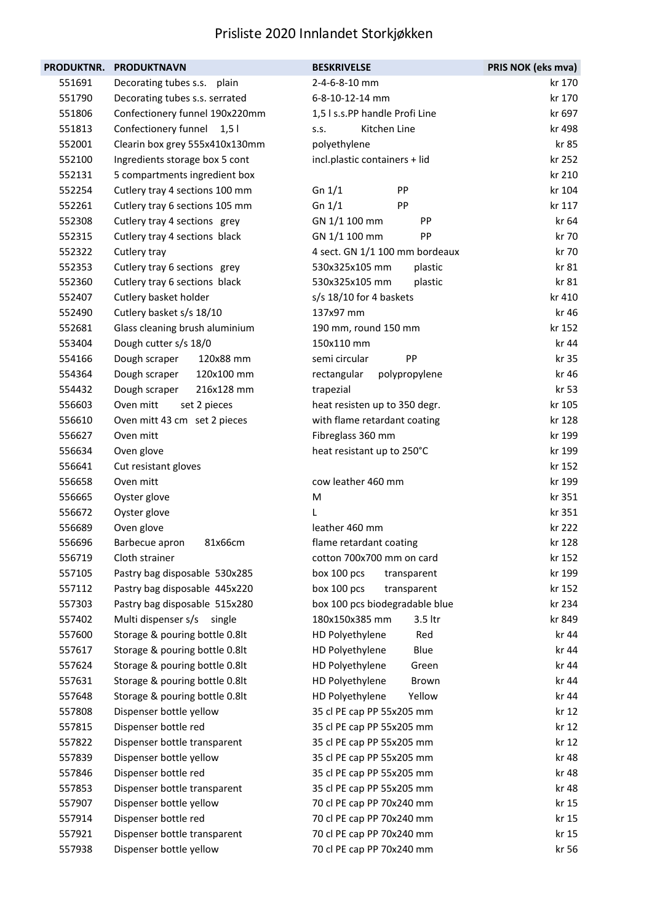|        | PRODUKTNR. PRODUKTNAVN         | <b>BESKRIVELSE</b>              | PRIS NOK (eks mva) |
|--------|--------------------------------|---------------------------------|--------------------|
| 551691 | Decorating tubes s.s. plain    | 2-4-6-8-10 mm                   | kr 170             |
| 551790 | Decorating tubes s.s. serrated | 6-8-10-12-14 mm                 | kr 170             |
| 551806 | Confectionery funnel 190x220mm | 1,5 l s.s.PP handle Profi Line  | kr 697             |
| 551813 | Confectionery funnel 1,51      | Kitchen Line<br>S.S.            | kr 498             |
| 552001 | Clearin box grey 555x410x130mm | polyethylene                    | kr 85              |
| 552100 | Ingredients storage box 5 cont | incl.plastic containers + lid   | kr 252             |
| 552131 | 5 compartments ingredient box  |                                 | kr 210             |
| 552254 | Cutlery tray 4 sections 100 mm | Gn $1/1$<br>PP                  | kr 104             |
| 552261 | Cutlery tray 6 sections 105 mm | Gn $1/1$<br>PP                  | kr 117             |
| 552308 | Cutlery tray 4 sections grey   | GN 1/1 100 mm<br>PP             | kr 64              |
| 552315 | Cutlery tray 4 sections black  | GN 1/1 100 mm<br>PP             | kr 70              |
| 552322 | Cutlery tray                   | 4 sect. GN 1/1 100 mm bordeaux  | kr 70              |
| 552353 | Cutlery tray 6 sections grey   | 530x325x105 mm<br>plastic       | kr 81              |
| 552360 | Cutlery tray 6 sections black  | 530x325x105 mm<br>plastic       | kr 81              |
| 552407 | Cutlery basket holder          | s/s 18/10 for 4 baskets         | kr 410             |
| 552490 | Cutlery basket s/s 18/10       | 137x97 mm                       | kr 46              |
| 552681 | Glass cleaning brush aluminium | 190 mm, round 150 mm            | kr 152             |
| 553404 | Dough cutter s/s 18/0          | 150x110 mm                      | kr 44              |
| 554166 | Dough scraper<br>120x88 mm     | semi circular<br>PP             | kr 35              |
| 554364 | Dough scraper<br>120x100 mm    | rectangular<br>polypropylene    | kr 46              |
| 554432 | Dough scraper<br>216x128 mm    | trapezial                       | kr 53              |
| 556603 | Oven mitt<br>set 2 pieces      | heat resisten up to 350 degr.   | kr 105             |
| 556610 | Oven mitt 43 cm set 2 pieces   | with flame retardant coating    | kr 128             |
| 556627 | Oven mitt                      | Fibreglass 360 mm               | kr 199             |
| 556634 | Oven glove                     | heat resistant up to 250°C      | kr 199             |
| 556641 | Cut resistant gloves           |                                 | kr 152             |
| 556658 | Oven mitt                      | cow leather 460 mm              | kr 199             |
| 556665 | Oyster glove                   | M                               | kr 351             |
| 556672 | Oyster glove                   | L                               | kr 351             |
| 556689 | Oven glove                     | leather 460 mm                  | kr 222             |
| 556696 | Barbecue apron<br>81x66cm      | flame retardant coating         | kr 128             |
| 556719 | Cloth strainer                 | cotton 700x700 mm on card       | kr 152             |
| 557105 | Pastry bag disposable 530x285  | box 100 pcs<br>transparent      | kr 199             |
| 557112 | Pastry bag disposable 445x220  | box 100 pcs<br>transparent      | kr 152             |
| 557303 | Pastry bag disposable 515x280  | box 100 pcs biodegradable blue  | kr 234             |
| 557402 | Multi dispenser s/s single     | 180x150x385 mm<br>3.5 ltr       | kr 849             |
| 557600 | Storage & pouring bottle 0.8lt | HD Polyethylene<br>Red          | kr 44              |
| 557617 | Storage & pouring bottle 0.8lt | Blue<br>HD Polyethylene         | kr 44              |
| 557624 | Storage & pouring bottle 0.8lt | HD Polyethylene<br>Green        | kr 44              |
| 557631 | Storage & pouring bottle 0.8lt | HD Polyethylene<br><b>Brown</b> | kr 44              |
| 557648 | Storage & pouring bottle 0.8lt | HD Polyethylene<br>Yellow       | kr 44              |
| 557808 | Dispenser bottle yellow        | 35 cl PE cap PP 55x205 mm       | kr 12              |
| 557815 | Dispenser bottle red           | 35 cl PE cap PP 55x205 mm       | kr 12              |
| 557822 | Dispenser bottle transparent   | 35 cl PE cap PP 55x205 mm       | kr 12              |
| 557839 | Dispenser bottle yellow        | 35 cl PE cap PP 55x205 mm       | kr 48              |
| 557846 | Dispenser bottle red           | 35 cl PE cap PP 55x205 mm       | kr 48              |
| 557853 | Dispenser bottle transparent   | 35 cl PE cap PP 55x205 mm       | kr 48              |
| 557907 | Dispenser bottle yellow        | 70 cl PE cap PP 70x240 mm       | kr 15              |
| 557914 | Dispenser bottle red           | 70 cl PE cap PP 70x240 mm       | kr 15              |
| 557921 | Dispenser bottle transparent   | 70 cl PE cap PP 70x240 mm       | kr 15              |
| 557938 | Dispenser bottle yellow        | 70 cl PE cap PP 70x240 mm       | kr 56              |
|        |                                |                                 |                    |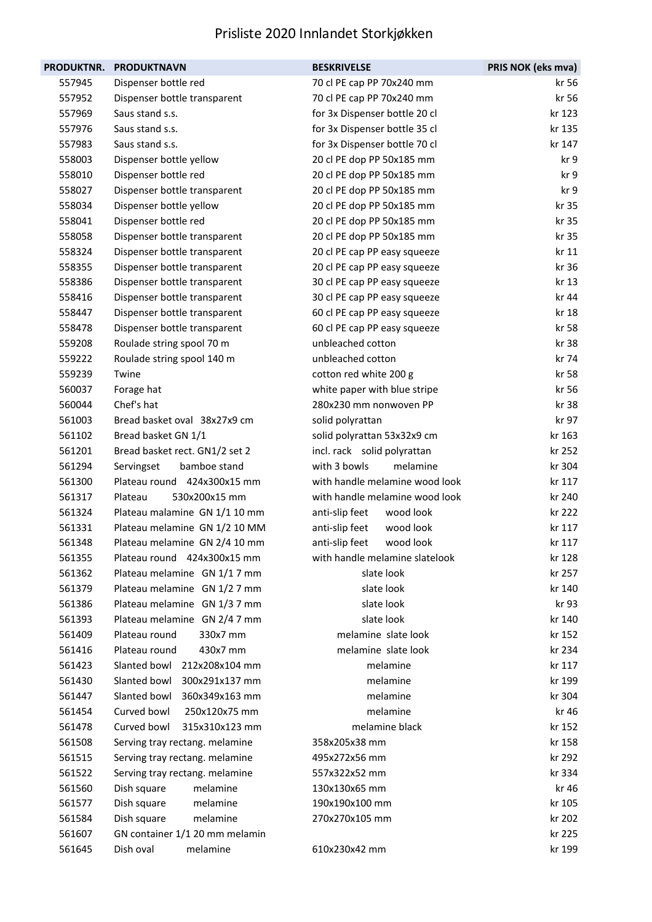| <b>PRODUKTNR.</b> | <b>PRODUKTNAVN</b>             | <b>BESKRIVELSE</b>             | PRIS NOK (eks mva) |
|-------------------|--------------------------------|--------------------------------|--------------------|
| 557945            | Dispenser bottle red           | 70 cl PE cap PP 70x240 mm      | kr 56              |
| 557952            | Dispenser bottle transparent   | 70 cl PE cap PP 70x240 mm      | kr 56              |
| 557969            | Saus stand s.s.                | for 3x Dispenser bottle 20 cl  | kr 123             |
| 557976            | Saus stand s.s.                | for 3x Dispenser bottle 35 cl  | kr 135             |
| 557983            | Saus stand s.s.                | for 3x Dispenser bottle 70 cl  | kr 147             |
| 558003            | Dispenser bottle yellow        | 20 cl PE dop PP 50x185 mm      | kr 9               |
| 558010            | Dispenser bottle red           | 20 cl PE dop PP 50x185 mm      | kr 9               |
| 558027            | Dispenser bottle transparent   | 20 cl PE dop PP 50x185 mm      | kr 9               |
| 558034            | Dispenser bottle yellow        | 20 cl PE dop PP 50x185 mm      | kr 35              |
| 558041            | Dispenser bottle red           | 20 cl PE dop PP 50x185 mm      | kr 35              |
| 558058            | Dispenser bottle transparent   | 20 cl PE dop PP 50x185 mm      | kr 35              |
| 558324            | Dispenser bottle transparent   | 20 cl PE cap PP easy squeeze   | kr 11              |
| 558355            | Dispenser bottle transparent   | 20 cl PE cap PP easy squeeze   | kr 36              |
| 558386            | Dispenser bottle transparent   | 30 cl PE cap PP easy squeeze   | kr 13              |
| 558416            | Dispenser bottle transparent   | 30 cl PE cap PP easy squeeze   | kr 44              |
| 558447            | Dispenser bottle transparent   | 60 cl PE cap PP easy squeeze   | kr 18              |
| 558478            | Dispenser bottle transparent   | 60 cl PE cap PP easy squeeze   | kr 58              |
| 559208            | Roulade string spool 70 m      | unbleached cotton              | kr 38              |
| 559222            | Roulade string spool 140 m     | unbleached cotton              | kr 74              |
| 559239            | Twine                          | cotton red white 200 g         | kr 58              |
| 560037            | Forage hat                     | white paper with blue stripe   | kr 56              |
| 560044            | Chef's hat                     | 280x230 mm nonwoven PP         | kr 38              |
| 561003            | Bread basket oval 38x27x9 cm   | solid polyrattan               | kr 97              |
| 561102            | Bread basket GN 1/1            | solid polyrattan 53x32x9 cm    | kr 163             |
| 561201            | Bread basket rect. GN1/2 set 2 | incl. rack solid polyrattan    | kr 252             |
| 561294            | bamboe stand<br>Servingset     | with 3 bowls<br>melamine       | kr 304             |
| 561300            | Plateau round 424x300x15 mm    | with handle melamine wood look | kr 117             |
| 561317            | Plateau<br>530x200x15 mm       | with handle melamine wood look | kr 240             |
| 561324            | Plateau malamine GN 1/1 10 mm  | wood look<br>anti-slip feet    | kr 222             |
| 561331            | Plateau melamine GN 1/2 10 MM  | anti-slip feet<br>wood look    | kr 117             |
| 561348            | Plateau melamine GN 2/4 10 mm  | anti-slip feet<br>wood look    | kr 117             |
| 561355            | Plateau round 424x300x15 mm    | with handle melamine slatelook | kr 128             |
| 561362            | Plateau melamine GN 1/1 7 mm   | slate look                     | kr 257             |
| 561379            | Plateau melamine GN 1/2 7 mm   | slate look                     | kr 140             |
| 561386            | Plateau melamine GN 1/3 7 mm   | slate look                     | kr 93              |
| 561393            | Plateau melamine GN 2/4 7 mm   | slate look                     | kr 140             |
| 561409            | Plateau round<br>330x7 mm      | melamine slate look            | kr 152             |
| 561416            | Plateau round<br>430x7 mm      | melamine slate look            | kr 234             |
| 561423            | Slanted bowl 212x208x104 mm    | melamine                       | kr 117             |
| 561430            | Slanted bowl<br>300x291x137 mm | melamine                       | kr 199             |
| 561447            | Slanted bowl<br>360x349x163 mm | melamine                       | kr 304             |
| 561454            | Curved bowl<br>250x120x75 mm   | melamine                       | kr 46              |
| 561478            | Curved bowl<br>315x310x123 mm  | melamine black                 | kr 152             |
| 561508            | Serving tray rectang. melamine | 358x205x38 mm                  | kr 158             |
| 561515            | Serving tray rectang. melamine | 495x272x56 mm                  | kr 292             |
| 561522            | Serving tray rectang. melamine | 557x322x52 mm                  | kr 334             |
| 561560            | melamine<br>Dish square        | 130x130x65 mm                  | kr 46              |
| 561577            | Dish square<br>melamine        | 190x190x100 mm                 | kr 105             |
| 561584            | melamine<br>Dish square        | 270x270x105 mm                 | kr 202             |
| 561607            | GN container 1/1 20 mm melamin |                                | kr 225             |
| 561645            | Dish oval<br>melamine          | 610x230x42 mm                  | kr 199             |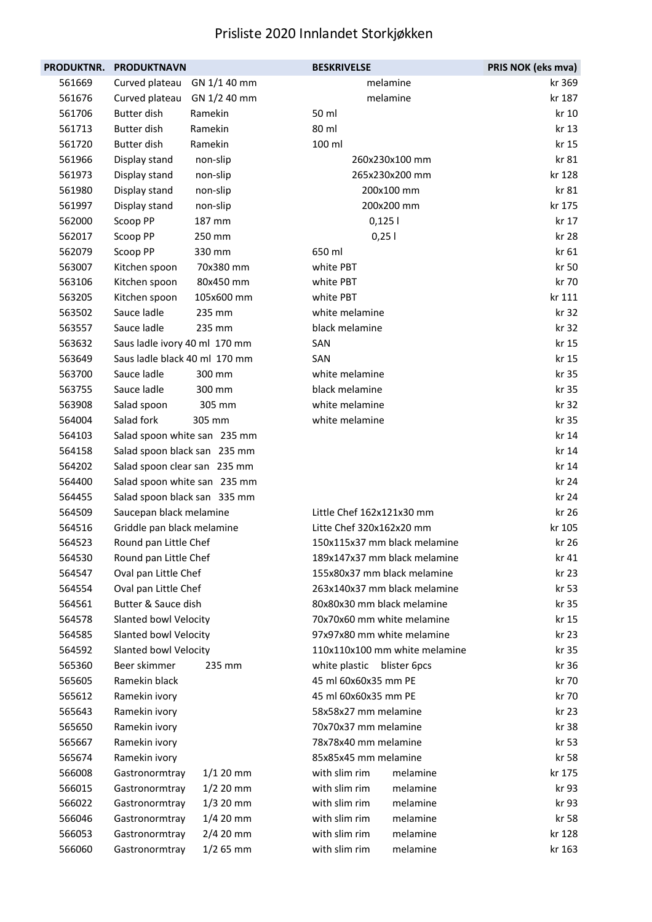| <b>PRODUKTNR.</b> | <b>PRODUKTNAVN</b>             | <b>BESKRIVELSE</b>            | PRIS NOK (eks mva) |
|-------------------|--------------------------------|-------------------------------|--------------------|
| 561669            | Curved plateau<br>GN 1/1 40 mm | melamine                      | kr 369             |
| 561676            | Curved plateau<br>GN 1/2 40 mm | melamine                      | kr 187             |
| 561706            | Butter dish<br>Ramekin         | 50 ml                         | kr 10              |
| 561713            | <b>Butter dish</b><br>Ramekin  | 80 ml                         | kr 13              |
| 561720            | <b>Butter dish</b><br>Ramekin  | 100 ml                        | kr 15              |
| 561966            | Display stand<br>non-slip      | 260x230x100 mm                | kr 81              |
| 561973            | Display stand<br>non-slip      | 265x230x200 mm                | kr 128             |
| 561980            | Display stand<br>non-slip      | 200x100 mm                    | kr 81              |
| 561997            | Display stand<br>non-slip      | 200x200 mm                    | kr 175             |
| 562000            | Scoop PP<br>187 mm             | 0,1251                        | kr 17              |
| 562017            | Scoop PP<br>250 mm             | 0,251                         | kr 28              |
| 562079            | Scoop PP<br>330 mm             | 650 ml                        | kr 61              |
| 563007            | 70x380 mm<br>Kitchen spoon     | white PBT                     | kr 50              |
| 563106            | 80x450 mm<br>Kitchen spoon     | white PBT                     | kr 70              |
| 563205            | Kitchen spoon<br>105x600 mm    | white PBT                     | kr 111             |
| 563502            | Sauce ladle<br>235 mm          | white melamine                | kr 32              |
| 563557            | Sauce ladle<br>235 mm          | black melamine                | kr 32              |
| 563632            | Saus ladle ivory 40 ml 170 mm  | SAN                           | kr 15              |
| 563649            | Saus ladle black 40 ml 170 mm  | SAN                           | kr 15              |
| 563700            | Sauce ladle<br>300 mm          | white melamine                | kr 35              |
| 563755            | Sauce ladle<br>300 mm          | black melamine                | kr 35              |
| 563908            | Salad spoon<br>305 mm          | white melamine                | kr 32              |
| 564004            | Salad fork<br>305 mm           | white melamine                | kr 35              |
| 564103            | Salad spoon white san 235 mm   |                               | kr 14              |
| 564158            | Salad spoon black san 235 mm   |                               | kr 14              |
| 564202            | Salad spoon clear san 235 mm   |                               | kr 14              |
| 564400            | Salad spoon white san 235 mm   |                               | kr 24              |
| 564455            | Salad spoon black san 335 mm   |                               | kr 24              |
| 564509            | Saucepan black melamine        | Little Chef 162x121x30 mm     | kr 26              |
| 564516            | Griddle pan black melamine     | Litte Chef 320x162x20 mm      | kr 105             |
| 564523            | Round pan Little Chef          | 150x115x37 mm black melamine  | kr 26              |
| 564530            | Round pan Little Chef          | 189x147x37 mm black melamine  | kr 41              |
| 564547            | Oval pan Little Chef           | 155x80x37 mm black melamine   | kr 23              |
| 564554            | Oval pan Little Chef           | 263x140x37 mm black melamine  | kr 53              |
| 564561            | Butter & Sauce dish            | 80x80x30 mm black melamine    | kr 35              |
| 564578            | Slanted bowl Velocity          | 70x70x60 mm white melamine    | kr 15              |
| 564585            | Slanted bowl Velocity          | 97x97x80 mm white melamine    | kr 23              |
| 564592            | Slanted bowl Velocity          | 110x110x100 mm white melamine | kr 35              |
| 565360            | Beer skimmer<br>235 mm         | white plastic<br>blister 6pcs | kr 36              |
| 565605            | Ramekin black                  | 45 ml 60x60x35 mm PE          | kr 70              |
| 565612            | Ramekin ivory                  | 45 ml 60x60x35 mm PE          | kr 70              |
| 565643            | Ramekin ivory                  | 58x58x27 mm melamine          | kr 23              |
| 565650            | Ramekin ivory                  | 70x70x37 mm melamine          | kr 38              |
| 565667            | Ramekin ivory                  | 78x78x40 mm melamine          | kr 53              |
| 565674            | Ramekin ivory                  | 85x85x45 mm melamine          | kr 58              |
| 566008            | $1/120$ mm<br>Gastronormtray   | with slim rim<br>melamine     | kr 175             |
| 566015            | $1/2$ 20 mm<br>Gastronormtray  | with slim rim<br>melamine     | kr 93              |
| 566022            | $1/3$ 20 mm<br>Gastronormtray  | with slim rim<br>melamine     | kr 93              |
| 566046            | $1/4$ 20 mm<br>Gastronormtray  | with slim rim<br>melamine     | kr 58              |
| 566053            | $2/4$ 20 mm<br>Gastronormtray  | melamine<br>with slim rim     | kr 128             |
| 566060            | $1/2$ 65 mm<br>Gastronormtray  | with slim rim<br>melamine     | kr 163             |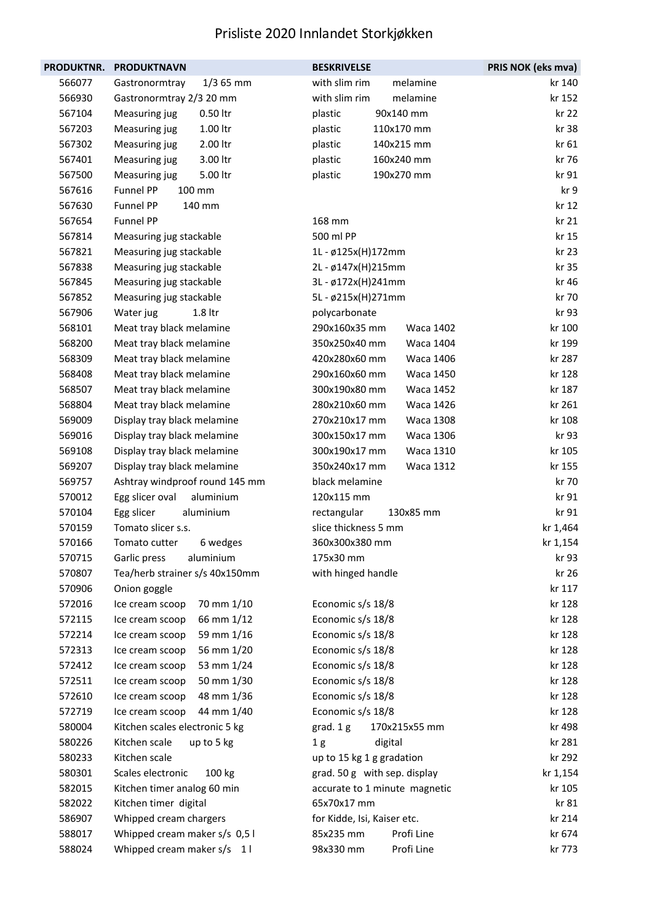| PRODUKTNR. | <b>PRODUKTNAVN</b>             | <b>BESKRIVELSE</b>                | PRIS NOK (eks mva) |
|------------|--------------------------------|-----------------------------------|--------------------|
| 566077     | Gastronormtray<br>$1/3$ 65 mm  | with slim rim<br>melamine         | kr 140             |
| 566930     | Gastronormtray 2/3 20 mm       | with slim rim<br>melamine         | kr 152             |
| 567104     | 0.50 ltr<br>Measuring jug      | 90x140 mm<br>plastic              | kr 22              |
| 567203     | 1.00 ltr<br>Measuring jug      | 110x170 mm<br>plastic             | kr 38              |
| 567302     | 2.00 ltr<br>Measuring jug      | plastic<br>140x215 mm             | kr 61              |
| 567401     | 3.00 ltr<br>Measuring jug      | 160x240 mm<br>plastic             | kr 76              |
| 567500     | 5.00 ltr<br>Measuring jug      | 190x270 mm<br>plastic             | kr 91              |
| 567616     | Funnel PP<br>100 mm            |                                   | kr 9               |
| 567630     | Funnel PP<br>140 mm            |                                   | kr 12              |
| 567654     | Funnel PP                      | 168 mm                            | kr 21              |
| 567814     | Measuring jug stackable        | 500 ml PP                         | kr 15              |
| 567821     | Measuring jug stackable        | 1L - ø125x(H)172mm                | kr 23              |
| 567838     | Measuring jug stackable        | 2L - ø147x(H)215mm                | kr 35              |
| 567845     | Measuring jug stackable        | 3L - ø172x(H)241mm                | kr 46              |
| 567852     | Measuring jug stackable        | 5L - ø215x(H)271mm                | kr 70              |
| 567906     | 1.8 ltr<br>Water jug           | polycarbonate                     | kr 93              |
| 568101     | Meat tray black melamine       | 290x160x35 mm<br>Waca 1402        | kr 100             |
| 568200     | Meat tray black melamine       | 350x250x40 mm<br><b>Waca 1404</b> | kr 199             |
| 568309     | Meat tray black melamine       | 420x280x60 mm<br>Waca 1406        | kr 287             |
| 568408     | Meat tray black melamine       | 290x160x60 mm<br><b>Waca 1450</b> | kr 128             |
| 568507     | Meat tray black melamine       | 300x190x80 mm<br><b>Waca 1452</b> | kr 187             |
| 568804     | Meat tray black melamine       | 280x210x60 mm<br>Waca 1426        | kr 261             |
| 569009     | Display tray black melamine    | 270x210x17 mm<br>Waca 1308        | kr 108             |
| 569016     | Display tray black melamine    | 300x150x17 mm<br>Waca 1306        | kr 93              |
| 569108     | Display tray black melamine    | 300x190x17 mm<br>Waca 1310        | kr 105             |
| 569207     | Display tray black melamine    | 350x240x17 mm<br>Waca 1312        | kr 155             |
| 569757     | Ashtray windproof round 145 mm | black melamine                    | kr 70              |
| 570012     | aluminium<br>Egg slicer oval   | 120x115 mm                        | kr 91              |
| 570104     | Egg slicer<br>aluminium        | rectangular<br>130x85 mm          | kr 91              |
| 570159     | Tomato slicer s.s.             | slice thickness 5 mm              | kr 1,464           |
| 570166     | Tomato cutter<br>6 wedges      | 360x300x380 mm                    | kr 1,154           |
| 570715     | Garlic press<br>aluminium      | 175x30 mm                         | kr 93              |
| 570807     | Tea/herb strainer s/s 40x150mm | with hinged handle                | kr 26              |
| 570906     | Onion goggle                   |                                   | kr 117             |
| 572016     | 70 mm 1/10<br>Ice cream scoop  | Economic s/s 18/8                 | kr 128             |
| 572115     | 66 mm 1/12<br>Ice cream scoop  | Economic s/s 18/8                 | kr 128             |
| 572214     | 59 mm 1/16<br>Ice cream scoop  | Economic s/s 18/8                 | kr 128             |
| 572313     | 56 mm 1/20<br>Ice cream scoop  | Economic s/s 18/8                 | kr 128             |
| 572412     | 53 mm 1/24<br>Ice cream scoop  | Economic s/s 18/8                 | kr 128             |
| 572511     | 50 mm 1/30<br>Ice cream scoop  | Economic s/s 18/8                 | kr 128             |
| 572610     | 48 mm 1/36<br>Ice cream scoop  | Economic s/s 18/8                 | kr 128             |
| 572719     | 44 mm 1/40<br>Ice cream scoop  | Economic s/s 18/8                 | kr 128             |
| 580004     | Kitchen scales electronic 5 kg | grad. 1 g<br>170x215x55 mm        | kr 498             |
| 580226     | Kitchen scale<br>up to 5 kg    | digital<br>1 <sub>g</sub>         | kr 281             |
| 580233     | Kitchen scale                  | up to 15 kg 1 g gradation         | kr 292             |
| 580301     | Scales electronic<br>100 kg    | grad. 50 g with sep. display      | kr 1,154           |
| 582015     | Kitchen timer analog 60 min    | accurate to 1 minute magnetic     | kr 105             |
| 582022     | Kitchen timer digital          | 65x70x17 mm                       | kr 81              |
| 586907     | Whipped cream chargers         | for Kidde, Isi, Kaiser etc.       | kr 214             |
| 588017     | Whipped cream maker s/s 0,51   | 85x235 mm<br>Profi Line           | kr 674             |
| 588024     | Whipped cream maker s/s 11     | Profi Line<br>98x330 mm           | kr 773             |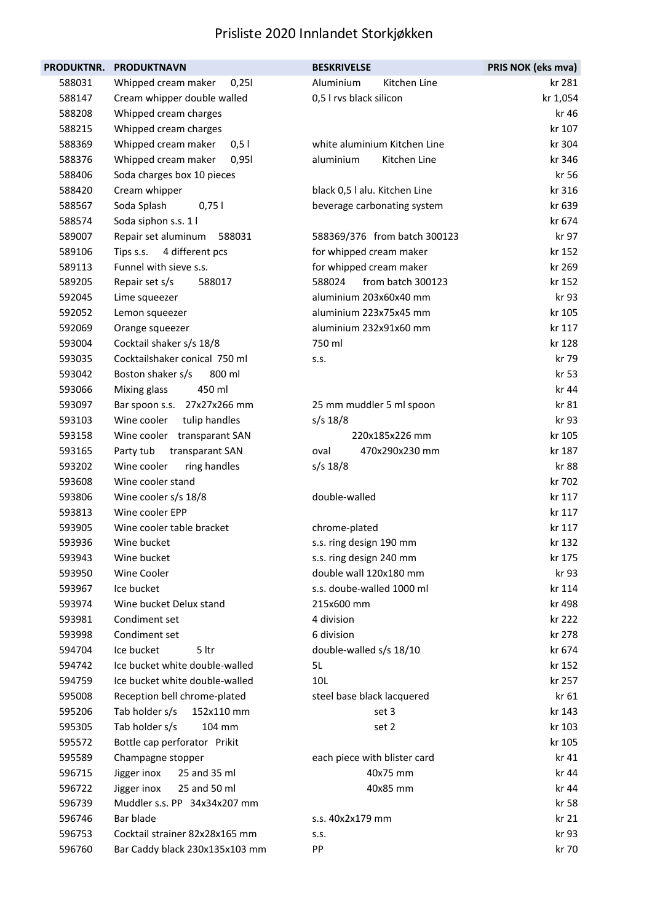| <b>PRODUKTNR.</b> | <b>PRODUKTNAVN</b>             | <b>BESKRIVELSE</b>            | PRIS NOK (eks mva) |
|-------------------|--------------------------------|-------------------------------|--------------------|
| 588031            | Whipped cream maker<br>0,251   | Aluminium<br>Kitchen Line     | kr 281             |
| 588147            | Cream whipper double walled    | 0,5 I rvs black silicon       | kr 1,054           |
| 588208            | Whipped cream charges          |                               | kr 46              |
| 588215            | Whipped cream charges          |                               | kr 107             |
| 588369            | Whipped cream maker<br>0,51    | white aluminium Kitchen Line  | kr 304             |
| 588376            | Whipped cream maker<br>0,951   | aluminium<br>Kitchen Line     | kr 346             |
| 588406            | Soda charges box 10 pieces     |                               | kr 56              |
| 588420            | Cream whipper                  | black 0,5 l alu. Kitchen Line | kr 316             |
| 588567            | Soda Splash<br>0,751           | beverage carbonating system   | kr 639             |
| 588574            | Soda siphon s.s. 1 l           |                               | kr 674             |
| 589007            | Repair set aluminum<br>588031  | 588369/376 from batch 300123  | kr 97              |
| 589106            | 4 different pcs<br>Tips s.s.   | for whipped cream maker       | kr 152             |
| 589113            | Funnel with sieve s.s.         | for whipped cream maker       | kr 269             |
| 589205            | Repair set s/s<br>588017       | from batch 300123<br>588024   | kr 152             |
| 592045            | Lime squeezer                  | aluminium 203x60x40 mm        | kr 93              |
| 592052            | Lemon squeezer                 | aluminium 223x75x45 mm        | kr 105             |
| 592069            | Orange squeezer                | aluminium 232x91x60 mm        | kr 117             |
| 593004            | Cocktail shaker s/s 18/8       | 750 ml                        | kr 128             |
| 593035            | Cocktailshaker conical 750 ml  | S.S.                          | kr 79              |
| 593042            | Boston shaker s/s<br>800 ml    |                               | kr 53              |
| 593066            | Mixing glass<br>450 ml         |                               | kr 44              |
| 593097            | Bar spoon s.s. 27x27x266 mm    | 25 mm muddler 5 ml spoon      | kr 81              |
| 593103            | Wine cooler<br>tulip handles   | $s/s$ 18/8                    | kr 93              |
| 593158            | Wine cooler transparant SAN    | 220x185x226 mm                | kr 105             |
| 593165            | transparant SAN<br>Party tub   | 470x290x230 mm<br>oval        | kr 187             |
| 593202            | Wine cooler<br>ring handles    | $s/s$ 18/8                    | kr 88              |
| 593608            | Wine cooler stand              |                               | kr 702             |
| 593806            | Wine cooler s/s 18/8           | double-walled                 | kr 117             |
| 593813            | Wine cooler EPP                |                               | kr 117             |
| 593905            | Wine cooler table bracket      | chrome-plated                 | kr 117             |
| 593936            | Wine bucket                    | s.s. ring design 190 mm       | kr 132             |
| 593943            | Wine bucket                    | s.s. ring design 240 mm       | kr 175             |
| 593950            | Wine Cooler                    | double wall 120x180 mm        | kr 93              |
| 593967            | Ice bucket                     | s.s. doube-walled 1000 ml     | kr 114             |
| 593974            | Wine bucket Delux stand        | 215x600 mm                    | kr 498             |
| 593981            | Condiment set                  | 4 division                    | kr 222             |
| 593998            | Condiment set                  | 6 division                    | kr 278             |
| 594704            | 5 ltr<br>Ice bucket            | double-walled s/s 18/10       | kr 674             |
| 594742            | Ice bucket white double-walled | 5L                            | kr 152             |
| 594759            | Ice bucket white double-walled | 10L                           | kr 257             |
| 595008            | Reception bell chrome-plated   | steel base black lacquered    | kr 61              |
| 595206            | Tab holder s/s<br>152x110 mm   | set 3                         | kr 143             |
| 595305            | Tab holder s/s<br>104 mm       | set 2                         | kr 103             |
| 595572            | Bottle cap perforator Prikit   |                               | kr 105             |
| 595589            | Champagne stopper              | each piece with blister card  | kr 41              |
| 596715            | 25 and 35 ml<br>Jigger inox    | 40x75 mm                      | kr 44              |
| 596722            | 25 and 50 ml<br>Jigger inox    | 40x85 mm                      | kr 44              |
| 596739            | Muddler s.s. PP 34x34x207 mm   |                               | kr 58              |
| 596746            | Bar blade                      | s.s. 40x2x179 mm              | kr 21              |
| 596753            | Cocktail strainer 82x28x165 mm | S.S.                          | kr 93              |
| 596760            | Bar Caddy black 230x135x103 mm | PP                            | kr 70              |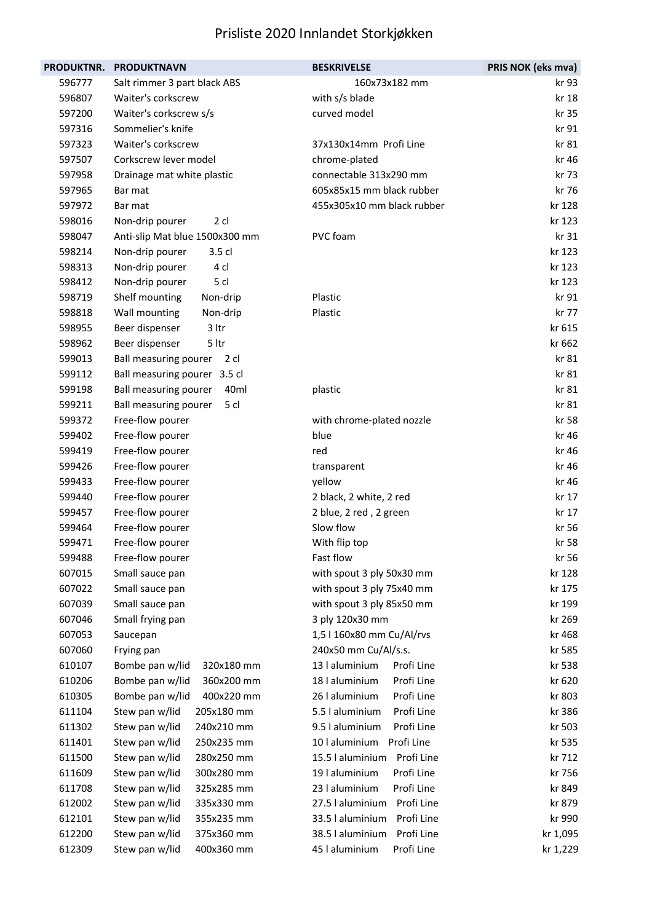| <b>PRODUKTNR.</b> | <b>PRODUKTNAVN</b>             | <b>BESKRIVELSE</b>             | PRIS NOK (eks mva) |
|-------------------|--------------------------------|--------------------------------|--------------------|
| 596777            | Salt rimmer 3 part black ABS   | 160x73x182 mm                  | kr 93              |
| 596807            | Waiter's corkscrew             | with s/s blade                 | kr 18              |
| 597200            | Waiter's corkscrew s/s         | curved model                   | kr 35              |
| 597316            | Sommelier's knife              |                                | kr 91              |
| 597323            | Waiter's corkscrew             | 37x130x14mm Profi Line         | kr 81              |
| 597507            | Corkscrew lever model          | chrome-plated                  | kr 46              |
| 597958            | Drainage mat white plastic     | connectable 313x290 mm         | kr 73              |
| 597965            | Bar mat                        | 605x85x15 mm black rubber      | kr 76              |
| 597972            | Bar mat                        | 455x305x10 mm black rubber     | kr 128             |
| 598016            | Non-drip pourer<br>2 cl        |                                | kr 123             |
| 598047            | Anti-slip Mat blue 1500x300 mm | PVC foam                       | kr 31              |
| 598214            | Non-drip pourer<br>3.5 cl      |                                | kr 123             |
| 598313            | Non-drip pourer<br>4 cl        |                                | kr 123             |
| 598412            | 5 cl<br>Non-drip pourer        |                                | kr 123             |
| 598719            | Shelf mounting<br>Non-drip     | Plastic                        | kr 91              |
| 598818            | Wall mounting<br>Non-drip      | Plastic                        | kr 77              |
| 598955            | Beer dispenser<br>3 ltr        |                                | kr 615             |
| 598962            | 5 ltr<br>Beer dispenser        |                                | kr 662             |
| 599013            | Ball measuring pourer<br>2 cl  |                                | kr 81              |
| 599112            | Ball measuring pourer 3.5 cl   |                                | kr 81              |
| 599198            | 40ml<br>Ball measuring pourer  | plastic                        | kr 81              |
| 599211            | Ball measuring pourer<br>5 cl  |                                | kr 81              |
| 599372            | Free-flow pourer               | with chrome-plated nozzle      | kr 58              |
| 599402            | Free-flow pourer               | blue                           | kr 46              |
| 599419            | Free-flow pourer               | red                            | kr 46              |
| 599426            | Free-flow pourer               | transparent                    | kr 46              |
| 599433            | Free-flow pourer               | yellow                         | kr 46              |
| 599440            | Free-flow pourer               | 2 black, 2 white, 2 red        | kr 17              |
| 599457            | Free-flow pourer               | 2 blue, 2 red, 2 green         | kr 17              |
| 599464            | Free-flow pourer               | Slow flow                      | kr 56              |
| 599471            | Free-flow pourer               | With flip top                  | kr 58              |
| 599488            | Free-flow pourer               | Fast flow                      | kr 56              |
| 607015            | Small sauce pan                | with spout 3 ply 50x30 mm      | kr 128             |
| 607022            | Small sauce pan                | with spout 3 ply 75x40 mm      | kr 175             |
| 607039            | Small sauce pan                | with spout 3 ply 85x50 mm      | kr 199             |
| 607046            | Small frying pan               | 3 ply 120x30 mm                | kr 269             |
| 607053            | Saucepan                       | 1,5   160x80 mm Cu/Al/rvs      | kr 468             |
| 607060            | Frying pan                     | 240x50 mm Cu/Al/s.s.           | kr 585             |
| 610107            | Bombe pan w/lid<br>320x180 mm  | 13   aluminium<br>Profi Line   | kr 538             |
| 610206            | 360x200 mm<br>Bombe pan w/lid  | Profi Line<br>18 l aluminium   | kr 620             |
| 610305            | Bombe pan w/lid<br>400x220 mm  | 26 l aluminium<br>Profi Line   | kr 803             |
| 611104            | Stew pan w/lid<br>205x180 mm   | 5.5 l aluminium<br>Profi Line  | kr 386             |
| 611302            | 240x210 mm<br>Stew pan w/lid   | Profi Line<br>9.5 l aluminium  | kr 503             |
| 611401            | Stew pan w/lid<br>250x235 mm   | Profi Line<br>10   aluminium   | kr 535             |
| 611500            | Stew pan w/lid<br>280x250 mm   | 15.5   aluminium<br>Profi Line | kr 712             |
| 611609            | Stew pan w/lid<br>300x280 mm   | Profi Line<br>19 l aluminium   | kr 756             |
| 611708            | Stew pan w/lid<br>325x285 mm   | 23 I aluminium<br>Profi Line   | kr 849             |
| 612002            | Stew pan w/lid<br>335x330 mm   | 27.5   aluminium<br>Profi Line | kr 879             |
| 612101            | Stew pan w/lid<br>355x235 mm   | Profi Line<br>33.5   aluminium | kr 990             |
| 612200            | Stew pan w/lid<br>375x360 mm   | Profi Line<br>38.5   aluminium | kr 1,095           |
| 612309            | Stew pan w/lid<br>400x360 mm   | 45   aluminium<br>Profi Line   | kr 1,229           |
|                   |                                |                                |                    |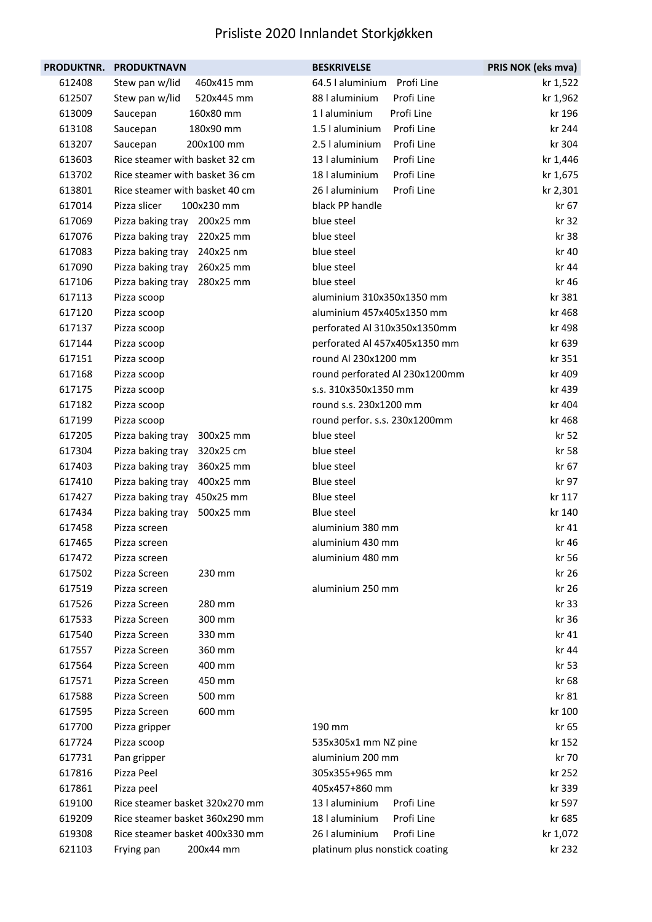| <b>PRODUKTNR.</b> | <b>PRODUKTNAVN</b>             | <b>BESKRIVELSE</b>             | PRIS NOK (eks mva) |
|-------------------|--------------------------------|--------------------------------|--------------------|
| 612408            | Stew pan w/lid<br>460x415 mm   | 64.5   aluminium<br>Profi Line | kr 1,522           |
| 612507            | 520x445 mm<br>Stew pan w/lid   | Profi Line<br>88 l aluminium   | kr 1,962           |
| 613009            | 160x80 mm<br>Saucepan          | Profi Line<br>1   aluminium    | kr 196             |
| 613108            | 180x90 mm<br>Saucepan          | Profi Line<br>1.5   aluminium  | kr 244             |
| 613207            | Saucepan<br>200x100 mm         | 2.5 l aluminium<br>Profi Line  | kr 304             |
| 613603            | Rice steamer with basket 32 cm | 13 l aluminium<br>Profi Line   | kr 1,446           |
| 613702            | Rice steamer with basket 36 cm | 18   aluminium<br>Profi Line   | kr 1,675           |
| 613801            | Rice steamer with basket 40 cm | 26 l aluminium<br>Profi Line   | kr 2,301           |
| 617014            | Pizza slicer<br>100x230 mm     | black PP handle                | kr 67              |
| 617069            | 200x25 mm<br>Pizza baking tray | blue steel                     | kr 32              |
| 617076            | Pizza baking tray 220x25 mm    | blue steel                     | kr 38              |
| 617083            | 240x25 nm<br>Pizza baking tray | blue steel                     | kr 40              |
| 617090            | Pizza baking tray<br>260x25 mm | blue steel                     | kr 44              |
| 617106            | Pizza baking tray<br>280x25 mm | blue steel                     | kr 46              |
| 617113            | Pizza scoop                    | aluminium 310x350x1350 mm      | kr 381             |
| 617120            | Pizza scoop                    | aluminium 457x405x1350 mm      | kr 468             |
| 617137            | Pizza scoop                    | perforated Al 310x350x1350mm   | kr 498             |
| 617144            | Pizza scoop                    | perforated Al 457x405x1350 mm  | kr 639             |
| 617151            | Pizza scoop                    | round Al 230x1200 mm           | kr 351             |
| 617168            | Pizza scoop                    | round perforated Al 230x1200mm | kr 409             |
| 617175            | Pizza scoop                    | s.s. 310x350x1350 mm           | kr 439             |
| 617182            | Pizza scoop                    | round s.s. 230x1200 mm         | kr 404             |
| 617199            | Pizza scoop                    | round perfor. s.s. 230x1200mm  | kr 468             |
| 617205            | Pizza baking tray<br>300x25 mm | blue steel                     | kr 52              |
| 617304            | Pizza baking tray<br>320x25 cm | blue steel                     | kr 58              |
| 617403            | Pizza baking tray<br>360x25 mm | blue steel                     | kr 67              |
| 617410            | Pizza baking tray<br>400x25 mm | <b>Blue steel</b>              | kr 97              |
| 617427            | Pizza baking tray 450x25 mm    | <b>Blue steel</b>              | kr 117             |
| 617434            | Pizza baking tray<br>500x25 mm | Blue steel                     | kr 140             |
| 617458            | Pizza screen                   | aluminium 380 mm               | kr 41              |
| 617465            | Pizza screen                   | aluminium 430 mm               | kr 46              |
| 617472            | Pizza screen                   | aluminium 480 mm               | kr 56              |
| 617502            | Pizza Screen<br>230 mm         |                                | kr 26              |
| 617519            | Pizza screen                   | aluminium 250 mm               | kr 26              |
| 617526            | Pizza Screen<br>280 mm         |                                | kr 33              |
| 617533            | Pizza Screen<br>300 mm         |                                | kr 36              |
| 617540            | Pizza Screen<br>330 mm         |                                | kr 41              |
| 617557            | Pizza Screen<br>360 mm         |                                | kr 44              |
| 617564            | Pizza Screen<br>400 mm         |                                | kr 53              |
| 617571            | Pizza Screen<br>450 mm         |                                | kr 68              |
| 617588            | Pizza Screen<br>500 mm         |                                | kr 81              |
| 617595            | Pizza Screen<br>600 mm         |                                | kr 100             |
| 617700            | Pizza gripper                  | 190 mm                         | kr 65              |
| 617724            | Pizza scoop                    | 535x305x1 mm NZ pine           | kr 152             |
| 617731            | Pan gripper                    | aluminium 200 mm               | kr 70              |
| 617816            | Pizza Peel                     | 305x355+965 mm                 | kr 252             |
| 617861            | Pizza peel                     | 405x457+860 mm                 | kr 339             |
| 619100            | Rice steamer basket 320x270 mm | 13   aluminium<br>Profi Line   | kr 597             |
| 619209            | Rice steamer basket 360x290 mm | 18 l aluminium<br>Profi Line   | kr 685             |
| 619308            | Rice steamer basket 400x330 mm | 26 l aluminium<br>Profi Line   | kr 1,072           |
| 621103            | 200x44 mm<br>Frying pan        | platinum plus nonstick coating | kr 232             |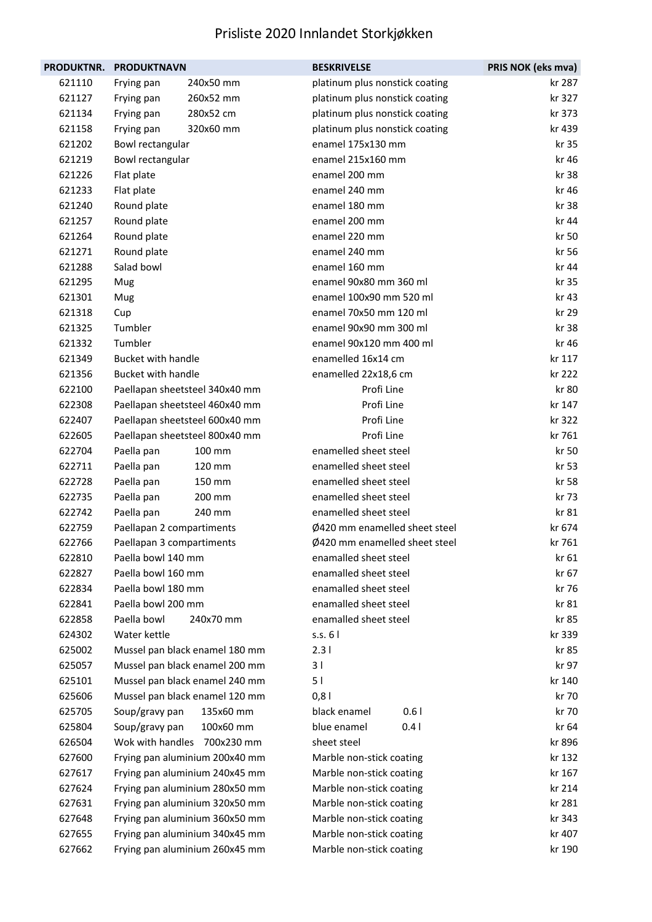| PRODUKTNR. | <b>PRODUKTNAVN</b>        |                                | <b>BESKRIVELSE</b>             | PRIS NOK (eks mva) |
|------------|---------------------------|--------------------------------|--------------------------------|--------------------|
| 621110     | Frying pan                | 240x50 mm                      | platinum plus nonstick coating | kr 287             |
| 621127     | Frying pan                | 260x52 mm                      | platinum plus nonstick coating | kr 327             |
| 621134     | Frying pan                | 280x52 cm                      | platinum plus nonstick coating | kr 373             |
| 621158     | Frying pan                | 320x60 mm                      | platinum plus nonstick coating | kr 439             |
| 621202     | Bowl rectangular          |                                | enamel 175x130 mm              | kr 35              |
| 621219     | Bowl rectangular          |                                | enamel 215x160 mm              | kr 46              |
| 621226     | Flat plate                |                                | enamel 200 mm                  | kr 38              |
| 621233     | Flat plate                |                                | enamel 240 mm                  | kr 46              |
| 621240     | Round plate               |                                | enamel 180 mm                  | kr 38              |
| 621257     | Round plate               |                                | enamel 200 mm                  | kr 44              |
| 621264     | Round plate               |                                | enamel 220 mm                  | kr 50              |
| 621271     | Round plate               |                                | enamel 240 mm                  | kr 56              |
| 621288     | Salad bowl                |                                | enamel 160 mm                  | kr 44              |
| 621295     | Mug                       |                                | enamel 90x80 mm 360 ml         | kr 35              |
| 621301     | Mug                       |                                | enamel 100x90 mm 520 ml        | kr 43              |
| 621318     | Cup                       |                                | enamel 70x50 mm 120 ml         | kr 29              |
| 621325     | Tumbler                   |                                | enamel 90x90 mm 300 ml         | kr 38              |
| 621332     | Tumbler                   |                                | enamel 90x120 mm 400 ml        | kr 46              |
| 621349     | <b>Bucket with handle</b> |                                | enamelled 16x14 cm             | kr 117             |
| 621356     | <b>Bucket with handle</b> |                                | enamelled 22x18,6 cm           | kr 222             |
| 622100     |                           | Paellapan sheetsteel 340x40 mm | Profi Line                     | kr 80              |
| 622308     |                           | Paellapan sheetsteel 460x40 mm | Profi Line                     | kr 147             |
| 622407     |                           | Paellapan sheetsteel 600x40 mm | Profi Line                     | kr 322             |
| 622605     |                           | Paellapan sheetsteel 800x40 mm | Profi Line                     | kr 761             |
| 622704     | Paella pan                | 100 mm                         | enamelled sheet steel          | kr 50              |
| 622711     | Paella pan                | 120 mm                         | enamelled sheet steel          | kr 53              |
| 622728     | Paella pan                | 150 mm                         | enamelled sheet steel          | kr 58              |
| 622735     | Paella pan                | 200 mm                         | enamelled sheet steel          | kr 73              |
| 622742     | Paella pan                | 240 mm                         | enamelled sheet steel          | kr 81              |
| 622759     | Paellapan 2 compartiments |                                | Ø420 mm enamelled sheet steel  | kr 674             |
| 622766     | Paellapan 3 compartiments |                                | Ø420 mm enamelled sheet steel  | kr 761             |
| 622810     | Paella bowl 140 mm        |                                | enamalled sheet steel          | kr 61              |
| 622827     | Paella bowl 160 mm        |                                | enamalled sheet steel          | kr 67              |
| 622834     | Paella bowl 180 mm        |                                | enamalled sheet steel          | kr 76              |
| 622841     | Paella bowl 200 mm        |                                | enamalled sheet steel          | kr 81              |
| 622858     | Paella bowl               | 240x70 mm                      | enamalled sheet steel          | kr 85              |
| 624302     | Water kettle              |                                | s.s. 61                        | kr 339             |
| 625002     |                           | Mussel pan black enamel 180 mm | 2.31                           | kr 85              |
| 625057     |                           | Mussel pan black enamel 200 mm | 3 I                            | kr 97              |
| 625101     |                           | Mussel pan black enamel 240 mm | 5 <sub>1</sub>                 | kr 140             |
| 625606     |                           | Mussel pan black enamel 120 mm | 0,8                            | kr 70              |
| 625705     | Soup/gravy pan            | 135x60 mm                      | black enamel<br>0.61           | kr 70              |
| 625804     | Soup/gravy pan            | 100x60 mm                      | blue enamel<br>0.41            | kr 64              |
| 626504     |                           | Wok with handles 700x230 mm    | sheet steel                    | kr 896             |
| 627600     |                           | Frying pan aluminium 200x40 mm | Marble non-stick coating       | kr 132             |
| 627617     |                           | Frying pan aluminium 240x45 mm | Marble non-stick coating       | kr 167             |
| 627624     |                           | Frying pan aluminium 280x50 mm | Marble non-stick coating       | kr 214             |
| 627631     |                           | Frying pan aluminium 320x50 mm | Marble non-stick coating       | kr 281             |
| 627648     |                           | Frying pan aluminium 360x50 mm | Marble non-stick coating       | kr 343             |
| 627655     |                           | Frying pan aluminium 340x45 mm | Marble non-stick coating       | kr 407             |
| 627662     |                           | Frying pan aluminium 260x45 mm | Marble non-stick coating       | kr 190             |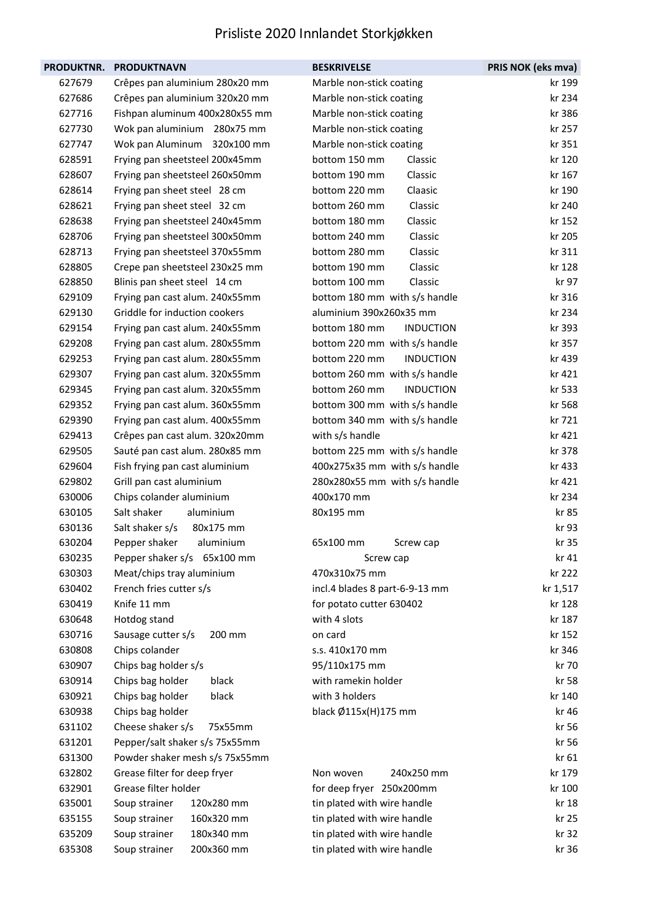| <b>PRODUKTNR.</b> | <b>PRODUKTNAVN</b>             | <b>BESKRIVELSE</b>                | PRIS NOK (eks mva) |
|-------------------|--------------------------------|-----------------------------------|--------------------|
| 627679            | Crêpes pan aluminium 280x20 mm | Marble non-stick coating          | kr 199             |
| 627686            | Crêpes pan aluminium 320x20 mm | Marble non-stick coating          | kr 234             |
| 627716            | Fishpan aluminum 400x280x55 mm | Marble non-stick coating          | kr 386             |
| 627730            | Wok pan aluminium 280x75 mm    | Marble non-stick coating          | kr 257             |
| 627747            | Wok pan Aluminum 320x100 mm    | Marble non-stick coating          | kr 351             |
| 628591            | Frying pan sheetsteel 200x45mm | bottom 150 mm<br>Classic          | kr 120             |
| 628607            | Frying pan sheetsteel 260x50mm | bottom 190 mm<br>Classic          | kr 167             |
| 628614            | Frying pan sheet steel 28 cm   | bottom 220 mm<br>Claasic          | kr 190             |
| 628621            | Frying pan sheet steel 32 cm   | bottom 260 mm<br>Classic          | kr 240             |
| 628638            | Frying pan sheetsteel 240x45mm | bottom 180 mm<br>Classic          | kr 152             |
| 628706            | Frying pan sheetsteel 300x50mm | bottom 240 mm<br>Classic          | kr 205             |
| 628713            | Frying pan sheetsteel 370x55mm | bottom 280 mm<br>Classic          | kr 311             |
| 628805            | Crepe pan sheetsteel 230x25 mm | bottom 190 mm<br>Classic          | kr 128             |
| 628850            | Blinis pan sheet steel 14 cm   | Classic<br>bottom 100 mm          | kr 97              |
| 629109            | Frying pan cast alum. 240x55mm | bottom 180 mm with s/s handle     | kr 316             |
| 629130            | Griddle for induction cookers  | aluminium 390x260x35 mm           | kr 234             |
| 629154            | Frying pan cast alum. 240x55mm | bottom 180 mm<br><b>INDUCTION</b> | kr 393             |
| 629208            | Frying pan cast alum. 280x55mm | bottom 220 mm with s/s handle     | kr 357             |
| 629253            | Frying pan cast alum. 280x55mm | bottom 220 mm<br><b>INDUCTION</b> | kr 439             |
| 629307            | Frying pan cast alum. 320x55mm | bottom 260 mm with s/s handle     | kr 421             |
| 629345            | Frying pan cast alum. 320x55mm | bottom 260 mm<br><b>INDUCTION</b> | kr 533             |
| 629352            | Frying pan cast alum. 360x55mm | bottom 300 mm with s/s handle     | kr 568             |
| 629390            | Frying pan cast alum. 400x55mm | bottom 340 mm with s/s handle     | kr 721             |
| 629413            | Crêpes pan cast alum. 320x20mm | with s/s handle                   | kr 421             |
| 629505            | Sauté pan cast alum. 280x85 mm | bottom 225 mm with s/s handle     | kr 378             |
| 629604            | Fish frying pan cast aluminium | 400x275x35 mm with s/s handle     | kr 433             |
| 629802            | Grill pan cast aluminium       | 280x280x55 mm with s/s handle     | kr 421             |
| 630006            | Chips colander aluminium       | 400x170 mm                        | kr 234             |
| 630105            | Salt shaker<br>aluminium       | 80x195 mm                         | kr 85              |
| 630136            | Salt shaker s/s<br>80x175 mm   |                                   | kr 93              |
| 630204            | aluminium<br>Pepper shaker     | 65x100 mm<br>Screw cap            | kr 35              |
| 630235            | Pepper shaker s/s 65x100 mm    | Screw cap                         | kr 41              |
| 630303            | Meat/chips tray aluminium      | 470x310x75 mm                     | kr 222             |
| 630402            | French fries cutter s/s        | incl.4 blades 8 part-6-9-13 mm    | kr 1,517           |
| 630419            | Knife 11 mm                    | for potato cutter 630402          | kr 128             |
| 630648            | Hotdog stand                   | with 4 slots                      | kr 187             |
| 630716            | 200 mm<br>Sausage cutter s/s   | on card                           | kr 152             |
| 630808            | Chips colander                 | s.s. 410x170 mm                   | kr 346             |
| 630907            | Chips bag holder s/s           | 95/110x175 mm                     | kr 70              |
| 630914            | Chips bag holder<br>black      | with ramekin holder               | kr 58              |
| 630921            | Chips bag holder<br>black      | with 3 holders                    | kr 140             |
| 630938            | Chips bag holder               | black Ø115x(H)175 mm              | kr 46              |
| 631102            | Cheese shaker s/s<br>75x55mm   |                                   | kr 56              |
| 631201            | Pepper/salt shaker s/s 75x55mm |                                   | kr 56              |
| 631300            | Powder shaker mesh s/s 75x55mm |                                   | kr 61              |
| 632802            | Grease filter for deep fryer   | Non woven<br>240x250 mm           | kr 179             |
| 632901            | Grease filter holder           | for deep fryer 250x200mm          | kr 100             |
| 635001            | 120x280 mm<br>Soup strainer    | tin plated with wire handle       | kr 18              |
| 635155            | 160x320 mm<br>Soup strainer    | tin plated with wire handle       | kr 25              |
| 635209            | 180x340 mm<br>Soup strainer    | tin plated with wire handle       | kr 32              |
| 635308            | Soup strainer<br>200x360 mm    | tin plated with wire handle       | kr 36              |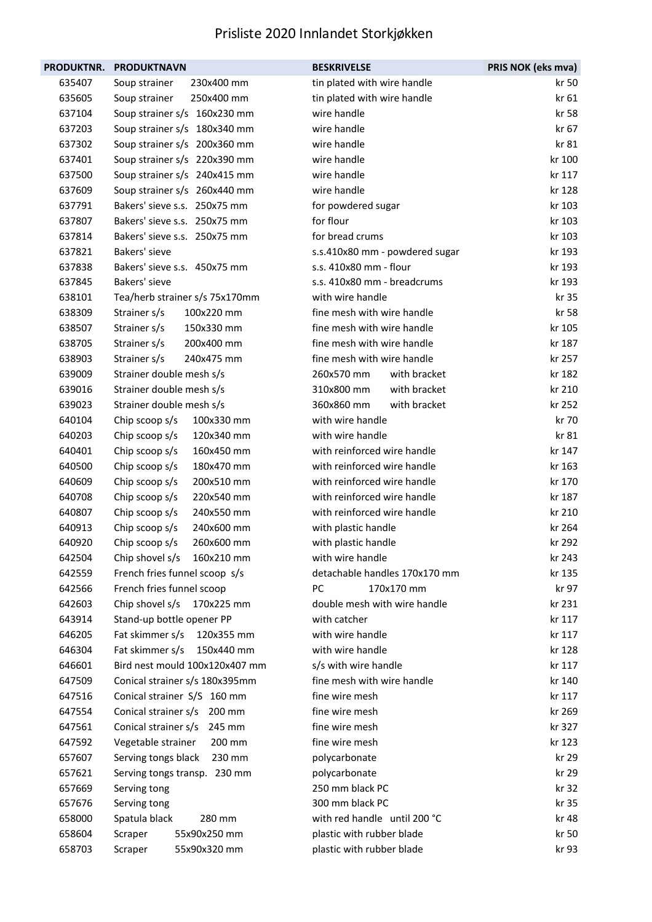|                  | PRODUKTNR. PRODUKTNAVN                  | <b>BESKRIVELSE</b>                 | PRIS NOK (eks mva) |
|------------------|-----------------------------------------|------------------------------------|--------------------|
| 635407           | Soup strainer<br>230x400 mm             | tin plated with wire handle        | kr 50              |
| 635605           | 250x400 mm<br>Soup strainer             | tin plated with wire handle        | kr 61              |
| 637104           | Soup strainer s/s 160x230 mm            | wire handle                        | kr 58              |
| 637203           | Soup strainer s/s 180x340 mm            | wire handle                        | kr 67              |
| 637302           | Soup strainer s/s 200x360 mm            | wire handle                        | kr 81              |
| 637401           | Soup strainer s/s 220x390 mm            | wire handle                        | kr 100             |
| 637500           | Soup strainer s/s 240x415 mm            | wire handle                        | kr 117             |
| 637609           | Soup strainer s/s 260x440 mm            | wire handle                        | kr 128             |
| 637791           | Bakers' sieve s.s. 250x75 mm            | for powdered sugar                 | kr 103             |
| 637807           | Bakers' sieve s.s. 250x75 mm            | for flour                          | kr 103             |
| 637814           | Bakers' sieve s.s. 250x75 mm            | for bread crums                    | kr 103             |
| 637821           | Bakers' sieve                           | s.s.410x80 mm - powdered sugar     | kr 193             |
| 637838           | Bakers' sieve s.s. 450x75 mm            | s.s. 410x80 mm - flour             | kr 193             |
| 637845           | Bakers' sieve                           | s.s. 410x80 mm - breadcrums        | kr 193             |
| 638101           | Tea/herb strainer s/s 75x170mm          | with wire handle                   | kr 35              |
| 638309           | 100x220 mm<br>Strainer s/s              | fine mesh with wire handle         | kr 58              |
| 638507           | Strainer s/s<br>150x330 mm              | fine mesh with wire handle         | kr 105             |
| 638705           | Strainer s/s<br>200x400 mm              | fine mesh with wire handle         | kr 187             |
| 638903           | Strainer s/s<br>240x475 mm              | fine mesh with wire handle         | kr 257             |
| 639009           | Strainer double mesh s/s                | 260x570 mm<br>with bracket         | kr 182             |
| 639016           | Strainer double mesh s/s                | 310x800 mm<br>with bracket         | kr 210             |
| 639023           | Strainer double mesh s/s                | 360x860 mm<br>with bracket         | kr 252             |
| 640104           | Chip scoop s/s<br>100x330 mm            | with wire handle                   | kr 70              |
| 640203           | Chip scoop s/s<br>120x340 mm            | with wire handle                   | kr 81              |
| 640401           | Chip scoop s/s<br>160x450 mm            | with reinforced wire handle        | kr 147             |
| 640500           | Chip scoop s/s<br>180x470 mm            | with reinforced wire handle        | kr 163             |
| 640609           | Chip scoop s/s<br>200x510 mm            | with reinforced wire handle        | kr 170             |
| 640708           | Chip scoop s/s<br>220x540 mm            | with reinforced wire handle        | kr 187             |
| 640807           | Chip scoop s/s<br>240x550 mm            | with reinforced wire handle        | kr 210             |
| 640913           | Chip scoop s/s<br>240x600 mm            | with plastic handle                | kr 264             |
| 640920           | 260x600 mm<br>Chip scoop s/s            | with plastic handle                | kr 292             |
| 642504           | 160x210 mm<br>Chip shovel s/s           | with wire handle                   | kr 243             |
| 642559           | French fries funnel scoop s/s           | detachable handles 170x170 mm      | kr 135             |
| 642566           | French fries funnel scoop               | <b>PC</b><br>170x170 mm            | kr 97              |
| 642603           | Chip shovel s/s<br>170x225 mm           | double mesh with wire handle       | kr 231             |
| 643914           | Stand-up bottle opener PP               | with catcher                       | kr 117             |
| 646205           | Fat skimmer s/s<br>120x355 mm           | with wire handle                   | kr 117             |
| 646304           | Fat skimmer s/s<br>150x440 mm           | with wire handle                   | kr 128             |
| 646601           | Bird nest mould 100x120x407 mm          | s/s with wire handle               | kr 117             |
| 647509           | Conical strainer s/s 180x395mm          | fine mesh with wire handle         | kr 140             |
| 647516           | Conical strainer S/S 160 mm             | fine wire mesh                     | kr 117             |
| 647554           | Conical strainer s/s 200 mm             | fine wire mesh                     | kr 269             |
| 647561           | Conical strainer s/s<br>245 mm          | fine wire mesh                     | kr 327             |
| 647592           | Vegetable strainer<br>200 mm            | fine wire mesh                     | kr 123             |
| 657607           | Serving tongs black<br>230 mm           | polycarbonate                      | kr 29              |
| 657621           | Serving tongs transp. 230 mm            | polycarbonate                      | kr 29              |
| 657669<br>657676 | Serving tong                            | 250 mm black PC<br>300 mm black PC | kr 32<br>kr 35     |
| 658000           | Serving tong<br>Spatula black<br>280 mm | with red handle until 200 °C       | kr 48              |
| 658604           | 55x90x250 mm<br>Scraper                 | plastic with rubber blade          | kr 50              |
| 658703           | 55x90x320 mm                            | plastic with rubber blade          | kr 93              |
|                  | Scraper                                 |                                    |                    |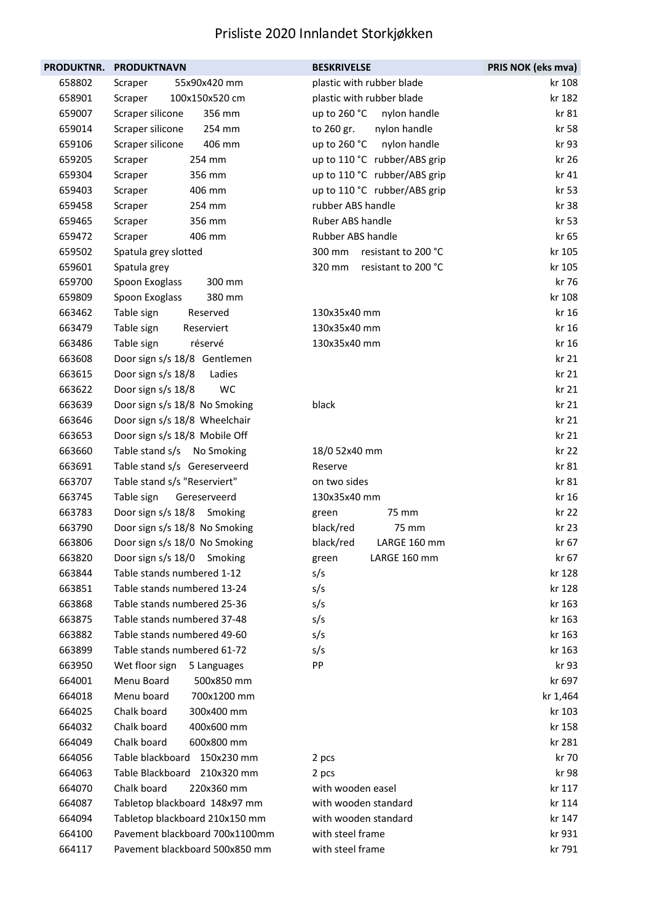| PRODUKTNR. | <b>PRODUKTNAVN</b>              | <b>BESKRIVELSE</b>            | PRIS NOK (eks mva) |
|------------|---------------------------------|-------------------------------|--------------------|
| 658802     | Scraper<br>55x90x420 mm         | plastic with rubber blade     | kr 108             |
| 658901     | 100x150x520 cm<br>Scraper       | plastic with rubber blade     | kr 182             |
| 659007     | Scraper silicone<br>356 mm      | up to 260 °C<br>nylon handle  | kr 81              |
| 659014     | Scraper silicone<br>254 mm      | to 260 gr.<br>nylon handle    | kr 58              |
| 659106     | Scraper silicone<br>406 mm      | up to 260 °C nylon handle     | kr 93              |
| 659205     | 254 mm<br>Scraper               | up to 110 °C rubber/ABS grip  | kr 26              |
| 659304     | 356 mm<br>Scraper               | up to 110 °C rubber/ABS grip  | kr 41              |
| 659403     | Scraper<br>406 mm               | up to 110 °C rubber/ABS grip  | kr 53              |
| 659458     | Scraper<br>254 mm               | rubber ABS handle             | kr 38              |
| 659465     | 356 mm<br>Scraper               | Ruber ABS handle              | kr 53              |
| 659472     | Scraper<br>406 mm               | Rubber ABS handle             | kr 65              |
| 659502     | Spatula grey slotted            | resistant to 200 °C<br>300 mm | kr 105             |
| 659601     | Spatula grey                    | 320 mm<br>resistant to 200 °C | kr 105             |
| 659700     | Spoon Exoglass<br>300 mm        |                               | kr 76              |
| 659809     | Spoon Exoglass<br>380 mm        |                               | kr 108             |
| 663462     | Table sign<br>Reserved          | 130x35x40 mm                  | kr 16              |
| 663479     | Table sign<br>Reserviert        | 130x35x40 mm                  | kr 16              |
| 663486     | réservé<br>Table sign           | 130x35x40 mm                  | kr 16              |
| 663608     | Door sign s/s 18/8 Gentlemen    |                               | kr 21              |
| 663615     | Door sign s/s 18/8<br>Ladies    |                               | kr 21              |
| 663622     | Door sign s/s 18/8<br><b>WC</b> |                               | kr 21              |
| 663639     | Door sign s/s 18/8 No Smoking   | black                         | kr 21              |
| 663646     | Door sign s/s 18/8 Wheelchair   |                               | kr 21              |
| 663653     | Door sign s/s 18/8 Mobile Off   |                               | kr 21              |
| 663660     | Table stand s/s No Smoking      | 18/0 52x40 mm                 | kr 22              |
| 663691     | Table stand s/s Gereserveerd    | Reserve                       | kr 81              |
| 663707     | Table stand s/s "Reserviert"    | on two sides                  | kr 81              |
| 663745     | Table sign<br>Gereserveerd      | 130x35x40 mm                  | kr 16              |
| 663783     | Door sign s/s 18/8 Smoking      | 75 mm<br>green                | kr 22              |
| 663790     | Door sign s/s 18/8 No Smoking   | black/red<br>75 mm            | kr 23              |
| 663806     | Door sign s/s 18/0 No Smoking   | black/red<br>LARGE 160 mm     | kr 67              |
| 663820     | Door sign s/s 18/0 Smoking      | LARGE 160 mm<br>green         | kr 67              |
| 663844     | Table stands numbered 1-12      | s/s                           | kr 128             |
| 663851     | Table stands numbered 13-24     | s/s                           | kr 128             |
| 663868     | Table stands numbered 25-36     | s/s                           | kr 163             |
| 663875     | Table stands numbered 37-48     | s/s                           | kr 163             |
| 663882     | Table stands numbered 49-60     | s/s                           | kr 163             |
| 663899     | Table stands numbered 61-72     | s/s                           | kr 163             |
| 663950     | Wet floor sign<br>5 Languages   | PP                            | kr 93              |
| 664001     | Menu Board<br>500x850 mm        |                               | kr 697             |
| 664018     | Menu board<br>700x1200 mm       |                               | kr 1,464           |
| 664025     | Chalk board<br>300x400 mm       |                               | kr 103             |
| 664032     | Chalk board<br>400x600 mm       |                               | kr 158             |
| 664049     | Chalk board<br>600x800 mm       |                               | kr 281             |
| 664056     | Table blackboard<br>150x230 mm  | 2 pcs                         | kr 70              |
| 664063     | Table Blackboard<br>210x320 mm  | 2 pcs                         | kr 98              |
| 664070     | Chalk board<br>220x360 mm       | with wooden easel             | kr 117             |
| 664087     | Tabletop blackboard 148x97 mm   | with wooden standard          | kr 114             |
| 664094     | Tabletop blackboard 210x150 mm  | with wooden standard          | kr 147             |
| 664100     | Pavement blackboard 700x1100mm  | with steel frame              | kr 931             |
| 664117     | Pavement blackboard 500x850 mm  | with steel frame              | kr 791             |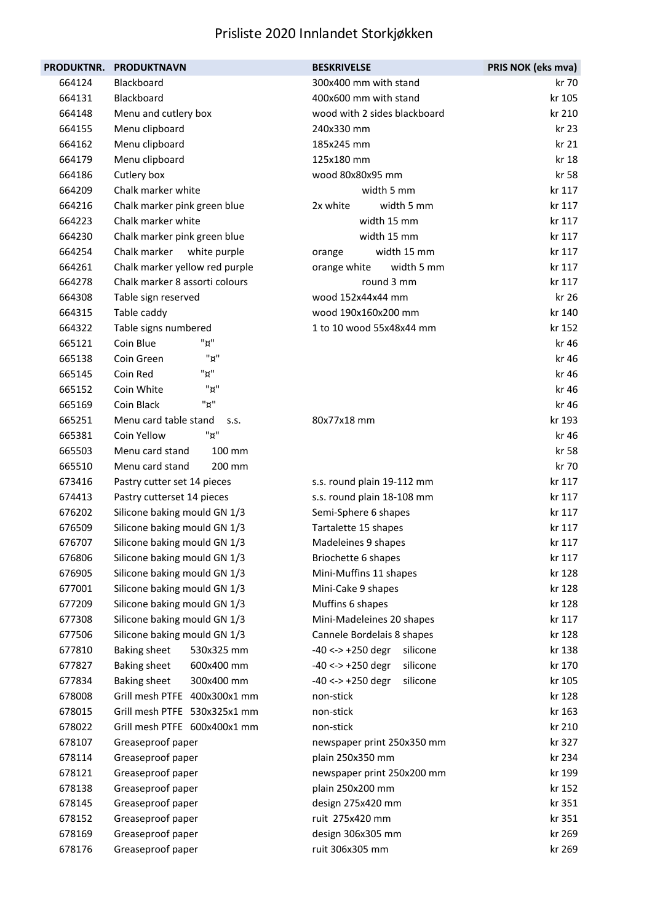| <b>PRODUKTNR.</b> | <b>PRODUKTNAVN</b>                | <b>BESKRIVELSE</b>              | PRIS NOK (eks mva) |
|-------------------|-----------------------------------|---------------------------------|--------------------|
| 664124            | Blackboard                        | 300x400 mm with stand           | kr 70              |
| 664131            | Blackboard                        | 400x600 mm with stand           | kr 105             |
| 664148            | Menu and cutlery box              | wood with 2 sides blackboard    | kr 210             |
| 664155            | Menu clipboard                    | 240x330 mm                      | kr 23              |
| 664162            | Menu clipboard                    | 185x245 mm                      | kr 21              |
| 664179            | Menu clipboard                    | 125x180 mm                      | kr 18              |
| 664186            | Cutlery box                       | wood 80x80x95 mm                | kr 58              |
| 664209            | Chalk marker white                | width 5 mm                      | kr 117             |
| 664216            | Chalk marker pink green blue      | 2x white<br>width 5 mm          | kr 117             |
| 664223            | Chalk marker white                | width 15 mm                     | kr 117             |
| 664230            | Chalk marker pink green blue      | width 15 mm                     | kr 117             |
| 664254            | Chalk marker<br>white purple      | width 15 mm<br>orange           | kr 117             |
| 664261            | Chalk marker yellow red purple    | width 5 mm<br>orange white      | kr 117             |
| 664278            | Chalk marker 8 assorti colours    | round 3 mm                      | kr 117             |
| 664308            | Table sign reserved               | wood 152x44x44 mm               | kr 26              |
| 664315            | Table caddy                       | wood 190x160x200 mm             | kr 140             |
| 664322            | Table signs numbered              | 1 to 10 wood 55x48x44 mm        | kr 152             |
| 665121            | "¤"<br>Coin Blue                  |                                 | kr 46              |
| 665138            | "¤"<br>Coin Green                 |                                 | kr 46              |
| 665145            | "¤"<br>Coin Red                   |                                 | kr 46              |
| 665152            | "¤"<br>Coin White                 |                                 | kr 46              |
| 665169            | "¤"<br>Coin Black                 |                                 | kr 46              |
| 665251            | Menu card table stand<br>S.S.     | 80x77x18 mm                     | kr 193             |
| 665381            | "ש"<br>Coin Yellow                |                                 | kr 46              |
| 665503            | Menu card stand<br>100 mm         |                                 | kr 58              |
| 665510            | Menu card stand<br>200 mm         |                                 | kr 70              |
| 673416            | Pastry cutter set 14 pieces       | s.s. round plain 19-112 mm      | kr 117             |
| 674413            | Pastry cutterset 14 pieces        | s.s. round plain 18-108 mm      | kr 117             |
| 676202            | Silicone baking mould GN 1/3      | Semi-Sphere 6 shapes            | kr 117             |
| 676509            | Silicone baking mould GN 1/3      | Tartalette 15 shapes            | kr 117             |
| 676707            | Silicone baking mould GN 1/3      | Madeleines 9 shapes             | kr 117             |
| 676806            | Silicone baking mould GN 1/3      | Briochette 6 shapes             | kr 117             |
| 676905            | Silicone baking mould GN 1/3      | Mini-Muffins 11 shapes          | kr 128             |
| 677001            | Silicone baking mould GN 1/3      | Mini-Cake 9 shapes              | kr 128             |
| 677209            | Silicone baking mould GN 1/3      | Muffins 6 shapes                | kr 128             |
| 677308            | Silicone baking mould GN 1/3      | Mini-Madeleines 20 shapes       | kr 117             |
| 677506            | Silicone baking mould GN 1/3      | Cannele Bordelais 8 shapes      | kr 128             |
| 677810            | <b>Baking sheet</b><br>530x325 mm | $-40 \le -250$ degr<br>silicone | kr 138             |
| 677827            | <b>Baking sheet</b><br>600x400 mm | $-40 \le -250$ degr<br>silicone | kr 170             |
| 677834            | <b>Baking sheet</b><br>300x400 mm | $-40 \le -250$ degr<br>silicone | kr 105             |
| 678008            | Grill mesh PTFE 400x300x1 mm      | non-stick                       | kr 128             |
| 678015            | Grill mesh PTFE 530x325x1 mm      | non-stick                       | kr 163             |
| 678022            | Grill mesh PTFE 600x400x1 mm      | non-stick                       | kr 210             |
| 678107            | Greaseproof paper                 | newspaper print 250x350 mm      | kr 327             |
| 678114            | Greaseproof paper                 | plain 250x350 mm                | kr 234             |
| 678121            | Greaseproof paper                 | newspaper print 250x200 mm      | kr 199             |
| 678138            | Greaseproof paper                 | plain 250x200 mm                | kr 152             |
| 678145            | Greaseproof paper                 | design 275x420 mm               | kr 351             |
| 678152            | Greaseproof paper                 | ruit 275x420 mm                 | kr 351             |
| 678169            | Greaseproof paper                 | design 306x305 mm               | kr 269             |
| 678176            | Greaseproof paper                 | ruit 306x305 mm                 | kr 269             |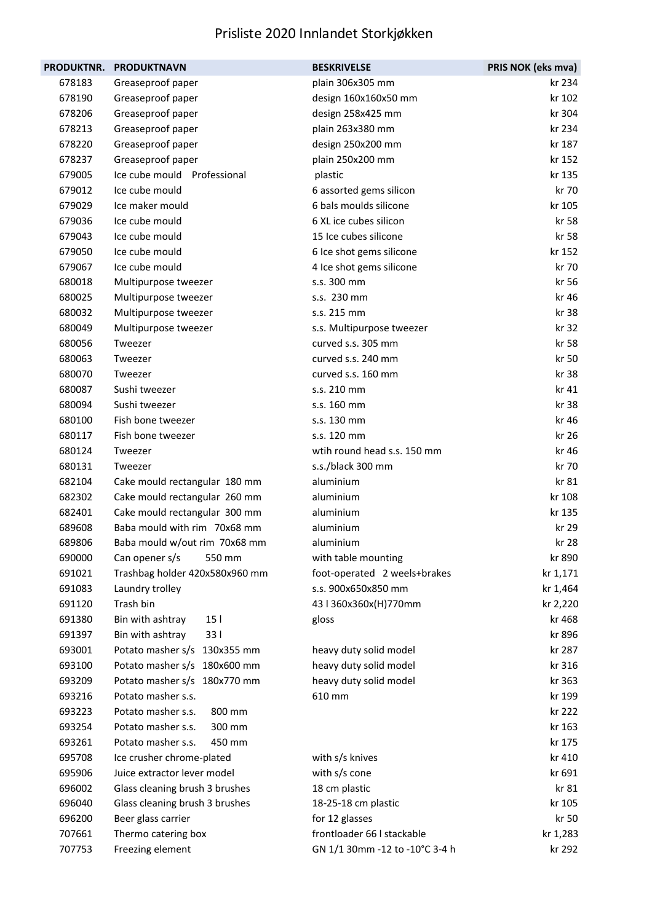| <b>PRODUKTNR.</b> | <b>PRODUKTNAVN</b>                  | <b>BESKRIVELSE</b>             | PRIS NOK (eks mva) |
|-------------------|-------------------------------------|--------------------------------|--------------------|
| 678183            | Greaseproof paper                   | plain 306x305 mm               | kr 234             |
| 678190            | Greaseproof paper                   | design 160x160x50 mm           | kr 102             |
| 678206            | Greaseproof paper                   | design 258x425 mm              | kr 304             |
| 678213            | Greaseproof paper                   | plain 263x380 mm               | kr 234             |
| 678220            | Greaseproof paper                   | design 250x200 mm              | kr 187             |
| 678237            | Greaseproof paper                   | plain 250x200 mm               | kr 152             |
| 679005            | Ice cube mould Professional         | plastic                        | kr 135             |
| 679012            | Ice cube mould                      | 6 assorted gems silicon        | kr 70              |
| 679029            | Ice maker mould                     | 6 bals moulds silicone         | kr 105             |
| 679036            | Ice cube mould                      | 6 XL ice cubes silicon         | kr 58              |
| 679043            | Ice cube mould                      | 15 Ice cubes silicone          | kr 58              |
| 679050            | Ice cube mould                      | 6 Ice shot gems silicone       | kr 152             |
| 679067            | Ice cube mould                      | 4 Ice shot gems silicone       | kr 70              |
| 680018            | Multipurpose tweezer                | s.s. 300 mm                    | kr 56              |
| 680025            | Multipurpose tweezer                | s.s. 230 mm                    | kr 46              |
| 680032            | Multipurpose tweezer                | s.s. 215 mm                    | kr 38              |
| 680049            | Multipurpose tweezer                | s.s. Multipurpose tweezer      | kr 32              |
| 680056            | Tweezer                             | curved s.s. 305 mm             | kr 58              |
| 680063            | Tweezer                             | curved s.s. 240 mm             | kr 50              |
| 680070            | Tweezer                             | curved s.s. 160 mm             | kr 38              |
| 680087            | Sushi tweezer                       | s.s. 210 mm                    | kr 41              |
| 680094            | Sushi tweezer                       | s.s. 160 mm                    | kr 38              |
| 680100            | Fish bone tweezer                   | s.s. 130 mm                    | kr 46              |
| 680117            | Fish bone tweezer                   | s.s. 120 mm                    | kr 26              |
| 680124            | Tweezer                             | wtih round head s.s. 150 mm    | kr 46              |
| 680131            | Tweezer                             | s.s./black 300 mm              | kr 70              |
| 682104            | Cake mould rectangular 180 mm       | aluminium                      | kr 81              |
| 682302            | Cake mould rectangular 260 mm       | aluminium                      | kr 108             |
| 682401            | Cake mould rectangular 300 mm       | aluminium                      | kr 135             |
| 689608            | Baba mould with rim 70x68 mm        | aluminium                      | kr 29              |
| 689806            | Baba mould w/out rim 70x68 mm       | aluminium                      | kr 28              |
| 690000            | Can opener s/s<br>550 mm            | with table mounting            | kr 890             |
| 691021            | Trashbag holder 420x580x960 mm      | foot-operated 2 weels+brakes   | kr 1,171           |
| 691083            | Laundry trolley                     | s.s. 900x650x850 mm            | kr 1,464           |
| 691120            | Trash bin                           | 43   360x360x(H)770mm          | kr 2,220           |
| 691380            | Bin with ashtray<br>15 <sub>1</sub> | gloss                          | kr 468             |
| 691397            | Bin with ashtray<br>331             |                                | kr 896             |
| 693001            | Potato masher s/s 130x355 mm        | heavy duty solid model         | kr 287             |
| 693100            | Potato masher s/s 180x600 mm        | heavy duty solid model         | kr 316             |
| 693209            | Potato masher s/s 180x770 mm        | heavy duty solid model         | kr 363             |
| 693216            | Potato masher s.s.                  | 610 mm                         | kr 199             |
| 693223            | Potato masher s.s.<br>800 mm        |                                | kr 222             |
| 693254            | Potato masher s.s.<br>300 mm        |                                | kr 163             |
| 693261            | Potato masher s.s.<br>450 mm        |                                | kr 175             |
| 695708            | Ice crusher chrome-plated           | with s/s knives                | kr 410             |
| 695906            | Juice extractor lever model         | with s/s cone                  | kr 691             |
| 696002            | Glass cleaning brush 3 brushes      | 18 cm plastic                  | kr 81              |
| 696040            | Glass cleaning brush 3 brushes      | 18-25-18 cm plastic            | kr 105             |
| 696200            | Beer glass carrier                  | for 12 glasses                 | kr 50              |
| 707661            | Thermo catering box                 | frontloader 66   stackable     | kr 1,283           |
| 707753            | Freezing element                    | GN 1/1 30mm -12 to -10°C 3-4 h | kr 292             |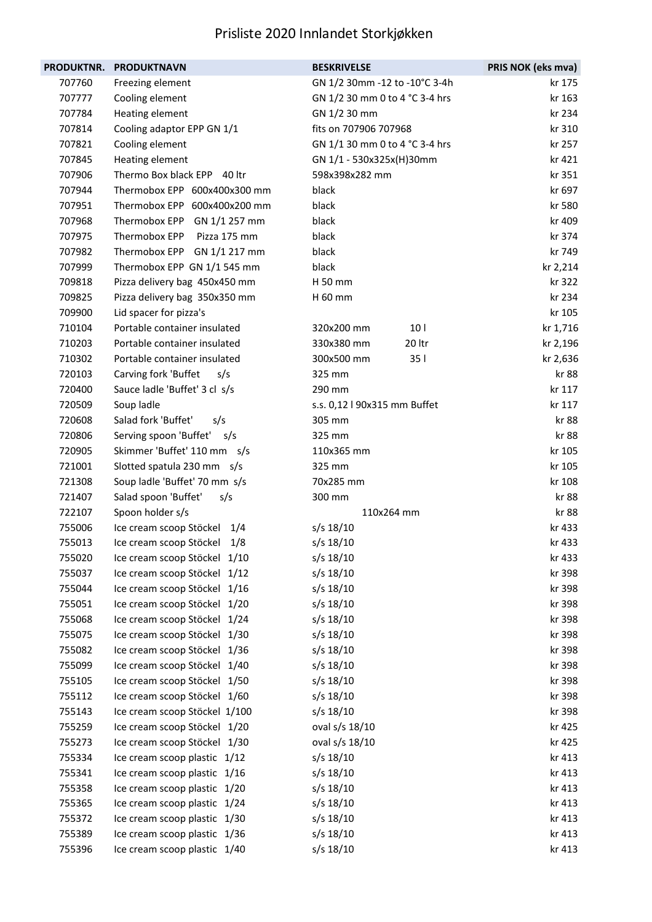| <b>PRODUKTNR.</b> | <b>PRODUKTNAVN</b>             | <b>BESKRIVELSE</b>             | PRIS NOK (eks mva) |
|-------------------|--------------------------------|--------------------------------|--------------------|
| 707760            | Freezing element               | GN 1/2 30mm -12 to -10°C 3-4h  | kr 175             |
| 707777            | Cooling element                | GN 1/2 30 mm 0 to 4 °C 3-4 hrs | kr 163             |
| 707784            | Heating element                | GN 1/2 30 mm                   | kr 234             |
| 707814            | Cooling adaptor EPP GN 1/1     | fits on 707906 707968          | kr 310             |
| 707821            | Cooling element                | GN 1/1 30 mm 0 to 4 °C 3-4 hrs | kr 257             |
| 707845            | Heating element                | GN 1/1 - 530x325x(H)30mm       | kr 421             |
| 707906            | Thermo Box black EPP 40 ltr    | 598x398x282 mm                 | kr 351             |
| 707944            | Thermobox EPP 600x400x300 mm   | black                          | kr 697             |
| 707951            | Thermobox EPP 600x400x200 mm   | black                          | kr 580             |
| 707968            | Thermobox EPP<br>GN 1/1 257 mm | black                          | kr 409             |
| 707975            | Thermobox EPP Pizza 175 mm     | black                          | kr 374             |
| 707982            | Thermobox EPP GN 1/1 217 mm    | black                          | kr 749             |
| 707999            | Thermobox EPP GN 1/1 545 mm    | black                          | kr 2,214           |
| 709818            | Pizza delivery bag 450x450 mm  | H 50 mm                        | kr 322             |
| 709825            | Pizza delivery bag 350x350 mm  | H 60 mm                        | kr 234             |
| 709900            | Lid spacer for pizza's         |                                | kr 105             |
| 710104            | Portable container insulated   | 10 <sup>1</sup><br>320x200 mm  | kr 1,716           |
| 710203            | Portable container insulated   | 330x380 mm<br>20 ltr           | kr 2,196           |
| 710302            | Portable container insulated   | 300x500 mm<br>351              | kr 2,636           |
| 720103            | Carving fork 'Buffet<br>s/s    | 325 mm                         | kr 88              |
| 720400            | Sauce ladle 'Buffet' 3 cl s/s  | 290 mm                         | kr 117             |
| 720509            | Soup ladle                     | s.s. 0,12   90x315 mm Buffet   | kr 117             |
| 720608            | Salad fork 'Buffet'<br>s/s     | 305 mm                         | kr 88              |
| 720806            | Serving spoon 'Buffet' s/s     | 325 mm                         | kr 88              |
| 720905            | Skimmer 'Buffet' 110 mm s/s    | 110x365 mm                     | kr 105             |
| 721001            | Slotted spatula 230 mm s/s     | 325 mm                         | kr 105             |
| 721308            | Soup ladle 'Buffet' 70 mm s/s  | 70x285 mm                      | kr 108             |
| 721407            | Salad spoon 'Buffet'<br>s/s    | 300 mm                         | kr 88              |
| 722107            | Spoon holder s/s               | 110x264 mm                     | kr 88              |
| 755006            | Ice cream scoop Stöckel<br>1/4 | $s/s$ 18/10                    | kr 433             |
| 755013            | Ice cream scoop Stöckel<br>1/8 | $s/s$ 18/10                    | kr 433             |
| 755020            | Ice cream scoop Stöckel 1/10   | s/s 18/10                      | kr 433             |
| 755037            | Ice cream scoop Stöckel 1/12   | $s/s$ 18/10                    | kr 398             |
| 755044            | Ice cream scoop Stöckel 1/16   | $s/s$ 18/10                    | kr 398             |
| 755051            | Ice cream scoop Stöckel 1/20   | $s/s$ 18/10                    | kr 398             |
| 755068            | Ice cream scoop Stöckel 1/24   | $s/s$ 18/10                    | kr 398             |
| 755075            | Ice cream scoop Stöckel 1/30   | $s/s$ 18/10                    | kr 398             |
| 755082            | Ice cream scoop Stöckel 1/36   | $s/s$ 18/10                    | kr 398             |
| 755099            | Ice cream scoop Stöckel 1/40   | $s/s$ 18/10                    | kr 398             |
| 755105            | Ice cream scoop Stöckel 1/50   | $s/s$ 18/10                    | kr 398             |
| 755112            | Ice cream scoop Stöckel 1/60   | $s/s$ 18/10                    | kr 398             |
| 755143            | Ice cream scoop Stöckel 1/100  | $s/s$ 18/10                    | kr 398             |
| 755259            | Ice cream scoop Stöckel 1/20   | oval s/s 18/10                 | kr 425             |
| 755273            | Ice cream scoop Stöckel 1/30   | oval s/s 18/10                 | kr 425             |
| 755334            | Ice cream scoop plastic 1/12   | $s/s$ 18/10                    | kr 413             |
| 755341            | Ice cream scoop plastic 1/16   | $s/s$ 18/10                    | kr 413             |
| 755358            | Ice cream scoop plastic 1/20   | $s/s$ 18/10                    | kr 413             |
| 755365            | Ice cream scoop plastic 1/24   | $s/s$ 18/10                    | kr 413             |
| 755372            | Ice cream scoop plastic 1/30   | $s/s$ 18/10                    | kr 413             |
| 755389            | Ice cream scoop plastic 1/36   | $s/s$ 18/10                    | kr 413             |
| 755396            | Ice cream scoop plastic 1/40   | s/s 18/10                      | kr 413             |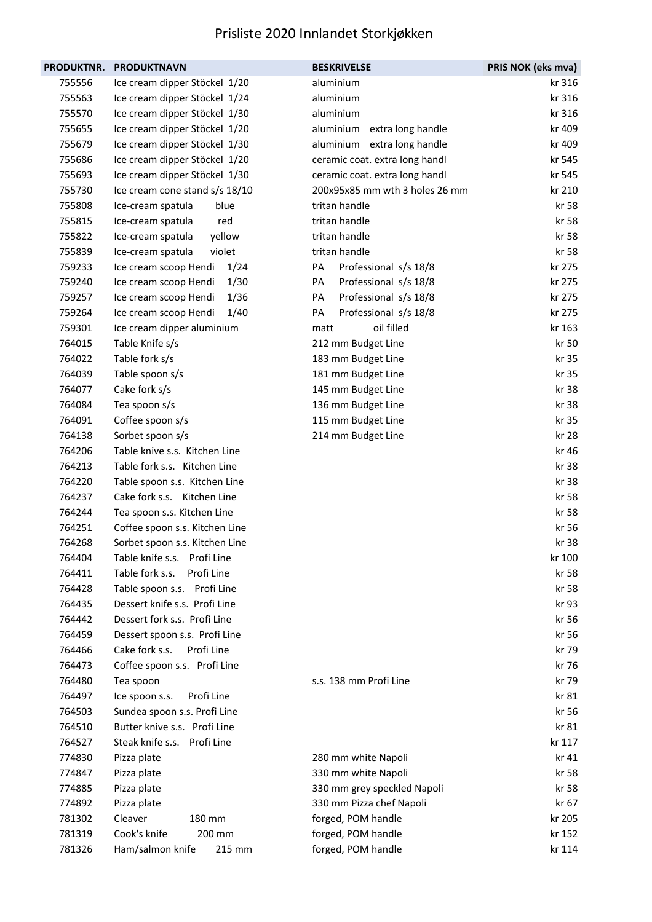| <b>PRODUKTNR.</b> | <b>PRODUKTNAVN</b>             | <b>BESKRIVELSE</b>             | PRIS NOK (eks mva) |
|-------------------|--------------------------------|--------------------------------|--------------------|
| 755556            | Ice cream dipper Stöckel 1/20  | aluminium                      | kr 316             |
| 755563            | Ice cream dipper Stöckel 1/24  | aluminium                      | kr 316             |
| 755570            | Ice cream dipper Stöckel 1/30  | aluminium                      | kr 316             |
| 755655            | Ice cream dipper Stöckel 1/20  | aluminium extra long handle    | kr 409             |
| 755679            | Ice cream dipper Stöckel 1/30  | aluminium extra long handle    | kr 409             |
| 755686            | Ice cream dipper Stöckel 1/20  | ceramic coat. extra long handl | kr 545             |
| 755693            | Ice cream dipper Stöckel 1/30  | ceramic coat. extra long handl | kr 545             |
| 755730            | Ice cream cone stand s/s 18/10 | 200x95x85 mm wth 3 holes 26 mm | kr 210             |
| 755808            | blue<br>Ice-cream spatula      | tritan handle                  | kr 58              |
| 755815            | red<br>Ice-cream spatula       | tritan handle                  | kr 58              |
| 755822            | yellow<br>Ice-cream spatula    | tritan handle                  | kr 58              |
| 755839            | violet<br>Ice-cream spatula    | tritan handle                  | kr 58              |
| 759233            | 1/24<br>Ice cream scoop Hendi  | Professional s/s 18/8<br>PA    | kr 275             |
| 759240            | 1/30<br>Ice cream scoop Hendi  | Professional s/s 18/8<br>PA    | kr 275             |
| 759257            | 1/36<br>Ice cream scoop Hendi  | Professional s/s 18/8<br>PA    | kr 275             |
| 759264            | 1/40<br>Ice cream scoop Hendi  | PA<br>Professional s/s 18/8    | kr 275             |
| 759301            | Ice cream dipper aluminium     | oil filled<br>matt             | kr 163             |
| 764015            | Table Knife s/s                | 212 mm Budget Line             | kr 50              |
| 764022            | Table fork s/s                 | 183 mm Budget Line             | kr 35              |
| 764039            | Table spoon s/s                | 181 mm Budget Line             | kr 35              |
| 764077            | Cake fork s/s                  | 145 mm Budget Line             | kr 38              |
| 764084            | Tea spoon s/s                  | 136 mm Budget Line             | kr 38              |
| 764091            | Coffee spoon s/s               | 115 mm Budget Line             | kr 35              |
| 764138            | Sorbet spoon s/s               | 214 mm Budget Line             | kr 28              |
| 764206            | Table knive s.s. Kitchen Line  |                                | kr 46              |
| 764213            | Table fork s.s. Kitchen Line   |                                | kr 38              |
| 764220            | Table spoon s.s. Kitchen Line  |                                | kr 38              |
| 764237            | Cake fork s.s. Kitchen Line    |                                | kr 58              |
| 764244            | Tea spoon s.s. Kitchen Line    |                                | kr 58              |
| 764251            | Coffee spoon s.s. Kitchen Line |                                | kr 56              |
| 764268            | Sorbet spoon s.s. Kitchen Line |                                | kr 38              |
| 764404            | Table knife s.s. Profi Line    |                                | kr 100             |
| 764411            | Table fork s.s.<br>Profi Line  |                                | kr 58              |
| 764428            | Table spoon s.s. Profi Line    |                                | kr 58              |
| 764435            | Dessert knife s.s. Profi Line  |                                | kr 93              |
| 764442            | Dessert fork s.s. Profi Line   |                                | kr 56              |
| 764459            | Dessert spoon s.s. Profi Line  |                                | kr 56              |
| 764466            | Cake fork s.s.<br>Profi Line   |                                | kr 79              |
| 764473            | Coffee spoon s.s. Profi Line   |                                | kr 76              |
| 764480            | Tea spoon                      | s.s. 138 mm Profi Line         | kr 79              |
| 764497            | Profi Line<br>Ice spoon s.s.   |                                | kr 81              |
| 764503            | Sundea spoon s.s. Profi Line   |                                | kr 56              |
| 764510            | Butter knive s.s. Profi Line   |                                | kr 81              |
| 764527            | Steak knife s.s. Profi Line    |                                | kr 117             |
| 774830            | Pizza plate                    | 280 mm white Napoli            | kr 41              |
| 774847            | Pizza plate                    | 330 mm white Napoli            | kr 58              |
| 774885            | Pizza plate                    | 330 mm grey speckled Napoli    | kr 58              |
| 774892            | Pizza plate                    | 330 mm Pizza chef Napoli       | kr 67              |
| 781302            | Cleaver<br>180 mm              | forged, POM handle             | kr 205             |
| 781319            | Cook's knife<br>200 mm         | forged, POM handle             | kr 152             |
| 781326            | Ham/salmon knife<br>215 mm     | forged, POM handle             | kr 114             |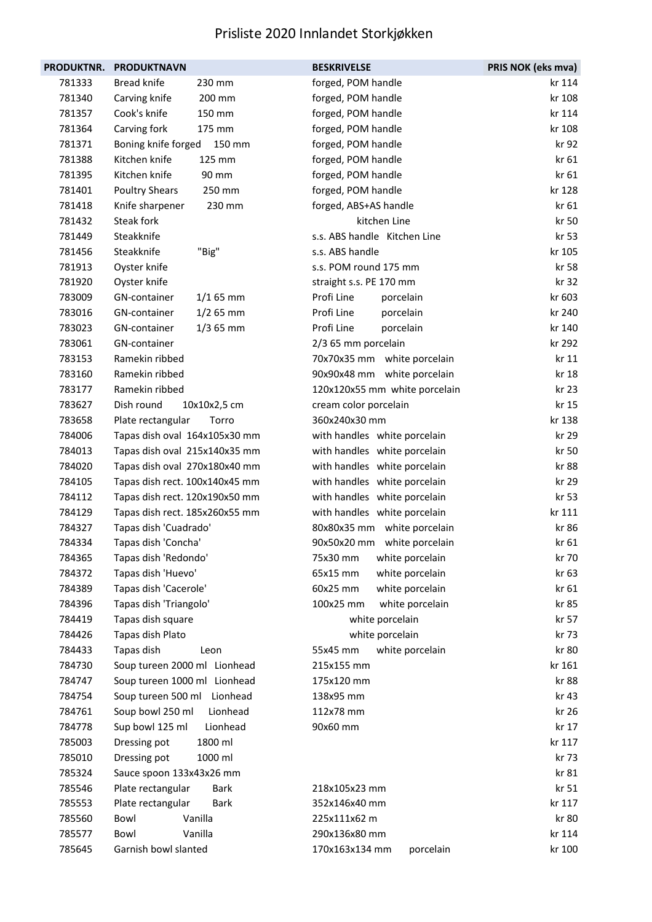| <b>PRODUKTNR.</b> | <b>PRODUKTNAVN</b>               | <b>BESKRIVELSE</b>            | PRIS NOK (eks mva) |
|-------------------|----------------------------------|-------------------------------|--------------------|
| 781333            | <b>Bread knife</b><br>230 mm     | forged, POM handle            | kr 114             |
| 781340            | Carving knife<br>200 mm          | forged, POM handle            | kr 108             |
| 781357            | Cook's knife<br>150 mm           | forged, POM handle            | kr 114             |
| 781364            | Carving fork<br>175 mm           | forged, POM handle            | kr 108             |
| 781371            | Boning knife forged<br>150 mm    | forged, POM handle            | kr 92              |
| 781388            | Kitchen knife<br>125 mm          | forged, POM handle            | kr 61              |
| 781395            | Kitchen knife<br>90 mm           | forged, POM handle            | kr 61              |
| 781401            | <b>Poultry Shears</b><br>250 mm  | forged, POM handle            | kr 128             |
| 781418            | 230 mm<br>Knife sharpener        | forged, ABS+AS handle         | kr 61              |
| 781432            | Steak fork                       | kitchen Line                  | kr 50              |
| 781449            | Steakknife                       | s.s. ABS handle Kitchen Line  | kr 53              |
| 781456            | Steakknife<br>"Big"              | s.s. ABS handle               | kr 105             |
| 781913            | Oyster knife                     | s.s. POM round 175 mm         | kr 58              |
| 781920            | Oyster knife                     | straight s.s. PE 170 mm       | kr 32              |
| 783009            | GN-container<br>$1/165$ mm       | Profi Line<br>porcelain       | kr 603             |
| 783016            | GN-container<br>$1/2$ 65 mm      | Profi Line<br>porcelain       | kr 240             |
| 783023            | GN-container<br>$1/3$ 65 mm      | Profi Line<br>porcelain       | kr 140             |
| 783061            | GN-container                     | 2/3 65 mm porcelain           | kr 292             |
| 783153            | Ramekin ribbed                   | 70x70x35 mm white porcelain   | kr 11              |
| 783160            | Ramekin ribbed                   | 90x90x48 mm white porcelain   | kr 18              |
| 783177            | Ramekin ribbed                   | 120x120x55 mm white porcelain | kr 23              |
| 783627            | Dish round<br>10x10x2,5 cm       | cream color porcelain         | kr 15              |
| 783658            | Plate rectangular<br>Torro       | 360x240x30 mm                 | kr 138             |
| 784006            | Tapas dish oval 164x105x30 mm    | with handles white porcelain  | kr 29              |
| 784013            | Tapas dish oval 215x140x35 mm    | with handles white porcelain  | kr 50              |
| 784020            | Tapas dish oval 270x180x40 mm    | with handles white porcelain  | kr 88              |
| 784105            | Tapas dish rect. 100x140x45 mm   | with handles white porcelain  | kr 29              |
| 784112            | Tapas dish rect. 120x190x50 mm   | with handles white porcelain  | kr 53              |
| 784129            | Tapas dish rect. 185x260x55 mm   | with handles white porcelain  | kr 111             |
| 784327            | Tapas dish 'Cuadrado'            | 80x80x35 mm white porcelain   | kr 86              |
| 784334            | Tapas dish 'Concha'              | 90x50x20 mm white porcelain   | kr 61              |
| 784365            | Tapas dish 'Redondo'             | 75x30 mm<br>white porcelain   | kr 70              |
| 784372            | Tapas dish 'Huevo'               | 65x15 mm<br>white porcelain   | kr 63              |
| 784389            | Tapas dish 'Cacerole'            | 60x25 mm<br>white porcelain   | kr 61              |
| 784396            | Tapas dish 'Triangolo'           | 100x25 mm<br>white porcelain  | kr 85              |
| 784419            | Tapas dish square                | white porcelain               | kr 57              |
| 784426            | Tapas dish Plato                 | white porcelain               | kr 73              |
| 784433            | Tapas dish<br>Leon               | white porcelain<br>55x45 mm   | kr 80              |
| 784730            | Soup tureen 2000 ml Lionhead     | 215x155 mm                    | kr 161             |
| 784747            | Soup tureen 1000 ml Lionhead     | 175x120 mm                    | kr 88              |
| 784754            | Soup tureen 500 ml Lionhead      | 138x95 mm                     | kr 43              |
| 784761            | Soup bowl 250 ml<br>Lionhead     | 112x78 mm                     | kr 26              |
| 784778            | Sup bowl 125 ml<br>Lionhead      | 90x60 mm                      | kr 17              |
| 785003            | 1800 ml<br>Dressing pot          |                               | kr 117             |
| 785010            | Dressing pot<br>1000 ml          |                               | kr 73              |
| 785324            | Sauce spoon 133x43x26 mm         |                               | kr 81              |
| 785546            | Plate rectangular<br>Bark        | 218x105x23 mm                 | kr 51              |
| 785553            | Plate rectangular<br><b>Bark</b> | 352x146x40 mm                 | kr 117             |
| 785560            | Vanilla<br>Bowl                  | 225x111x62 m                  | kr 80              |
| 785577            | Vanilla<br>Bowl                  | 290x136x80 mm                 | kr 114             |
| 785645            | Garnish bowl slanted             | 170x163x134 mm<br>porcelain   | kr 100             |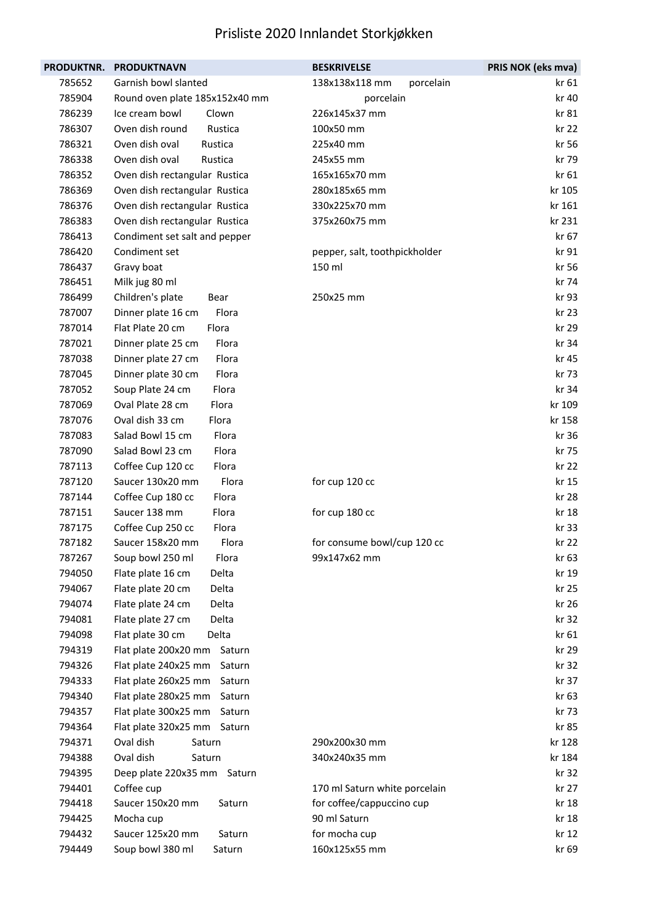| <b>PRODUKTNR.</b> | <b>PRODUKTNAVN</b>             | <b>BESKRIVELSE</b>            | PRIS NOK (eks mva) |
|-------------------|--------------------------------|-------------------------------|--------------------|
| 785652            | Garnish bowl slanted           | 138x138x118 mm<br>porcelain   | kr 61              |
| 785904            | Round oven plate 185x152x40 mm | porcelain                     | kr 40              |
| 786239            | Ice cream bowl<br>Clown        | 226x145x37 mm                 | kr 81              |
| 786307            | Oven dish round<br>Rustica     | 100x50 mm                     | kr 22              |
| 786321            | Oven dish oval<br>Rustica      | 225x40 mm                     | kr 56              |
| 786338            | Oven dish oval<br>Rustica      | 245x55 mm                     | kr 79              |
| 786352            | Oven dish rectangular Rustica  | 165x165x70 mm                 | kr 61              |
| 786369            | Oven dish rectangular Rustica  | 280x185x65 mm                 | kr 105             |
| 786376            | Oven dish rectangular Rustica  | 330x225x70 mm                 | kr 161             |
| 786383            | Oven dish rectangular Rustica  | 375x260x75 mm                 | kr 231             |
| 786413            | Condiment set salt and pepper  |                               | kr 67              |
| 786420            | Condiment set                  | pepper, salt, toothpickholder | kr 91              |
| 786437            | Gravy boat                     | 150 ml                        | kr 56              |
| 786451            | Milk jug 80 ml                 |                               | kr 74              |
| 786499            | Children's plate<br>Bear       | 250x25 mm                     | kr 93              |
| 787007            | Flora<br>Dinner plate 16 cm    |                               | kr 23              |
| 787014            | Flat Plate 20 cm<br>Flora      |                               | kr 29              |
| 787021            | Flora<br>Dinner plate 25 cm    |                               | kr 34              |
| 787038            | Flora<br>Dinner plate 27 cm    |                               | kr 45              |
| 787045            | Flora<br>Dinner plate 30 cm    |                               | kr 73              |
| 787052            | Soup Plate 24 cm<br>Flora      |                               | kr 34              |
| 787069            | Oval Plate 28 cm<br>Flora      |                               | kr 109             |
| 787076            | Oval dish 33 cm<br>Flora       |                               | kr 158             |
| 787083            | Flora<br>Salad Bowl 15 cm      |                               | kr 36              |
| 787090            | Flora<br>Salad Bowl 23 cm      |                               | kr 75              |
| 787113            | Coffee Cup 120 cc<br>Flora     |                               | kr 22              |
| 787120            | Saucer 130x20 mm<br>Flora      | for cup 120 cc                | kr 15              |
| 787144            | Coffee Cup 180 cc<br>Flora     |                               | kr 28              |
| 787151            | Saucer 138 mm<br>Flora         | for cup 180 cc                | kr 18              |
| 787175            | Coffee Cup 250 cc<br>Flora     |                               | kr 33              |
| 787182            | Saucer 158x20 mm<br>Flora      | for consume bowl/cup 120 cc   | kr 22              |
| 787267            | Flora<br>Soup bowl 250 ml      | 99x147x62 mm                  | kr 63              |
| 794050            | Flate plate 16 cm<br>Delta     |                               | kr 19              |
| 794067            | Flate plate 20 cm<br>Delta     |                               | kr 25              |
| 794074            | Flate plate 24 cm<br>Delta     |                               | kr 26              |
| 794081            | Flate plate 27 cm<br>Delta     |                               | kr 32              |
| 794098            | Flat plate 30 cm<br>Delta      |                               | kr 61              |
| 794319            | Flat plate 200x20 mm Saturn    |                               | kr 29              |
| 794326            | Flat plate 240x25 mm<br>Saturn |                               | kr 32              |
| 794333            | Flat plate 260x25 mm<br>Saturn |                               | kr 37              |
| 794340            | Flat plate 280x25 mm<br>Saturn |                               | kr 63              |
| 794357            | Flat plate 300x25 mm Saturn    |                               | kr 73              |
| 794364            | Flat plate 320x25 mm Saturn    |                               | kr 85              |
| 794371            | Oval dish<br>Saturn            | 290x200x30 mm                 | kr 128             |
| 794388            | Oval dish<br>Saturn            | 340x240x35 mm                 | kr 184             |
| 794395            | Deep plate 220x35 mm Saturn    |                               | kr 32              |
| 794401            | Coffee cup                     | 170 ml Saturn white porcelain | kr 27              |
| 794418            | Saucer 150x20 mm<br>Saturn     | for coffee/cappuccino cup     | kr 18              |
| 794425            | Mocha cup                      | 90 ml Saturn                  | kr 18              |
| 794432            | Saucer 125x20 mm<br>Saturn     | for mocha cup                 | kr 12              |
| 794449            | Soup bowl 380 ml<br>Saturn     | 160x125x55 mm                 | kr 69              |
|                   |                                |                               |                    |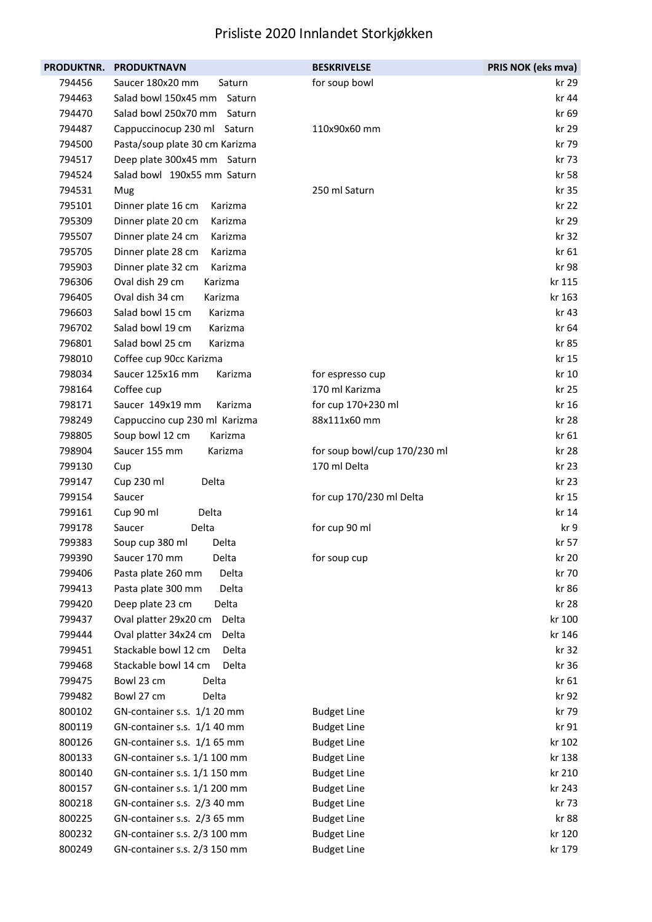| <b>PRODUKTNR.</b> | <b>PRODUKTNAVN</b>             | <b>BESKRIVELSE</b>           | PRIS NOK (eks mva) |
|-------------------|--------------------------------|------------------------------|--------------------|
| 794456            | Saucer 180x20 mm<br>Saturn     | for soup bowl                | kr 29              |
| 794463            | Salad bowl 150x45 mm Saturn    |                              | kr 44              |
| 794470            | Salad bowl 250x70 mm Saturn    |                              | kr 69              |
| 794487            | Cappuccinocup 230 ml Saturn    | 110x90x60 mm                 | kr 29              |
| 794500            | Pasta/soup plate 30 cm Karizma |                              | kr 79              |
| 794517            | Deep plate 300x45 mm Saturn    |                              | kr 73              |
| 794524            | Salad bowl 190x55 mm Saturn    |                              | kr 58              |
| 794531            | Mug                            | 250 ml Saturn                | kr 35              |
| 795101            | Dinner plate 16 cm<br>Karizma  |                              | kr 22              |
| 795309            | Dinner plate 20 cm<br>Karizma  |                              | kr 29              |
| 795507            | Dinner plate 24 cm<br>Karizma  |                              | kr 32              |
| 795705            | Dinner plate 28 cm<br>Karizma  |                              | kr 61              |
| 795903            | Karizma<br>Dinner plate 32 cm  |                              | kr 98              |
| 796306            | Oval dish 29 cm<br>Karizma     |                              | kr 115             |
| 796405            | Oval dish 34 cm<br>Karizma     |                              | kr 163             |
| 796603            | Salad bowl 15 cm<br>Karizma    |                              | kr 43              |
| 796702            | Salad bowl 19 cm<br>Karizma    |                              | kr 64              |
| 796801            | Salad bowl 25 cm<br>Karizma    |                              | kr 85              |
| 798010            | Coffee cup 90cc Karizma        |                              | kr 15              |
| 798034            | Saucer 125x16 mm<br>Karizma    | for espresso cup             | kr 10              |
| 798164            | Coffee cup                     | 170 ml Karizma               | kr 25              |
| 798171            | Saucer 149x19 mm<br>Karizma    | for cup 170+230 ml           | kr 16              |
| 798249            | Cappuccino cup 230 ml Karizma  | 88x111x60 mm                 | kr 28              |
| 798805            | Soup bowl 12 cm<br>Karizma     |                              | kr 61              |
| 798904            | Saucer 155 mm<br>Karizma       | for soup bowl/cup 170/230 ml | kr 28              |
| 799130            | Cup                            | 170 ml Delta                 | kr 23              |
| 799147            | Cup 230 ml<br>Delta            |                              | kr 23              |
| 799154            | Saucer                         | for cup 170/230 ml Delta     | kr 15              |
| 799161            | Delta<br>Cup 90 ml             |                              | kr 14              |
| 799178            | Delta<br>Saucer                | for cup 90 ml                | kr 9               |
| 799383            | Soup cup 380 ml<br>Delta       |                              | kr 57              |
| 799390            | Delta<br>Saucer 170 mm         | for soup cup                 | kr 20              |
| 799406            | Pasta plate 260 mm<br>Delta    |                              | kr 70              |
| 799413            | Delta<br>Pasta plate 300 mm    |                              | kr 86              |
| 799420            | Delta<br>Deep plate 23 cm      |                              | kr 28              |
| 799437            | Oval platter 29x20 cm<br>Delta |                              | kr 100             |
| 799444            | Oval platter 34x24 cm<br>Delta |                              | kr 146             |
| 799451            | Stackable bowl 12 cm<br>Delta  |                              | kr 32              |
| 799468            | Stackable bowl 14 cm<br>Delta  |                              | kr 36              |
| 799475            | Bowl 23 cm<br>Delta            |                              | kr 61              |
| 799482            | Bowl 27 cm<br>Delta            |                              | kr 92              |
| 800102            | GN-container s.s. 1/1 20 mm    | <b>Budget Line</b>           | kr 79              |
| 800119            | GN-container s.s. 1/1 40 mm    | <b>Budget Line</b>           | kr 91              |
| 800126            | GN-container s.s. 1/1 65 mm    | <b>Budget Line</b>           | kr 102             |
| 800133            | GN-container s.s. 1/1 100 mm   | <b>Budget Line</b>           | kr 138             |
| 800140            | GN-container s.s. 1/1 150 mm   | <b>Budget Line</b>           | kr 210             |
| 800157            | GN-container s.s. 1/1 200 mm   | <b>Budget Line</b>           | kr 243             |
| 800218            | GN-container s.s. 2/3 40 mm    | <b>Budget Line</b>           | kr 73              |
| 800225            | GN-container s.s. 2/3 65 mm    | <b>Budget Line</b>           | kr 88              |
| 800232            | GN-container s.s. 2/3 100 mm   | <b>Budget Line</b>           | kr 120             |
| 800249            | GN-container s.s. 2/3 150 mm   | <b>Budget Line</b>           | kr 179             |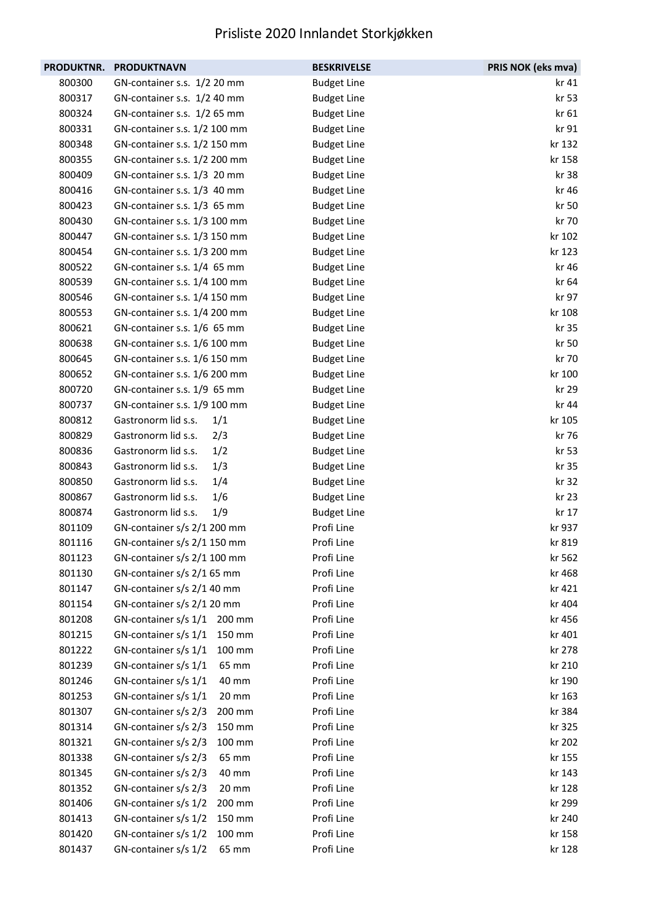|        | PRODUKTNR. PRODUKTNAVN       |        | <b>BESKRIVELSE</b> | PRIS NOK (eks mva) |
|--------|------------------------------|--------|--------------------|--------------------|
| 800300 | GN-container s.s. 1/2 20 mm  |        | <b>Budget Line</b> | kr 41              |
| 800317 | GN-container s.s. 1/2 40 mm  |        | <b>Budget Line</b> | kr 53              |
| 800324 | GN-container s.s. 1/2 65 mm  |        | <b>Budget Line</b> | kr 61              |
| 800331 | GN-container s.s. 1/2 100 mm |        | <b>Budget Line</b> | kr 91              |
| 800348 | GN-container s.s. 1/2 150 mm |        | <b>Budget Line</b> | kr 132             |
| 800355 | GN-container s.s. 1/2 200 mm |        | <b>Budget Line</b> | kr 158             |
| 800409 | GN-container s.s. 1/3 20 mm  |        | <b>Budget Line</b> | kr 38              |
| 800416 | GN-container s.s. 1/3 40 mm  |        | <b>Budget Line</b> | kr 46              |
| 800423 | GN-container s.s. 1/3 65 mm  |        | <b>Budget Line</b> | kr 50              |
| 800430 | GN-container s.s. 1/3 100 mm |        | <b>Budget Line</b> | kr 70              |
| 800447 | GN-container s.s. 1/3 150 mm |        | <b>Budget Line</b> | kr 102             |
| 800454 | GN-container s.s. 1/3 200 mm |        | <b>Budget Line</b> | kr 123             |
| 800522 | GN-container s.s. 1/4 65 mm  |        | <b>Budget Line</b> | kr 46              |
| 800539 | GN-container s.s. 1/4 100 mm |        | <b>Budget Line</b> | kr 64              |
| 800546 | GN-container s.s. 1/4 150 mm |        | <b>Budget Line</b> | kr 97              |
| 800553 | GN-container s.s. 1/4 200 mm |        | <b>Budget Line</b> | kr 108             |
| 800621 | GN-container s.s. 1/6 65 mm  |        | <b>Budget Line</b> | kr 35              |
| 800638 | GN-container s.s. 1/6 100 mm |        | <b>Budget Line</b> | kr 50              |
| 800645 | GN-container s.s. 1/6 150 mm |        | <b>Budget Line</b> | kr 70              |
| 800652 | GN-container s.s. 1/6 200 mm |        | <b>Budget Line</b> | kr 100             |
| 800720 | GN-container s.s. 1/9 65 mm  |        | <b>Budget Line</b> | kr 29              |
| 800737 | GN-container s.s. 1/9 100 mm |        | <b>Budget Line</b> | kr 44              |
| 800812 | Gastronorm lid s.s.          | 1/1    | <b>Budget Line</b> | kr 105             |
| 800829 | Gastronorm lid s.s.          | 2/3    | <b>Budget Line</b> | kr 76              |
| 800836 | Gastronorm lid s.s.          | 1/2    | <b>Budget Line</b> | kr 53              |
| 800843 | Gastronorm lid s.s.          | 1/3    | <b>Budget Line</b> | kr 35              |
| 800850 | Gastronorm lid s.s.          | 1/4    | <b>Budget Line</b> | kr 32              |
| 800867 | Gastronorm lid s.s.          | 1/6    | <b>Budget Line</b> | kr 23              |
| 800874 | Gastronorm lid s.s.          | 1/9    | <b>Budget Line</b> | kr 17              |
| 801109 | GN-container s/s 2/1 200 mm  |        | Profi Line         | kr 937             |
| 801116 | GN-container s/s 2/1 150 mm  |        | Profi Line         | kr 819             |
| 801123 | GN-container s/s 2/1 100 mm  |        | Profi Line         | kr 562             |
| 801130 | GN-container s/s 2/1 65 mm   |        | Profi Line         | kr 468             |
| 801147 | GN-container s/s 2/1 40 mm   |        | Profi Line         | kr 421             |
| 801154 | GN-container s/s 2/1 20 mm   |        | Profi Line         | kr 404             |
| 801208 | GN-container s/s 1/1 200 mm  |        | Profi Line         | kr 456             |
| 801215 | GN-container s/s 1/1         | 150 mm | Profi Line         | kr 401             |
| 801222 | GN-container s/s 1/1         | 100 mm | Profi Line         | kr 278             |
| 801239 | GN-container s/s 1/1         | 65 mm  | Profi Line         | kr 210             |
| 801246 | GN-container s/s 1/1         | 40 mm  | Profi Line         | kr 190             |
| 801253 | GN-container s/s 1/1         | 20 mm  | Profi Line         | kr 163             |
| 801307 | GN-container s/s 2/3         | 200 mm | Profi Line         | kr 384             |
| 801314 | GN-container s/s 2/3         | 150 mm | Profi Line         | kr 325             |
| 801321 | GN-container s/s 2/3         | 100 mm | Profi Line         | kr 202             |
| 801338 | GN-container s/s 2/3         | 65 mm  | Profi Line         | kr 155             |
| 801345 | GN-container s/s 2/3         | 40 mm  | Profi Line         | kr 143             |
| 801352 | GN-container s/s 2/3         | 20 mm  | Profi Line         | kr 128             |
| 801406 | GN-container s/s 1/2         | 200 mm | Profi Line         | kr 299             |
| 801413 | GN-container s/s 1/2         | 150 mm | Profi Line         | kr 240             |
| 801420 | GN-container s/s 1/2         | 100 mm | Profi Line         | kr 158             |
| 801437 | GN-container s/s 1/2         | 65 mm  | Profi Line         | kr 128             |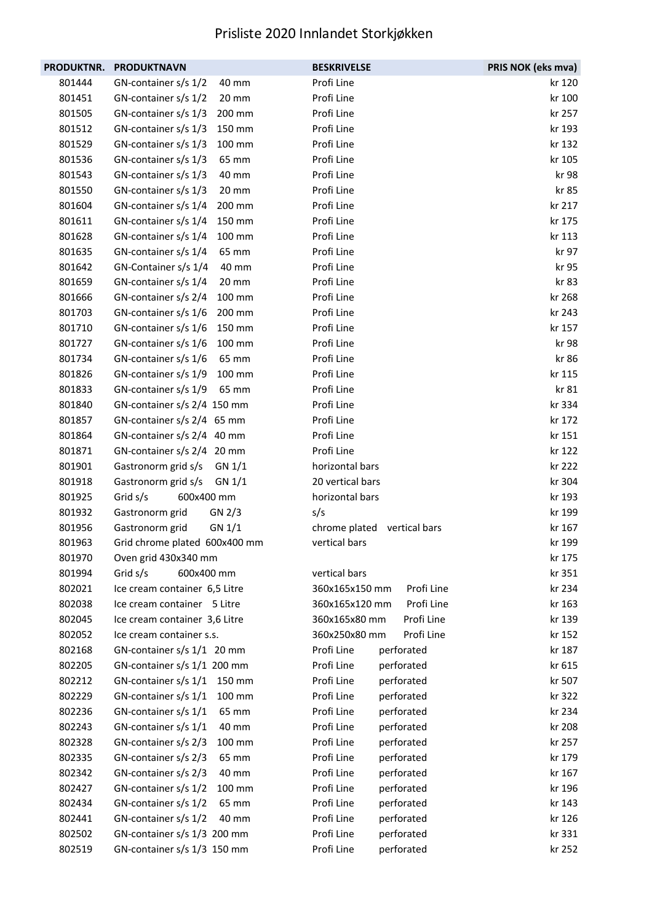| PRODUKTNR. | <b>PRODUKTNAVN</b>             | <b>BESKRIVELSE</b>           | PRIS NOK (eks mva) |
|------------|--------------------------------|------------------------------|--------------------|
| 801444     | GN-container s/s 1/2<br>40 mm  | Profi Line                   | kr 120             |
| 801451     | GN-container s/s 1/2<br>20 mm  | Profi Line                   | kr 100             |
| 801505     | GN-container s/s 1/3<br>200 mm | Profi Line                   | kr 257             |
| 801512     | GN-container s/s 1/3<br>150 mm | Profi Line                   | kr 193             |
| 801529     | GN-container s/s 1/3<br>100 mm | Profi Line                   | kr 132             |
| 801536     | GN-container s/s 1/3<br>65 mm  | Profi Line                   | kr 105             |
| 801543     | GN-container s/s 1/3<br>40 mm  | Profi Line                   | kr 98              |
| 801550     | GN-container s/s 1/3<br>20 mm  | Profi Line                   | kr 85              |
| 801604     | GN-container s/s 1/4<br>200 mm | Profi Line                   | kr 217             |
| 801611     | GN-container s/s 1/4<br>150 mm | Profi Line                   | kr 175             |
| 801628     | GN-container s/s 1/4<br>100 mm | Profi Line                   | kr 113             |
| 801635     | GN-container s/s 1/4<br>65 mm  | Profi Line                   | kr 97              |
| 801642     | GN-Container s/s 1/4<br>40 mm  | Profi Line                   | kr 95              |
| 801659     | GN-container s/s 1/4<br>20 mm  | Profi Line                   | kr 83              |
| 801666     | GN-container s/s 2/4<br>100 mm | Profi Line                   | kr 268             |
| 801703     | GN-container s/s 1/6<br>200 mm | Profi Line                   | kr 243             |
| 801710     | 150 mm<br>GN-container s/s 1/6 | Profi Line                   | kr 157             |
| 801727     | GN-container s/s 1/6<br>100 mm | Profi Line                   | kr 98              |
| 801734     | GN-container s/s 1/6<br>65 mm  | Profi Line                   | kr 86              |
| 801826     | GN-container s/s 1/9<br>100 mm | Profi Line                   | kr 115             |
| 801833     | GN-container s/s 1/9<br>65 mm  | Profi Line                   | kr 81              |
| 801840     | GN-container s/s 2/4 150 mm    | Profi Line                   | kr 334             |
| 801857     | GN-container s/s 2/4 65 mm     | Profi Line                   | kr 172             |
| 801864     | GN-container s/s 2/4 40 mm     | Profi Line                   | kr 151             |
| 801871     | GN-container s/s 2/4 20 mm     | Profi Line                   | kr 122             |
| 801901     | Gastronorm grid s/s<br>GN 1/1  | horizontal bars              | kr 222             |
| 801918     | Gastronorm grid s/s<br>GN 1/1  | 20 vertical bars             | kr 304             |
| 801925     | Grid s/s<br>600x400 mm         | horizontal bars              | kr 193             |
| 801932     | Gastronorm grid<br>GN 2/3      | s/s                          | kr 199             |
| 801956     | Gastronorm grid<br>GN 1/1      | chrome plated vertical bars  | kr 167             |
| 801963     | Grid chrome plated 600x400 mm  | vertical bars                | kr 199             |
| 801970     | Oven grid 430x340 mm           |                              | kr 175             |
| 801994     | Grid s/s<br>600x400 mm         | vertical bars                | kr 351             |
| 802021     | Ice cream container 6,5 Litre  | 360x165x150 mm<br>Profi Line | kr 234             |
| 802038     | Ice cream container 5 Litre    | 360x165x120 mm<br>Profi Line | kr 163             |
| 802045     | Ice cream container 3,6 Litre  | 360x165x80 mm<br>Profi Line  | kr 139             |
| 802052     | Ice cream container s.s.       | 360x250x80 mm<br>Profi Line  | kr 152             |
| 802168     | GN-container s/s 1/1 20 mm     | Profi Line<br>perforated     | kr 187             |
| 802205     | GN-container s/s 1/1 200 mm    | Profi Line<br>perforated     | kr 615             |
| 802212     | GN-container s/s 1/1<br>150 mm | Profi Line<br>perforated     | kr 507             |
| 802229     | GN-container s/s 1/1<br>100 mm | Profi Line<br>perforated     | kr 322             |
| 802236     | GN-container s/s 1/1<br>65 mm  | Profi Line<br>perforated     | kr 234             |
| 802243     | GN-container s/s 1/1<br>40 mm  | Profi Line<br>perforated     | kr 208             |
| 802328     | GN-container s/s 2/3<br>100 mm | Profi Line<br>perforated     | kr 257             |
| 802335     | GN-container s/s 2/3<br>65 mm  | Profi Line<br>perforated     | kr 179             |
| 802342     | GN-container s/s 2/3<br>40 mm  | Profi Line<br>perforated     | kr 167             |
| 802427     | GN-container s/s 1/2<br>100 mm | Profi Line<br>perforated     | kr 196             |
| 802434     | GN-container s/s 1/2<br>65 mm  | Profi Line<br>perforated     | kr 143             |
| 802441     | GN-container s/s 1/2<br>40 mm  | Profi Line<br>perforated     | kr 126             |
| 802502     | GN-container s/s 1/3 200 mm    | Profi Line<br>perforated     | kr 331             |
| 802519     | GN-container s/s 1/3 150 mm    | Profi Line<br>perforated     | kr 252             |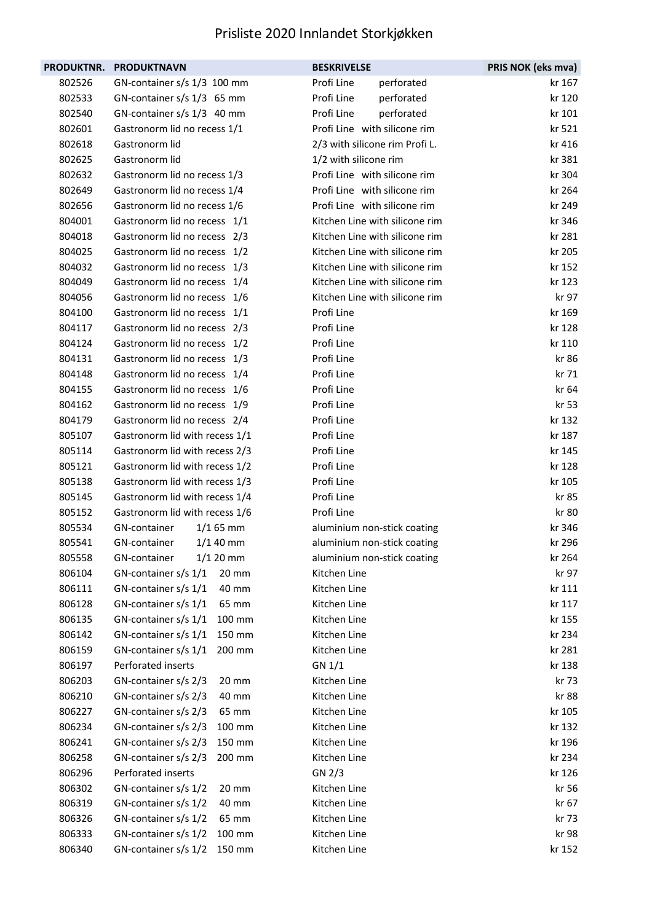| <b>PRODUKTNR.</b> | <b>PRODUKTNAVN</b>             | <b>BESKRIVELSE</b>             | PRIS NOK (eks mva) |
|-------------------|--------------------------------|--------------------------------|--------------------|
| 802526            | GN-container s/s 1/3 100 mm    | Profi Line<br>perforated       | kr 167             |
| 802533            | GN-container s/s 1/3 65 mm     | Profi Line<br>perforated       | kr 120             |
| 802540            | GN-container s/s 1/3 40 mm     | Profi Line<br>perforated       | kr 101             |
| 802601            | Gastronorm lid no recess 1/1   | Profi Line with silicone rim   | kr 521             |
| 802618            | Gastronorm lid                 | 2/3 with silicone rim Profi L. | kr 416             |
| 802625            | Gastronorm lid                 | 1/2 with silicone rim          | kr 381             |
| 802632            | Gastronorm lid no recess 1/3   | Profi Line with silicone rim   | kr 304             |
| 802649            | Gastronorm lid no recess 1/4   | Profi Line with silicone rim   | kr 264             |
| 802656            | Gastronorm lid no recess 1/6   | Profi Line with silicone rim   | kr 249             |
| 804001            | Gastronorm lid no recess 1/1   | Kitchen Line with silicone rim | kr 346             |
| 804018            | Gastronorm lid no recess 2/3   | Kitchen Line with silicone rim | kr 281             |
| 804025            | Gastronorm lid no recess 1/2   | Kitchen Line with silicone rim | kr 205             |
| 804032            | Gastronorm lid no recess 1/3   | Kitchen Line with silicone rim | kr 152             |
| 804049            | Gastronorm lid no recess 1/4   | Kitchen Line with silicone rim | kr 123             |
| 804056            | Gastronorm lid no recess 1/6   | Kitchen Line with silicone rim | kr 97              |
| 804100            | Gastronorm lid no recess 1/1   | Profi Line                     | kr 169             |
| 804117            | Gastronorm lid no recess 2/3   | Profi Line                     | kr 128             |
| 804124            | Gastronorm lid no recess 1/2   | Profi Line                     | kr 110             |
| 804131            | Gastronorm lid no recess 1/3   | Profi Line                     | kr 86              |
| 804148            | Gastronorm lid no recess 1/4   | Profi Line                     | kr 71              |
| 804155            | Gastronorm lid no recess 1/6   | Profi Line                     | kr 64              |
| 804162            | Gastronorm lid no recess 1/9   | Profi Line                     | kr 53              |
| 804179            | Gastronorm lid no recess 2/4   | Profi Line                     | kr 132             |
| 805107            | Gastronorm lid with recess 1/1 | Profi Line                     | kr 187             |
| 805114            | Gastronorm lid with recess 2/3 | Profi Line                     | kr 145             |
| 805121            | Gastronorm lid with recess 1/2 | Profi Line                     | kr 128             |
| 805138            | Gastronorm lid with recess 1/3 | Profi Line                     | kr 105             |
| 805145            | Gastronorm lid with recess 1/4 | Profi Line                     | kr 85              |
| 805152            | Gastronorm lid with recess 1/6 | Profi Line                     | kr 80              |
| 805534            | GN-container<br>$1/165$ mm     | aluminium non-stick coating    | kr 346             |
| 805541            | $1/140$ mm<br>GN-container     | aluminium non-stick coating    | kr 296             |
| 805558            | GN-container<br>$1/120$ mm     | aluminium non-stick coating    | kr 264             |
| 806104            | GN-container s/s 1/1<br>20 mm  | Kitchen Line                   | kr 97              |
| 806111            | GN-container s/s 1/1<br>40 mm  | Kitchen Line                   | kr 111             |
| 806128            | GN-container s/s 1/1<br>65 mm  | Kitchen Line                   | kr 117             |
| 806135            | GN-container s/s 1/1<br>100 mm | Kitchen Line                   | kr 155             |
| 806142            | GN-container s/s 1/1<br>150 mm | Kitchen Line                   | kr 234             |
| 806159            | GN-container s/s 1/1<br>200 mm | Kitchen Line                   | kr 281             |
| 806197            | Perforated inserts             | GN 1/1                         | kr 138             |
| 806203            | GN-container s/s 2/3<br>20 mm  | Kitchen Line                   | kr 73              |
| 806210            | GN-container s/s 2/3<br>40 mm  | Kitchen Line                   | kr 88              |
| 806227            | GN-container s/s 2/3<br>65 mm  | Kitchen Line                   | kr 105             |
| 806234            | GN-container s/s 2/3<br>100 mm | Kitchen Line                   | kr 132             |
| 806241            | GN-container s/s 2/3<br>150 mm | Kitchen Line                   | kr 196             |
| 806258            | GN-container s/s 2/3<br>200 mm | Kitchen Line                   | kr 234             |
| 806296            | Perforated inserts             | GN 2/3                         | kr 126             |
| 806302            | GN-container s/s 1/2<br>20 mm  | Kitchen Line                   | kr 56              |
| 806319            | GN-container s/s 1/2<br>40 mm  | Kitchen Line                   | kr 67              |
| 806326            | GN-container s/s 1/2<br>65 mm  | Kitchen Line                   | kr 73              |
| 806333            | GN-container s/s 1/2<br>100 mm | Kitchen Line                   | kr 98              |
| 806340            | GN-container s/s 1/2<br>150 mm | Kitchen Line                   | kr 152             |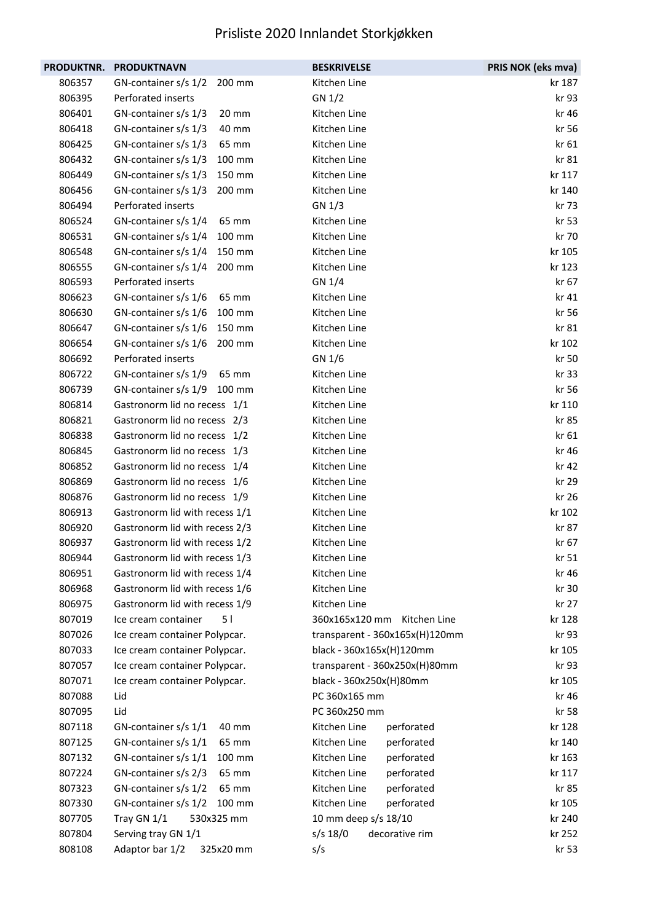| <b>PRODUKTNR.</b> | <b>PRODUKTNAVN</b>               | <b>BESKRIVELSE</b>             | PRIS NOK (eks mva) |
|-------------------|----------------------------------|--------------------------------|--------------------|
| 806357            | GN-container s/s 1/2<br>200 mm   | Kitchen Line                   | kr 187             |
| 806395            | Perforated inserts               | GN 1/2                         | kr 93              |
| 806401            | GN-container s/s 1/3<br>20 mm    | Kitchen Line                   | kr 46              |
| 806418            | GN-container s/s 1/3<br>40 mm    | Kitchen Line                   | kr 56              |
| 806425            | GN-container s/s 1/3<br>65 mm    | Kitchen Line                   | kr 61              |
| 806432            | GN-container s/s 1/3<br>100 mm   | Kitchen Line                   | kr 81              |
| 806449            | GN-container $s/s$ 1/3<br>150 mm | Kitchen Line                   | kr 117             |
| 806456            | GN-container s/s 1/3<br>200 mm   | Kitchen Line                   | kr 140             |
| 806494            | Perforated inserts               | GN 1/3                         | kr 73              |
| 806524            | GN-container s/s 1/4<br>65 mm    | Kitchen Line                   | kr 53              |
| 806531            | GN-container s/s 1/4<br>100 mm   | Kitchen Line                   | kr 70              |
| 806548            | GN-container s/s 1/4<br>150 mm   | Kitchen Line                   | kr 105             |
| 806555            | GN-container s/s 1/4<br>200 mm   | Kitchen Line                   | kr 123             |
| 806593            | Perforated inserts               | GN 1/4                         | kr 67              |
| 806623            | GN-container s/s 1/6<br>65 mm    | Kitchen Line                   | kr 41              |
| 806630            | GN-container s/s 1/6<br>100 mm   | Kitchen Line                   | kr 56              |
| 806647            | GN-container s/s 1/6<br>150 mm   | Kitchen Line                   | kr 81              |
| 806654            | GN-container s/s 1/6<br>200 mm   | Kitchen Line                   | kr 102             |
| 806692            | Perforated inserts               | GN 1/6                         | kr 50              |
| 806722            | GN-container s/s 1/9<br>65 mm    | Kitchen Line                   | kr 33              |
| 806739            | GN-container s/s 1/9<br>100 mm   | Kitchen Line                   | kr 56              |
| 806814            | Gastronorm lid no recess 1/1     | Kitchen Line                   | kr 110             |
| 806821            | Gastronorm lid no recess 2/3     | Kitchen Line                   | kr 85              |
| 806838            | Gastronorm lid no recess 1/2     | Kitchen Line                   | kr 61              |
| 806845            | Gastronorm lid no recess 1/3     | Kitchen Line                   | kr 46              |
| 806852            | Gastronorm lid no recess 1/4     | Kitchen Line                   | kr 42              |
| 806869            | Gastronorm lid no recess 1/6     | Kitchen Line                   | kr 29              |
| 806876            | Gastronorm lid no recess 1/9     | Kitchen Line                   | kr 26              |
| 806913            | Gastronorm lid with recess 1/1   | Kitchen Line                   | kr 102             |
| 806920            | Gastronorm lid with recess 2/3   | Kitchen Line                   | kr 87              |
| 806937            | Gastronorm lid with recess 1/2   | Kitchen Line                   | kr 67              |
| 806944            | Gastronorm lid with recess 1/3   | Kitchen Line                   | kr 51              |
| 806951            | Gastronorm lid with recess 1/4   | Kitchen Line                   | kr 46              |
| 806968            | Gastronorm lid with recess 1/6   | Kitchen Line                   | kr 30              |
| 806975            | Gastronorm lid with recess 1/9   | Kitchen Line                   | kr 27              |
| 807019            | Ice cream container<br>51        | 360x165x120 mm<br>Kitchen Line | kr 128             |
| 807026            | Ice cream container Polypcar.    | transparent - 360x165x(H)120mm | kr 93              |
| 807033            | Ice cream container Polypcar.    | black - 360x165x(H)120mm       | kr 105             |
| 807057            | Ice cream container Polypcar.    | transparent - 360x250x(H)80mm  | kr 93              |
| 807071            | Ice cream container Polypcar.    | black - 360x250x(H)80mm        | kr 105             |
| 807088            | Lid                              | PC 360x165 mm                  | kr 46              |
| 807095            | Lid                              | PC 360x250 mm                  | kr 58              |
| 807118            | GN-container s/s 1/1<br>40 mm    | Kitchen Line<br>perforated     | kr 128             |
| 807125            | GN-container s/s 1/1<br>65 mm    | Kitchen Line<br>perforated     | kr 140             |
| 807132            | GN-container s/s 1/1<br>100 mm   | Kitchen Line<br>perforated     | kr 163             |
| 807224            | GN-container s/s 2/3<br>65 mm    | Kitchen Line<br>perforated     | kr 117             |
| 807323            | GN-container s/s 1/2<br>65 mm    | Kitchen Line<br>perforated     | kr 85              |
| 807330            | GN-container s/s 1/2<br>100 mm   | Kitchen Line<br>perforated     | kr 105             |
| 807705            | Tray GN 1/1<br>530x325 mm        | 10 mm deep s/s 18/10           | kr 240             |
| 807804            | Serving tray GN 1/1              | $s/s$ 18/0<br>decorative rim   | kr 252             |
| 808108            | Adaptor bar 1/2<br>325x20 mm     | s/s                            | kr 53              |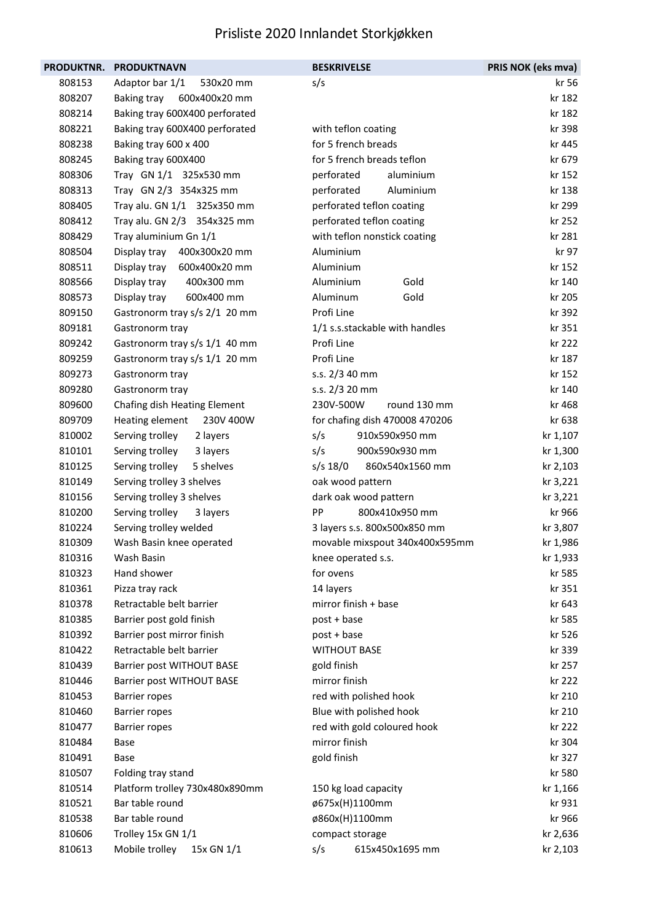| <b>PRODUKTNR.</b> | <b>PRODUKTNAVN</b>             | <b>BESKRIVELSE</b>             | PRIS NOK (eks mva) |
|-------------------|--------------------------------|--------------------------------|--------------------|
| 808153            | Adaptor bar 1/1<br>530x20 mm   | s/s                            | kr 56              |
| 808207            | 600x400x20 mm<br>Baking tray   |                                | kr 182             |
| 808214            | Baking tray 600X400 perforated |                                | kr 182             |
| 808221            | Baking tray 600X400 perforated | with teflon coating            | kr 398             |
| 808238            | Baking tray 600 x 400          | for 5 french breads            | kr 445             |
| 808245            | Baking tray 600X400            | for 5 french breads teflon     | kr 679             |
| 808306            | Tray GN 1/1 325x530 mm         | perforated<br>aluminium        | kr 152             |
| 808313            | Tray GN 2/3 354x325 mm         | perforated<br>Aluminium        | kr 138             |
| 808405            | Tray alu. GN 1/1 325x350 mm    | perforated teflon coating      | kr 299             |
| 808412            | Tray alu. GN 2/3 354x325 mm    | perforated teflon coating      | kr 252             |
| 808429            | Tray aluminium Gn 1/1          | with teflon nonstick coating   | kr 281             |
| 808504            | Display tray<br>400x300x20 mm  | Aluminium                      | kr 97              |
| 808511            | 600x400x20 mm<br>Display tray  | Aluminium                      | kr 152             |
| 808566            | 400x300 mm<br>Display tray     | Gold<br>Aluminium              | kr 140             |
| 808573            | Display tray<br>600x400 mm     | Aluminum<br>Gold               | kr 205             |
| 809150            | Gastronorm tray s/s 2/1 20 mm  | Profi Line                     | kr 392             |
| 809181            | Gastronorm tray                | 1/1 s.s.stackable with handles | kr 351             |
| 809242            | Gastronorm tray s/s 1/1 40 mm  | Profi Line                     | kr 222             |
| 809259            | Gastronorm tray s/s 1/1 20 mm  | Profi Line                     | kr 187             |
| 809273            | Gastronorm tray                | s.s. 2/3 40 mm                 | kr 152             |
| 809280            | Gastronorm tray                | s.s. 2/3 20 mm                 | kr 140             |
| 809600            | Chafing dish Heating Element   | 230V-500W<br>round 130 mm      | kr 468             |
| 809709            | Heating element<br>230V 400W   | for chafing dish 470008 470206 | kr 638             |
| 810002            | Serving trolley<br>2 layers    | s/s<br>910x590x950 mm          | kr 1,107           |
| 810101            | Serving trolley<br>3 layers    | s/s<br>900x590x930 mm          | kr 1,300           |
| 810125            | Serving trolley<br>5 shelves   | s/s 18/0<br>860x540x1560 mm    | kr 2,103           |
| 810149            | Serving trolley 3 shelves      | oak wood pattern               | kr 3,221           |
| 810156            | Serving trolley 3 shelves      | dark oak wood pattern          | kr 3,221           |
| 810200            | Serving trolley<br>3 layers    | PP<br>800x410x950 mm           | kr 966             |
| 810224            | Serving trolley welded         | 3 layers s.s. 800x500x850 mm   | kr 3,807           |
| 810309            | Wash Basin knee operated       | movable mixspout 340x400x595mm | kr 1,986           |
| 810316            | Wash Basin                     | knee operated s.s.             | kr 1,933           |
| 810323            | Hand shower                    | for ovens                      | kr 585             |
| 810361            | Pizza tray rack                | 14 layers                      | kr 351             |
| 810378            | Retractable belt barrier       | mirror finish + base           | kr 643             |
| 810385            | Barrier post gold finish       | post + base                    | kr 585             |
| 810392            | Barrier post mirror finish     | post + base                    | kr 526             |
| 810422            | Retractable belt barrier       | <b>WITHOUT BASE</b>            | kr 339             |
| 810439            | Barrier post WITHOUT BASE      | gold finish                    | kr 257             |
| 810446            | Barrier post WITHOUT BASE      | mirror finish                  | kr 222             |
| 810453            | <b>Barrier ropes</b>           | red with polished hook         | kr 210             |
| 810460            | <b>Barrier ropes</b>           | Blue with polished hook        | kr 210             |
| 810477            | <b>Barrier ropes</b>           | red with gold coloured hook    | kr 222             |
| 810484            | Base                           | mirror finish                  | kr 304             |
| 810491            | <b>Base</b>                    | gold finish                    | kr 327             |
| 810507            | Folding tray stand             |                                | kr 580             |
| 810514            | Platform trolley 730x480x890mm | 150 kg load capacity           | kr 1,166           |
| 810521            | Bar table round                | ø675x(H)1100mm                 | kr 931             |
| 810538            | Bar table round                | ø860x(H)1100mm                 | kr 966             |
| 810606            | Trolley 15x GN 1/1             | compact storage                | kr 2,636           |
| 810613            | Mobile trolley<br>15x GN 1/1   | 615x450x1695 mm<br>s/s         | kr 2,103           |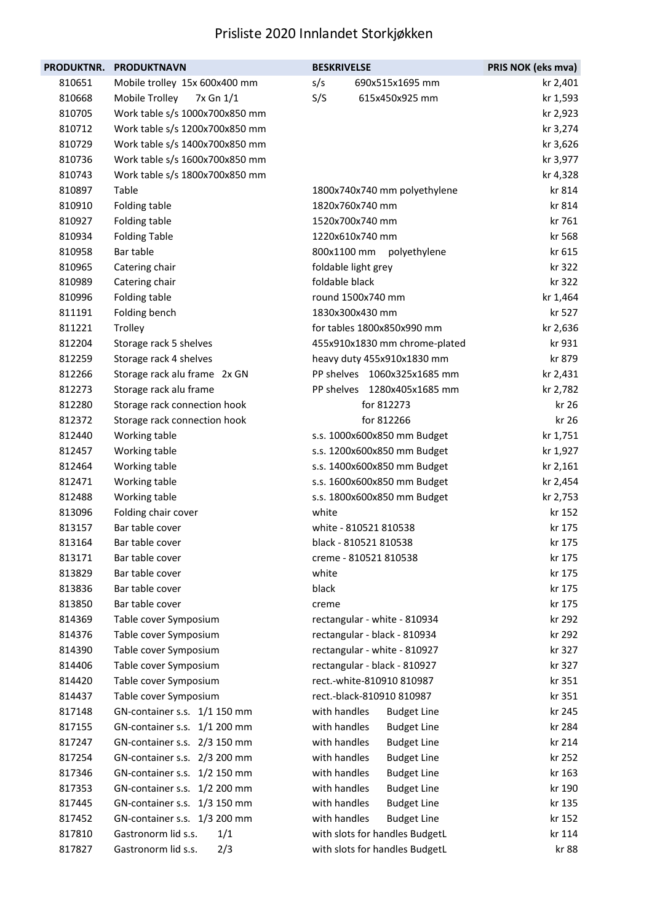| PRODUKTNR. | <b>PRODUKTNAVN</b>             | <b>BESKRIVELSE</b>                 | PRIS NOK (eks mva) |
|------------|--------------------------------|------------------------------------|--------------------|
| 810651     | Mobile trolley 15x 600x400 mm  | s/s<br>690x515x1695 mm             | kr 2,401           |
| 810668     | Mobile Trolley<br>7x Gn 1/1    | S/S<br>615x450x925 mm              | kr 1,593           |
| 810705     | Work table s/s 1000x700x850 mm |                                    | kr 2,923           |
| 810712     | Work table s/s 1200x700x850 mm |                                    | kr 3,274           |
| 810729     | Work table s/s 1400x700x850 mm |                                    | kr 3,626           |
| 810736     | Work table s/s 1600x700x850 mm |                                    | kr 3,977           |
| 810743     | Work table s/s 1800x700x850 mm |                                    | kr 4,328           |
| 810897     | Table                          | 1800x740x740 mm polyethylene       | kr 814             |
| 810910     | Folding table                  | 1820x760x740 mm                    | kr 814             |
| 810927     | Folding table                  | 1520x700x740 mm                    | kr 761             |
| 810934     | <b>Folding Table</b>           | 1220x610x740 mm                    | kr 568             |
| 810958     | Bar table                      | 800x1100 mm polyethylene           | kr 615             |
| 810965     | Catering chair                 | foldable light grey                | kr 322             |
| 810989     | Catering chair                 | foldable black                     | kr 322             |
| 810996     | Folding table                  | round 1500x740 mm                  | kr 1,464           |
| 811191     | Folding bench                  | 1830x300x430 mm                    | kr 527             |
| 811221     | Trolley                        | for tables 1800x850x990 mm         | kr 2,636           |
| 812204     | Storage rack 5 shelves         | 455x910x1830 mm chrome-plated      | kr 931             |
| 812259     | Storage rack 4 shelves         | heavy duty 455x910x1830 mm         | kr 879             |
| 812266     | Storage rack alu frame 2x GN   | PP shelves 1060x325x1685 mm        | kr 2,431           |
| 812273     | Storage rack alu frame         | PP shelves 1280x405x1685 mm        | kr 2,782           |
| 812280     | Storage rack connection hook   | for 812273                         | kr 26              |
| 812372     | Storage rack connection hook   | for 812266                         | kr 26              |
| 812440     | Working table                  | s.s. 1000x600x850 mm Budget        | kr 1,751           |
| 812457     | Working table                  | s.s. 1200x600x850 mm Budget        | kr 1,927           |
| 812464     | Working table                  | s.s. 1400x600x850 mm Budget        | kr 2,161           |
| 812471     | Working table                  | s.s. 1600x600x850 mm Budget        | kr 2,454           |
| 812488     | Working table                  | s.s. 1800x600x850 mm Budget        | kr 2,753           |
| 813096     | Folding chair cover            | white                              | kr 152             |
| 813157     | Bar table cover                | white - 810521 810538              | kr 175             |
| 813164     | Bar table cover                | black - 810521 810538              | kr 175             |
| 813171     | Bar table cover                | creme - 810521 810538              | kr 175             |
| 813829     | Bar table cover                | white                              | kr 175             |
| 813836     | Bar table cover                | black                              | kr 175             |
| 813850     | Bar table cover                | creme                              | kr 175             |
| 814369     | Table cover Symposium          | rectangular - white - 810934       | kr 292             |
| 814376     | Table cover Symposium          | rectangular - black - 810934       | kr 292             |
| 814390     | Table cover Symposium          | rectangular - white - 810927       | kr 327             |
| 814406     | Table cover Symposium          | rectangular - black - 810927       | kr 327             |
| 814420     | Table cover Symposium          | rect.-white-810910 810987          | kr 351             |
| 814437     | Table cover Symposium          | rect.-black-810910 810987          | kr 351             |
| 817148     | GN-container s.s. 1/1 150 mm   | with handles<br><b>Budget Line</b> | kr 245             |
| 817155     | GN-container s.s. 1/1 200 mm   | with handles<br><b>Budget Line</b> | kr 284             |
| 817247     | GN-container s.s. 2/3 150 mm   | with handles<br><b>Budget Line</b> | kr 214             |
| 817254     | GN-container s.s. 2/3 200 mm   | with handles<br><b>Budget Line</b> | kr 252             |
| 817346     | GN-container s.s. 1/2 150 mm   | with handles<br><b>Budget Line</b> | kr 163             |
| 817353     | GN-container s.s. 1/2 200 mm   | with handles<br><b>Budget Line</b> | kr 190             |
| 817445     | GN-container s.s. 1/3 150 mm   | with handles<br><b>Budget Line</b> | kr 135             |
| 817452     | GN-container s.s. 1/3 200 mm   | with handles<br><b>Budget Line</b> | kr 152             |
| 817810     | Gastronorm lid s.s.<br>1/1     | with slots for handles BudgetL     | kr 114             |
| 817827     | Gastronorm lid s.s.<br>2/3     | with slots for handles BudgetL     | kr 88              |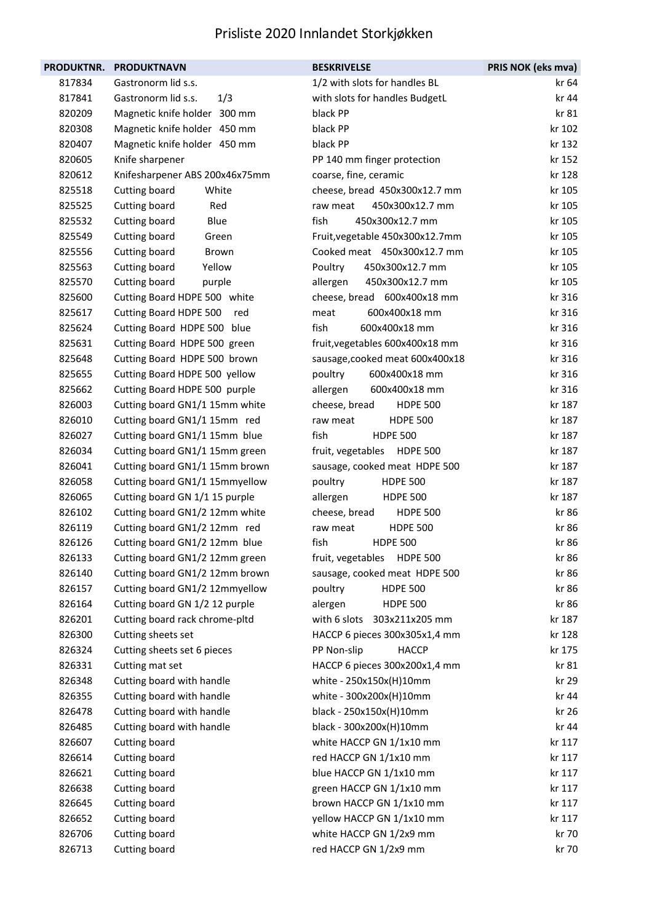| <b>PRODUKTNR.</b> | <b>PRODUKTNAVN</b>             | <b>BESKRIVELSE</b>                   | PRIS NOK (eks mva) |
|-------------------|--------------------------------|--------------------------------------|--------------------|
| 817834            | Gastronorm lid s.s.            | 1/2 with slots for handles BL        | kr 64              |
| 817841            | Gastronorm lid s.s.<br>1/3     | with slots for handles BudgetL       | kr 44              |
| 820209            | Magnetic knife holder 300 mm   | black PP                             | kr 81              |
| 820308            | Magnetic knife holder 450 mm   | black PP                             | kr 102             |
| 820407            | Magnetic knife holder 450 mm   | black PP                             | kr 132             |
| 820605            | Knife sharpener                | PP 140 mm finger protection          | kr 152             |
| 820612            | Knifesharpener ABS 200x46x75mm | coarse, fine, ceramic                | kr 128             |
| 825518            | Cutting board<br>White         | cheese, bread 450x300x12.7 mm        | kr 105             |
| 825525            | Cutting board<br>Red           | 450x300x12.7 mm<br>raw meat          | kr 105             |
| 825532            | Cutting board<br>Blue          | fish<br>450x300x12.7 mm              | kr 105             |
| 825549            | Cutting board<br>Green         | Fruit, vegetable 450x300x12.7mm      | kr 105             |
| 825556            | Cutting board<br>Brown         | Cooked meat 450x300x12.7 mm          | kr 105             |
| 825563            | Cutting board<br>Yellow        | Poultry<br>450x300x12.7 mm           | kr 105             |
| 825570            | Cutting board<br>purple        | 450x300x12.7 mm<br>allergen          | kr 105             |
| 825600            | Cutting Board HDPE 500 white   | cheese, bread 600x400x18 mm          | kr 316             |
| 825617            | Cutting Board HDPE 500<br>red  | 600x400x18 mm<br>meat                | kr 316             |
| 825624            | Cutting Board HDPE 500 blue    | fish<br>600x400x18 mm                | kr 316             |
| 825631            | Cutting Board HDPE 500 green   | fruit, vegetables 600x400x18 mm      | kr 316             |
| 825648            | Cutting Board HDPE 500 brown   | sausage, cooked meat 600x400x18      | kr 316             |
| 825655            | Cutting Board HDPE 500 yellow  | 600x400x18 mm<br>poultry             | kr 316             |
| 825662            | Cutting Board HDPE 500 purple  | 600x400x18 mm<br>allergen            | kr 316             |
| 826003            | Cutting board GN1/1 15mm white | cheese, bread<br><b>HDPE 500</b>     | kr 187             |
| 826010            | Cutting board GN1/1 15mm red   | raw meat<br><b>HDPE 500</b>          | kr 187             |
| 826027            | Cutting board GN1/1 15mm blue  | fish<br><b>HDPE 500</b>              | kr 187             |
| 826034            | Cutting board GN1/1 15mm green | fruit, vegetables HDPE 500           | kr 187             |
| 826041            | Cutting board GN1/1 15mm brown | sausage, cooked meat HDPE 500        | kr 187             |
| 826058            | Cutting board GN1/1 15mmyellow | <b>HDPE 500</b><br>poultry           | kr 187             |
| 826065            | Cutting board GN 1/1 15 purple | allergen<br><b>HDPE 500</b>          | kr 187             |
| 826102            | Cutting board GN1/2 12mm white | cheese, bread<br><b>HDPE 500</b>     | kr 86              |
| 826119            | Cutting board GN1/2 12mm red   | <b>HDPE 500</b><br>raw meat          | kr 86              |
| 826126            | Cutting board GN1/2 12mm blue  | <b>HDPE 500</b><br>fish              | kr 86              |
| 826133            | Cutting board GN1/2 12mm green | fruit, vegetables<br><b>HDPE 500</b> | kr 86              |
| 826140            | Cutting board GN1/2 12mm brown | sausage, cooked meat HDPE 500        | kr 86              |
| 826157            | Cutting board GN1/2 12mmyellow | poultry<br><b>HDPE 500</b>           | kr 86              |
| 826164            | Cutting board GN 1/2 12 purple | <b>HDPE 500</b><br>alergen           | kr 86              |
| 826201            | Cutting board rack chrome-pltd | with 6 slots 303x211x205 mm          | kr 187             |
| 826300            | Cutting sheets set             | HACCP 6 pieces 300x305x1,4 mm        | kr 128             |
| 826324            | Cutting sheets set 6 pieces    | <b>HACCP</b><br>PP Non-slip          | kr 175             |
| 826331            | Cutting mat set                | HACCP 6 pieces 300x200x1,4 mm        | kr 81              |
| 826348            | Cutting board with handle      | white - 250x150x(H)10mm              | kr 29              |
| 826355            | Cutting board with handle      | white - 300x200x(H)10mm              | kr 44              |
| 826478            | Cutting board with handle      | black - 250x150x(H)10mm              | kr 26              |
| 826485            | Cutting board with handle      | black - 300x200x(H)10mm              | kr 44              |
| 826607            | Cutting board                  | white HACCP GN 1/1x10 mm             | kr 117             |
| 826614            | Cutting board                  | red HACCP GN 1/1x10 mm               | kr 117             |
| 826621            | Cutting board                  | blue HACCP GN 1/1x10 mm              | kr 117             |
| 826638            | Cutting board                  | green HACCP GN 1/1x10 mm             | kr 117             |
| 826645            | Cutting board                  | brown HACCP GN 1/1x10 mm             | kr 117             |
| 826652            | Cutting board                  | yellow HACCP GN 1/1x10 mm            | kr 117             |
| 826706            | Cutting board                  | white HACCP GN 1/2x9 mm              | kr 70              |
| 826713            | Cutting board                  | red HACCP GN 1/2x9 mm                | kr 70              |
|                   |                                |                                      |                    |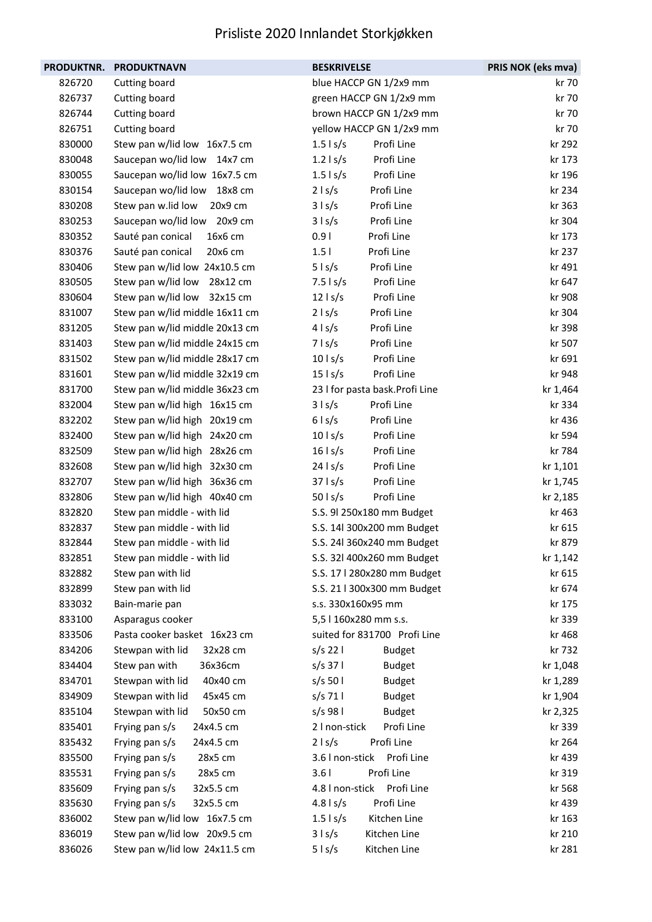|        | PRODUKTNR. PRODUKTNAVN         | <b>BESKRIVELSE</b>              | PRIS NOK (eks mva) |
|--------|--------------------------------|---------------------------------|--------------------|
| 826720 | Cutting board                  | blue HACCP GN 1/2x9 mm          | kr 70              |
| 826737 | Cutting board                  | green HACCP GN 1/2x9 mm         | kr 70              |
| 826744 | Cutting board                  | brown HACCP GN 1/2x9 mm         | kr 70              |
| 826751 | Cutting board                  | yellow HACCP GN 1/2x9 mm        | kr 70              |
| 830000 | Stew pan w/lid low 16x7.5 cm   | Profi Line<br>$1.5$ s/s         | kr 292             |
| 830048 | Saucepan wo/lid low 14x7 cm    | Profi Line<br>$1.2$ s/s         | kr 173             |
| 830055 | Saucepan wo/lid low 16x7.5 cm  | $1.5$ s/s<br>Profi Line         | kr 196             |
| 830154 | Saucepan wo/lid low 18x8 cm    | Profi Line<br>$2 \mid s/s$      | kr 234             |
| 830208 | Stew pan w.lid low 20x9 cm     | 3   s/s<br>Profi Line           | kr 363             |
| 830253 | Saucepan wo/lid low 20x9 cm    | $3 \mid s/s$<br>Profi Line      | kr 304             |
| 830352 | 16x6 cm<br>Sauté pan conical   | Profi Line<br>0.91              | kr 173             |
| 830376 | Sauté pan conical<br>20x6 cm   | Profi Line<br>1.5 <sub>1</sub>  | kr 237             |
| 830406 | Stew pan w/lid low 24x10.5 cm  | $5$   s/s<br>Profi Line         | kr 491             |
| 830505 | Stew pan w/lid low 28x12 cm    | Profi Line<br>$7.5$ s/s         | kr 647             |
| 830604 | Stew pan w/lid low 32x15 cm    | Profi Line<br>$12$   s/s        | kr 908             |
| 831007 | Stew pan w/lid middle 16x11 cm | $2 \mid s/s$<br>Profi Line      | kr 304             |
| 831205 | Stew pan w/lid middle 20x13 cm | Profi Line<br>$4 \mid s/s$      | kr 398             |
| 831403 | Stew pan w/lid middle 24x15 cm | Profi Line<br>$7 \mid s/s$      | kr 507             |
| 831502 | Stew pan w/lid middle 28x17 cm | $10$   s/s<br>Profi Line        | kr 691             |
| 831601 | Stew pan w/lid middle 32x19 cm | Profi Line<br>$15$   s/s        | kr 948             |
| 831700 | Stew pan w/lid middle 36x23 cm | 23 I for pasta bask. Profi Line | kr 1,464           |
| 832004 | Stew pan w/lid high 16x15 cm   | $3 \mid s/s$<br>Profi Line      | kr 334             |
| 832202 | Stew pan w/lid high 20x19 cm   | Profi Line<br>$6 \mid s/s$      | kr 436             |
| 832400 | Stew pan w/lid high 24x20 cm   | Profi Line<br>$10$ s/s          | kr 594             |
| 832509 | Stew pan w/lid high 28x26 cm   | $16$   s/s<br>Profi Line        | kr 784             |
| 832608 | Stew pan w/lid high 32x30 cm   | Profi Line<br>$24$ s/s          | kr 1,101           |
| 832707 | Stew pan w/lid high 36x36 cm   | Profi Line<br>$37$ ls/s         | kr 1,745           |
| 832806 | Stew pan w/lid high 40x40 cm   | $50$ l s/s<br>Profi Line        | kr 2,185           |
| 832820 | Stew pan middle - with lid     | S.S. 9l 250x180 mm Budget       | kr 463             |
| 832837 | Stew pan middle - with lid     | S.S. 14l 300x200 mm Budget      | kr 615             |
| 832844 | Stew pan middle - with lid     | S.S. 24l 360x240 mm Budget      | kr 879             |
| 832851 | Stew pan middle - with lid     | S.S. 32l 400x260 mm Budget      | kr 1,142           |
| 832882 | Stew pan with lid              | S.S. 17   280x280 mm Budget     | kr 615             |
| 832899 | Stew pan with lid              | S.S. 21   300x300 mm Budget     | kr 674             |
| 833032 | Bain-marie pan                 | s.s. 330x160x95 mm              | kr 175             |
| 833100 | Asparagus cooker               | 5,5   160x280 mm s.s.           | kr 339             |
| 833506 | Pasta cooker basket 16x23 cm   | suited for 831700 Profi Line    | kr 468             |
| 834206 | Stewpan with lid<br>32x28 cm   | $s/s$ 22 l<br><b>Budget</b>     | kr 732             |
| 834404 | Stew pan with<br>36x36cm       | $s/s$ 37  <br><b>Budget</b>     | kr 1,048           |
| 834701 | Stewpan with lid<br>40x40 cm   | $s/s$ 50 l<br><b>Budget</b>     | kr 1,289           |
| 834909 | Stewpan with lid<br>45x45 cm   | $s/s$ 71  <br><b>Budget</b>     | kr 1,904           |
| 835104 | Stewpan with lid<br>50x50 cm   | s/s 98 l<br><b>Budget</b>       | kr 2,325           |
| 835401 | Frying pan s/s<br>24x4.5 cm    | 2 I non-stick<br>Profi Line     | kr 339             |
| 835432 | Frying pan s/s<br>24x4.5 cm    | Profi Line<br>$2 \mid s/s$      | kr 264             |
| 835500 | Frying pan s/s<br>28x5 cm      | 3.6 I non-stick<br>Profi Line   | kr 439             |
| 835531 | Frying pan s/s<br>28x5 cm      | Profi Line<br>3.61              | kr 319             |
| 835609 | Frying pan s/s<br>32x5.5 cm    | 4.8 I non-stick<br>Profi Line   | kr 568             |
| 835630 | Frying pan s/s<br>32x5.5 cm    | Profi Line<br>$4.8$ ls/s        | kr 439             |
| 836002 | Stew pan w/lid low 16x7.5 cm   | $1.5$ s/s<br>Kitchen Line       | kr 163             |
| 836019 | Stew pan w/lid low 20x9.5 cm   | Kitchen Line<br>$3 \mid s/s$    | kr 210             |
| 836026 | Stew pan w/lid low 24x11.5 cm  | Kitchen Line<br>$5 \mid s/s$    | kr 281             |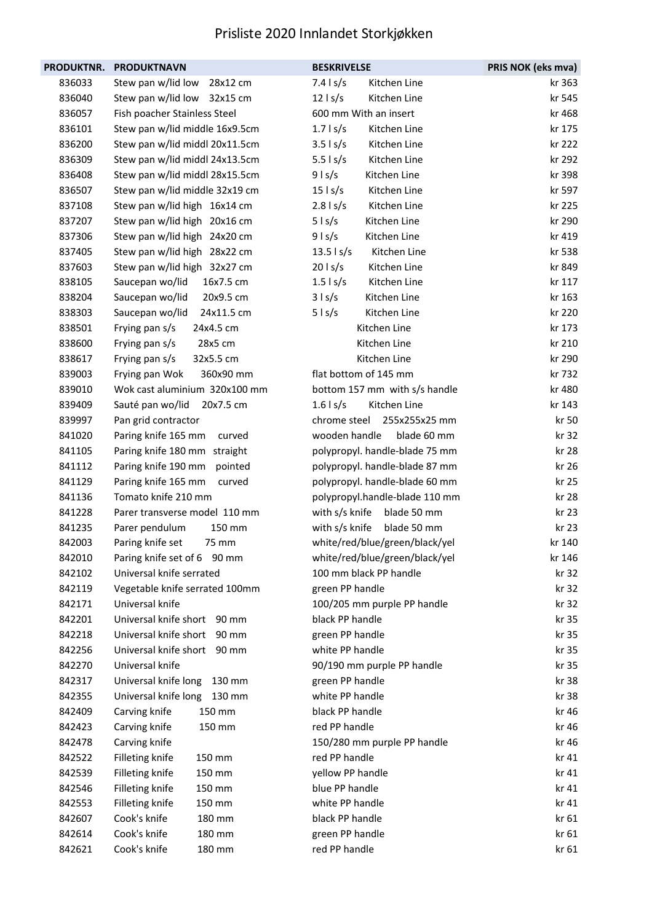|        | PRODUKTNR. PRODUKTNAVN         | <b>BESKRIVELSE</b>                  | PRIS NOK (eks mva) |
|--------|--------------------------------|-------------------------------------|--------------------|
| 836033 | Stew pan w/lid low<br>28x12 cm | $7.4$ s/s<br>Kitchen Line           | kr 363             |
| 836040 | Stew pan w/lid low 32x15 cm    | $12$   s/s<br>Kitchen Line          | kr 545             |
| 836057 | Fish poacher Stainless Steel   | 600 mm With an insert               | kr 468             |
| 836101 | Stew pan w/lid middle 16x9.5cm | $1.7$ s/s<br>Kitchen Line           | kr 175             |
| 836200 | Stew pan w/lid middl 20x11.5cm | $3.5$   s/s<br>Kitchen Line         | kr 222             |
| 836309 | Stew pan w/lid middl 24x13.5cm | Kitchen Line<br>$5.5$ $\frac{1}{5}$ | kr 292             |
| 836408 | Stew pan w/lid middl 28x15.5cm | $9$ l s/s<br>Kitchen Line           | kr 398             |
| 836507 | Stew pan w/lid middle 32x19 cm | $15$   s/s<br>Kitchen Line          | kr 597             |
| 837108 | Stew pan w/lid high 16x14 cm   | $2.8$ ls/s<br>Kitchen Line          | kr 225             |
| 837207 | Stew pan w/lid high 20x16 cm   | $5$ ls/s<br>Kitchen Line            | kr 290             |
| 837306 | Stew pan w/lid high 24x20 cm   | $9$ l s/s<br>Kitchen Line           | kr 419             |
| 837405 | Stew pan w/lid high 28x22 cm   | $13.5$   s/s<br>Kitchen Line        | kr 538             |
| 837603 | Stew pan w/lid high 32x27 cm   | $20$ l s/s<br>Kitchen Line          | kr 849             |
| 838105 | Saucepan wo/lid<br>16x7.5 cm   | Kitchen Line<br>$1.5$ s/s           | kr 117             |
| 838204 | Saucepan wo/lid<br>20x9.5 cm   | 3   s/s<br>Kitchen Line             | kr 163             |
| 838303 | 24x11.5 cm<br>Saucepan wo/lid  | Kitchen Line<br>$5$ l s/s           | kr 220             |
| 838501 | Frying pan s/s<br>24x4.5 cm    | Kitchen Line                        | kr 173             |
| 838600 | 28x5 cm<br>Frying pan s/s      | Kitchen Line                        | kr 210             |
| 838617 | Frying pan s/s<br>32x5.5 cm    | Kitchen Line                        | kr 290             |
| 839003 | 360x90 mm<br>Frying pan Wok    | flat bottom of 145 mm               | kr 732             |
| 839010 | Wok cast aluminium 320x100 mm  | bottom 157 mm with s/s handle       | kr 480             |
| 839409 | Sauté pan wo/lid<br>20x7.5 cm  | $1.6$ s/s<br>Kitchen Line           | kr 143             |
| 839997 | Pan grid contractor            | chrome steel<br>255x255x25 mm       | kr 50              |
| 841020 | Paring knife 165 mm<br>curved  | wooden handle<br>blade 60 mm        | kr 32              |
| 841105 | Paring knife 180 mm straight   | polypropyl. handle-blade 75 mm      | kr 28              |
| 841112 | Paring knife 190 mm pointed    | polypropyl. handle-blade 87 mm      | kr 26              |
| 841129 | Paring knife 165 mm<br>curved  | polypropyl. handle-blade 60 mm      | kr 25              |
| 841136 | Tomato knife 210 mm            | polypropyl.handle-blade 110 mm      | kr 28              |
| 841228 | Parer transverse model 110 mm  | with s/s knife blade 50 mm          | kr 23              |
| 841235 | Parer pendulum<br>150 mm       | with s/s knife<br>blade 50 mm       | kr 23              |
| 842003 | Paring knife set<br>75 mm      | white/red/blue/green/black/yel      | kr 140             |
| 842010 | Paring knife set of 6 90 mm    | white/red/blue/green/black/yel      | kr 146             |
| 842102 | Universal knife serrated       | 100 mm black PP handle              | kr 32              |
| 842119 | Vegetable knife serrated 100mm | green PP handle                     | kr 32              |
| 842171 | Universal knife                | 100/205 mm purple PP handle         | kr 32              |
| 842201 | Universal knife short 90 mm    | black PP handle                     | kr 35              |
| 842218 | Universal knife short 90 mm    | green PP handle                     | kr 35              |
| 842256 | Universal knife short 90 mm    | white PP handle                     | kr 35              |
| 842270 | Universal knife                | 90/190 mm purple PP handle          | kr 35              |
| 842317 | Universal knife long<br>130 mm | green PP handle                     | kr 38              |
| 842355 | Universal knife long<br>130 mm | white PP handle                     | kr 38              |
| 842409 | Carving knife<br>150 mm        | black PP handle                     | kr 46              |
| 842423 | Carving knife<br>150 mm        | red PP handle                       | kr 46              |
| 842478 | Carving knife                  | 150/280 mm purple PP handle         | kr 46              |
| 842522 | Filleting knife<br>150 mm      | red PP handle                       | kr 41              |
| 842539 | Filleting knife<br>150 mm      | yellow PP handle                    | kr 41              |
| 842546 | Filleting knife<br>150 mm      | blue PP handle                      | kr 41              |
| 842553 | Filleting knife<br>150 mm      | white PP handle                     | kr 41              |
| 842607 | Cook's knife<br>180 mm         | black PP handle                     | kr 61              |
| 842614 | Cook's knife<br>180 mm         | green PP handle                     | kr 61              |
| 842621 | Cook's knife<br>180 mm         | red PP handle                       | kr 61              |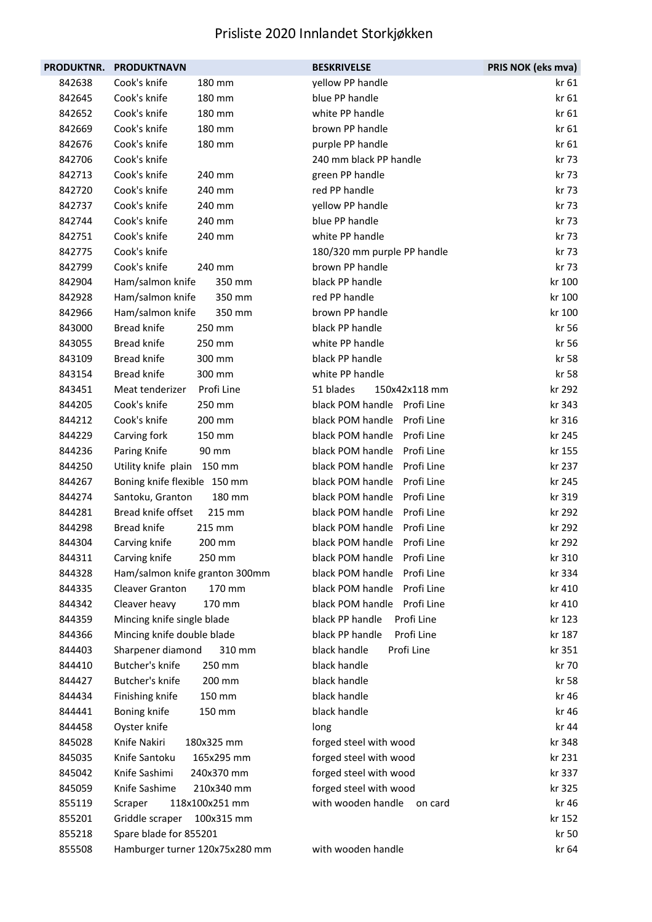| <b>PRODUKTNR.</b> | <b>PRODUKTNAVN</b>             | <b>BESKRIVELSE</b>             | PRIS NOK (eks mva) |
|-------------------|--------------------------------|--------------------------------|--------------------|
| 842638            | Cook's knife<br>180 mm         | yellow PP handle               | kr 61              |
| 842645            | Cook's knife<br>180 mm         | blue PP handle                 | kr 61              |
| 842652            | Cook's knife<br>180 mm         | white PP handle                | kr 61              |
| 842669            | Cook's knife<br>180 mm         | brown PP handle                | kr 61              |
| 842676            | Cook's knife<br>180 mm         | purple PP handle               | kr 61              |
| 842706            | Cook's knife                   | 240 mm black PP handle         | kr 73              |
| 842713            | Cook's knife<br>240 mm         | green PP handle                | kr 73              |
| 842720            | Cook's knife<br>240 mm         | red PP handle                  | kr 73              |
| 842737            | Cook's knife<br>240 mm         | yellow PP handle               | kr 73              |
| 842744            | Cook's knife<br>240 mm         | blue PP handle                 | kr 73              |
| 842751            | Cook's knife<br>240 mm         | white PP handle                | kr 73              |
| 842775            | Cook's knife                   | 180/320 mm purple PP handle    | kr 73              |
| 842799            | Cook's knife<br>240 mm         | brown PP handle                | kr 73              |
| 842904            | Ham/salmon knife<br>350 mm     | black PP handle                | kr 100             |
| 842928            | Ham/salmon knife<br>350 mm     | red PP handle                  | kr 100             |
| 842966            | Ham/salmon knife<br>350 mm     | brown PP handle                | kr 100             |
| 843000            | <b>Bread knife</b><br>250 mm   | black PP handle                | kr 56              |
| 843055            | <b>Bread knife</b><br>250 mm   | white PP handle                | kr 56              |
| 843109            | <b>Bread knife</b><br>300 mm   | black PP handle                | kr 58              |
| 843154            | <b>Bread knife</b><br>300 mm   | white PP handle                | kr 58              |
| 843451            | Meat tenderizer<br>Profi Line  | 51 blades<br>150x42x118 mm     | kr 292             |
| 844205            | Cook's knife<br>250 mm         | black POM handle<br>Profi Line | kr 343             |
| 844212            | Cook's knife<br>200 mm         | black POM handle<br>Profi Line | kr 316             |
| 844229            | Carving fork<br>150 mm         | black POM handle<br>Profi Line | kr 245             |
| 844236            | Paring Knife<br>90 mm          | Profi Line<br>black POM handle | kr 155             |
| 844250            | Utility knife plain 150 mm     | black POM handle<br>Profi Line | kr 237             |
| 844267            | Boning knife flexible 150 mm   | black POM handle<br>Profi Line | kr 245             |
| 844274            | Santoku, Granton<br>180 mm     | black POM handle<br>Profi Line | kr 319             |
| 844281            | Bread knife offset<br>215 mm   | black POM handle<br>Profi Line | kr 292             |
| 844298            | <b>Bread knife</b><br>215 mm   | black POM handle<br>Profi Line | kr 292             |
| 844304            | Carving knife<br>200 mm        | black POM handle Profi Line    | kr 292             |
| 844311            | Carving knife<br>250 mm        | black POM handle<br>Profi Line | kr 310             |
| 844328            | Ham/salmon knife granton 300mm | black POM handle<br>Profi Line | kr 334             |
| 844335            | Cleaver Granton<br>170 mm      | Profi Line<br>black POM handle | kr 410             |
| 844342            | Cleaver heavy<br>170 mm        | black POM handle Profi Line    | kr 410             |
| 844359            | Mincing knife single blade     | black PP handle<br>Profi Line  | kr 123             |
| 844366            | Mincing knife double blade     | Profi Line<br>black PP handle  | kr 187             |
| 844403            | Sharpener diamond<br>310 mm    | Profi Line<br>black handle     | kr 351             |
| 844410            | Butcher's knife<br>250 mm      | black handle                   | kr 70              |
| 844427            | Butcher's knife<br>200 mm      | black handle                   | kr 58              |
| 844434            | Finishing knife<br>150 mm      | black handle                   | kr 46              |
| 844441            | Boning knife<br>150 mm         | black handle                   | kr 46              |
| 844458            | Oyster knife                   | long                           | kr 44              |
| 845028            | Knife Nakiri<br>180x325 mm     | forged steel with wood         | kr 348             |
| 845035            | Knife Santoku<br>165x295 mm    | forged steel with wood         | kr 231             |
| 845042            | Knife Sashimi<br>240x370 mm    | forged steel with wood         | kr 337             |
| 845059            | Knife Sashime<br>210x340 mm    | forged steel with wood         | kr 325             |
| 855119            | 118x100x251 mm<br>Scraper      | with wooden handle<br>on card  | kr 46              |
| 855201            | Griddle scraper<br>100x315 mm  |                                | kr 152             |
| 855218            | Spare blade for 855201         |                                | kr 50              |
| 855508            | Hamburger turner 120x75x280 mm | with wooden handle             | kr 64              |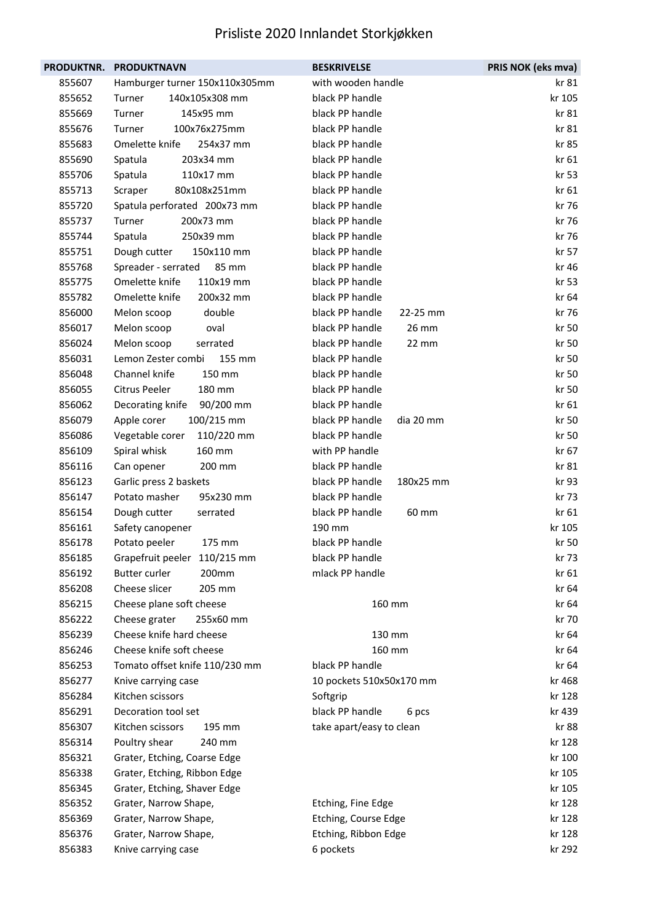| <b>PRODUKTNR.</b> | <b>PRODUKTNAVN</b>             | <b>BESKRIVELSE</b>           | PRIS NOK (eks mva) |
|-------------------|--------------------------------|------------------------------|--------------------|
| 855607            | Hamburger turner 150x110x305mm | with wooden handle           | kr 81              |
| 855652            | 140x105x308 mm<br>Turner       | black PP handle              | kr 105             |
| 855669            | Turner<br>145x95 mm            | black PP handle              | kr 81              |
| 855676            | Turner<br>100x76x275mm         | black PP handle              | kr 81              |
| 855683            | Omelette knife<br>254x37 mm    | black PP handle              | kr 85              |
| 855690            | 203x34 mm<br>Spatula           | black PP handle              | kr 61              |
| 855706            | 110x17 mm<br>Spatula           | black PP handle              | kr 53              |
| 855713            | 80x108x251mm<br>Scraper        | black PP handle              | kr 61              |
| 855720            | Spatula perforated 200x73 mm   | black PP handle              | kr 76              |
| 855737            | Turner<br>200x73 mm            | black PP handle              | kr 76              |
| 855744            | 250x39 mm<br>Spatula           | black PP handle              | kr 76              |
| 855751            | 150x110 mm<br>Dough cutter     | black PP handle              | kr 57              |
| 855768            | 85 mm<br>Spreader - serrated   | black PP handle              | kr 46              |
| 855775            | Omelette knife<br>110x19 mm    | black PP handle              | kr 53              |
| 855782            | Omelette knife<br>200x32 mm    | black PP handle              | kr 64              |
| 856000            | double<br>Melon scoop          | black PP handle<br>22-25 mm  | kr 76              |
| 856017            | oval<br>Melon scoop            | black PP handle<br>26 mm     | kr 50              |
| 856024            | Melon scoop<br>serrated        | black PP handle<br>22 mm     | kr 50              |
| 856031            | Lemon Zester combi<br>155 mm   | black PP handle              | kr 50              |
| 856048            | Channel knife<br>150 mm        | black PP handle              | kr 50              |
| 856055            | Citrus Peeler<br>180 mm        | black PP handle              | kr 50              |
| 856062            | Decorating knife<br>90/200 mm  | black PP handle              | kr 61              |
| 856079            | 100/215 mm<br>Apple corer      | black PP handle<br>dia 20 mm | kr 50              |
| 856086            | 110/220 mm<br>Vegetable corer  | black PP handle              | kr 50              |
| 856109            | 160 mm<br>Spiral whisk         | with PP handle               | kr 67              |
| 856116            | 200 mm<br>Can opener           | black PP handle              | kr 81              |
| 856123            | Garlic press 2 baskets         | black PP handle<br>180x25 mm | kr 93              |
| 856147            | Potato masher<br>95x230 mm     | black PP handle              | kr 73              |
| 856154            | Dough cutter<br>serrated       | black PP handle<br>60 mm     | kr 61              |
| 856161            | Safety canopener               | 190 mm                       | kr 105             |
| 856178            | 175 mm<br>Potato peeler        | black PP handle              | kr 50              |
| 856185            | Grapefruit peeler 110/215 mm   | black PP handle              | kr 73              |
| 856192            | <b>Butter curler</b><br>200mm  | mlack PP handle              | kr 61              |
| 856208            | Cheese slicer<br>205 mm        |                              | kr 64              |
| 856215            | Cheese plane soft cheese       | 160 mm                       | kr 64              |
| 856222            | Cheese grater<br>255x60 mm     |                              | kr 70              |
| 856239            | Cheese knife hard cheese       | 130 mm                       | kr 64              |
| 856246            | Cheese knife soft cheese       | 160 mm                       | kr 64              |
| 856253            | Tomato offset knife 110/230 mm | black PP handle              | kr 64              |
| 856277            | Knive carrying case            | 10 pockets 510x50x170 mm     | kr 468             |
| 856284            | Kitchen scissors               | Softgrip                     | kr 128             |
| 856291            | Decoration tool set            | black PP handle<br>6 pcs     | kr 439             |
| 856307            | Kitchen scissors<br>195 mm     | take apart/easy to clean     | kr 88              |
| 856314            | Poultry shear<br>240 mm        |                              | kr 128             |
| 856321            | Grater, Etching, Coarse Edge   |                              | kr 100             |
| 856338            | Grater, Etching, Ribbon Edge   |                              | kr 105             |
| 856345            | Grater, Etching, Shaver Edge   |                              | kr 105             |
| 856352            | Grater, Narrow Shape,          | Etching, Fine Edge           | kr 128             |
| 856369            | Grater, Narrow Shape,          | Etching, Course Edge         | kr 128             |
| 856376            | Grater, Narrow Shape,          | Etching, Ribbon Edge         | kr 128             |
| 856383            | Knive carrying case            | 6 pockets                    | kr 292             |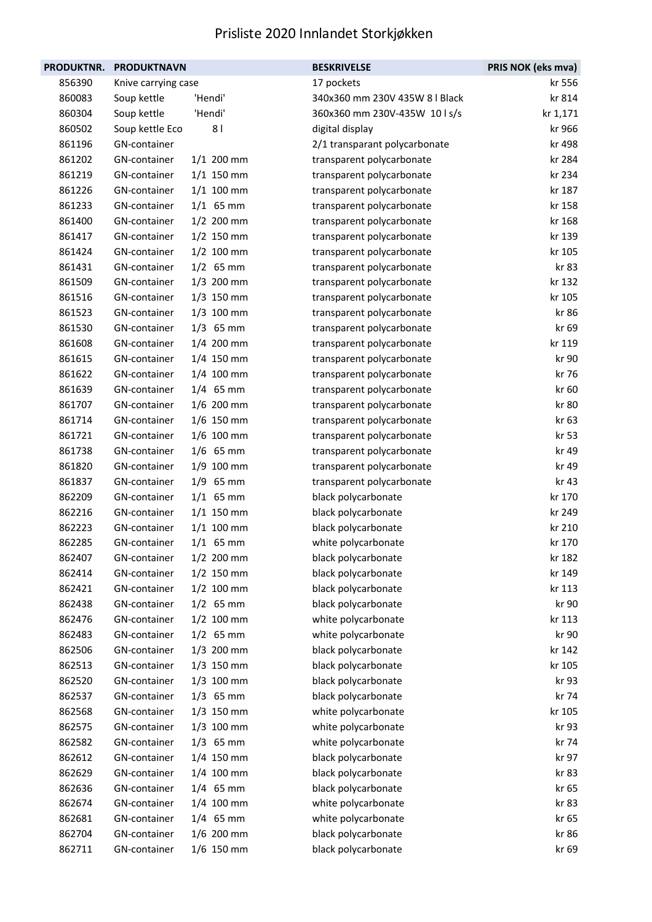| <b>PRODUKTNR.</b> | <b>PRODUKTNAVN</b>  |                | <b>BESKRIVELSE</b>             | PRIS NOK (eks mva) |
|-------------------|---------------------|----------------|--------------------------------|--------------------|
| 856390            | Knive carrying case |                | 17 pockets                     | kr 556             |
| 860083            | Soup kettle         | 'Hendi'        | 340x360 mm 230V 435W 8   Black | kr 814             |
| 860304            | Soup kettle         | 'Hendi'        | 360x360 mm 230V-435W 10 ls/s   | kr 1,171           |
| 860502            | Soup kettle Eco     | 8 <sub>1</sub> | digital display                | kr 966             |
| 861196            | GN-container        |                | 2/1 transparant polycarbonate  | kr 498             |
| 861202            | GN-container        | $1/1$ 200 mm   | transparent polycarbonate      | kr 284             |
| 861219            | GN-container        | $1/1$ 150 mm   | transparent polycarbonate      | kr 234             |
| 861226            | GN-container        | $1/1$ 100 mm   | transparent polycarbonate      | kr 187             |
| 861233            | GN-container        | $1/1$ 65 mm    | transparent polycarbonate      | kr 158             |
| 861400            | GN-container        | 1/2 200 mm     | transparent polycarbonate      | kr 168             |
| 861417            | GN-container        | $1/2$ 150 mm   | transparent polycarbonate      | kr 139             |
| 861424            | GN-container        | $1/2$ 100 mm   | transparent polycarbonate      | kr 105             |
| 861431            | GN-container        | $1/2$ 65 mm    | transparent polycarbonate      | kr 83              |
| 861509            | GN-container        | 1/3 200 mm     | transparent polycarbonate      | kr 132             |
| 861516            | GN-container        | $1/3$ 150 mm   | transparent polycarbonate      | kr 105             |
| 861523            | GN-container        | $1/3$ 100 mm   | transparent polycarbonate      | kr 86              |
| 861530            | GN-container        | $1/3$ 65 mm    | transparent polycarbonate      | kr 69              |
| 861608            | GN-container        | 1/4 200 mm     | transparent polycarbonate      | kr 119             |
| 861615            | GN-container        | 1/4 150 mm     | transparent polycarbonate      | kr 90              |
| 861622            | GN-container        | 1/4 100 mm     | transparent polycarbonate      | kr 76              |
| 861639            | GN-container        | $1/4$ 65 mm    | transparent polycarbonate      | kr 60              |
| 861707            | GN-container        | 1/6 200 mm     | transparent polycarbonate      | kr 80              |
| 861714            | GN-container        | $1/6$ 150 mm   | transparent polycarbonate      | kr 63              |
| 861721            | GN-container        | 1/6 100 mm     | transparent polycarbonate      | kr 53              |
| 861738            | GN-container        | $1/6$ 65 mm    | transparent polycarbonate      | kr 49              |
| 861820            | GN-container        | 1/9 100 mm     | transparent polycarbonate      | kr 49              |
| 861837            | GN-container        | $1/9$ 65 mm    | transparent polycarbonate      | kr 43              |
| 862209            | GN-container        | $1/1$ 65 mm    | black polycarbonate            | kr 170             |
| 862216            | GN-container        | $1/1$ 150 mm   | black polycarbonate            | kr 249             |
| 862223            | GN-container        | $1/1$ 100 mm   | black polycarbonate            | kr 210             |
| 862285            | GN-container        | $1/1$ 65 mm    | white polycarbonate            | kr 170             |
| 862407            | GN-container        | $1/2$ 200 mm   | black polycarbonate            | kr 182             |
| 862414            | GN-container        | $1/2$ 150 mm   | black polycarbonate            | kr 149             |
| 862421            | GN-container        | $1/2$ 100 mm   | black polycarbonate            | kr 113             |
| 862438            | GN-container        | $1/2$ 65 mm    | black polycarbonate            | kr 90              |
| 862476            | GN-container        | $1/2$ 100 mm   | white polycarbonate            | kr 113             |
| 862483            | GN-container        | $1/2$ 65 mm    | white polycarbonate            | kr 90              |
| 862506            | GN-container        | 1/3 200 mm     | black polycarbonate            | kr 142             |
| 862513            | GN-container        | $1/3$ 150 mm   | black polycarbonate            | kr 105             |
| 862520            | GN-container        | 1/3 100 mm     | black polycarbonate            | kr 93              |
| 862537            | GN-container        | $1/3$ 65 mm    | black polycarbonate            | kr 74              |
| 862568            | GN-container        | $1/3$ 150 mm   | white polycarbonate            | kr 105             |
| 862575            | GN-container        | $1/3$ 100 mm   | white polycarbonate            | kr 93              |
| 862582            | GN-container        | $1/3$ 65 mm    | white polycarbonate            | kr 74              |
| 862612            | GN-container        | 1/4 150 mm     | black polycarbonate            | kr 97              |
| 862629            | GN-container        | 1/4 100 mm     | black polycarbonate            | kr 83              |
| 862636            | GN-container        | $1/4$ 65 mm    | black polycarbonate            | kr 65              |
| 862674            | GN-container        | 1/4 100 mm     | white polycarbonate            | kr 83              |
| 862681            | GN-container        | $1/4$ 65 mm    | white polycarbonate            | kr 65              |
| 862704            | GN-container        | 1/6 200 mm     | black polycarbonate            | kr 86              |
| 862711            | GN-container        | 1/6 150 mm     | black polycarbonate            | kr 69              |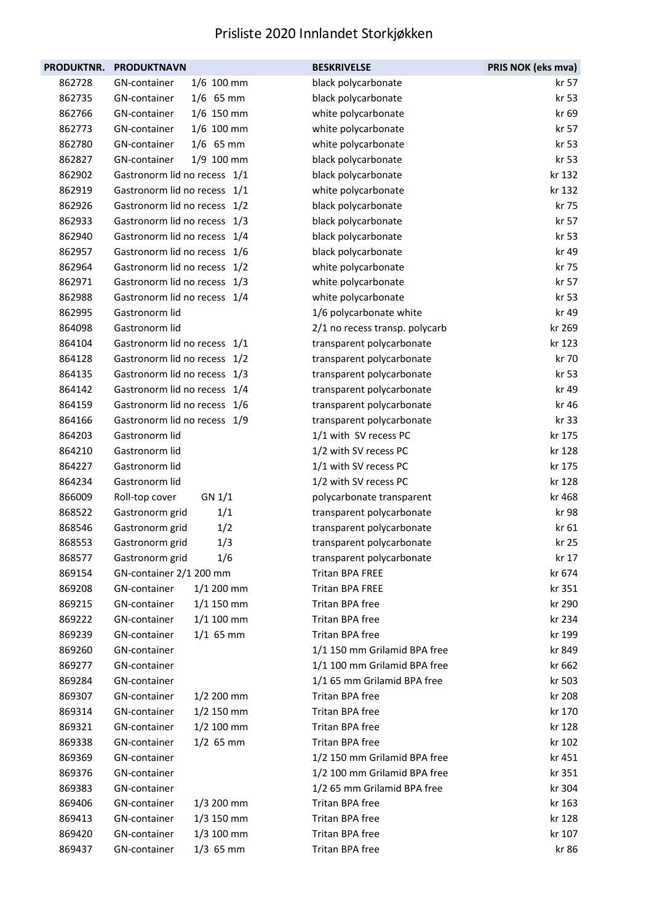| PRODUKTNR. | <b>PRODUKTNAVN</b>           | <b>BESKRIVELSE</b>             | PRIS NOK (eks mva) |
|------------|------------------------------|--------------------------------|--------------------|
| 862728     | GN-container<br>1/6 100 mm   | black polycarbonate            | kr 57              |
| 862735     | $1/6$ 65 mm<br>GN-container  | black polycarbonate            | kr 53              |
| 862766     | GN-container<br>$1/6$ 150 mm | white polycarbonate            | kr 69              |
| 862773     | $1/6$ 100 mm<br>GN-container | white polycarbonate            | kr 57              |
| 862780     | GN-container<br>$1/6$ 65 mm  | white polycarbonate            | kr 53              |
| 862827     | 1/9 100 mm<br>GN-container   | black polycarbonate            | kr 53              |
| 862902     | Gastronorm lid no recess 1/1 | black polycarbonate            | kr 132             |
| 862919     | Gastronorm lid no recess 1/1 | white polycarbonate            | kr 132             |
| 862926     | Gastronorm lid no recess 1/2 | black polycarbonate            | kr 75              |
| 862933     | Gastronorm lid no recess 1/3 | black polycarbonate            | kr 57              |
| 862940     | Gastronorm lid no recess 1/4 | black polycarbonate            | kr 53              |
| 862957     | Gastronorm lid no recess 1/6 | black polycarbonate            | kr 49              |
| 862964     | Gastronorm lid no recess 1/2 | white polycarbonate            | kr 75              |
| 862971     | Gastronorm lid no recess 1/3 | white polycarbonate            | kr 57              |
| 862988     | Gastronorm lid no recess 1/4 | white polycarbonate            | kr 53              |
| 862995     | Gastronorm lid               | 1/6 polycarbonate white        | kr 49              |
| 864098     | Gastronorm lid               | 2/1 no recess transp. polycarb | kr 269             |
| 864104     | Gastronorm lid no recess 1/1 | transparent polycarbonate      | kr 123             |
| 864128     | Gastronorm lid no recess 1/2 | transparent polycarbonate      | kr 70              |
| 864135     | Gastronorm lid no recess 1/3 | transparent polycarbonate      | kr 53              |
| 864142     | Gastronorm lid no recess 1/4 | transparent polycarbonate      | kr 49              |
| 864159     | Gastronorm lid no recess 1/6 | transparent polycarbonate      | kr 46              |
| 864166     | Gastronorm lid no recess 1/9 | transparent polycarbonate      | kr 33              |
| 864203     | Gastronorm lid               | 1/1 with SV recess PC          | kr 175             |
| 864210     | Gastronorm lid               | 1/2 with SV recess PC          | kr 128             |
| 864227     | Gastronorm lid               | 1/1 with SV recess PC          | kr 175             |
| 864234     | Gastronorm lid               | 1/2 with SV recess PC          | kr 128             |
| 866009     | GN 1/1<br>Roll-top cover     | polycarbonate transparent      | kr 468             |
| 868522     | 1/1<br>Gastronorm grid       | transparent polycarbonate      | kr 98              |
| 868546     | 1/2<br>Gastronorm grid       | transparent polycarbonate      | kr 61              |
| 868553     | 1/3<br>Gastronorm grid       | transparent polycarbonate      | kr 25              |
| 868577     | Gastronorm grid<br>1/6       | transparent polycarbonate      | kr 17              |
| 869154     | GN-container 2/1 200 mm      | <b>Tritan BPA FREE</b>         | kr 674             |
| 869208     | $1/1$ 200 mm<br>GN-container | <b>Tritan BPA FREE</b>         | kr 351             |
| 869215     | GN-container<br>$1/1$ 150 mm | Tritan BPA free                | kr 290             |
| 869222     | GN-container<br>$1/1$ 100 mm | Tritan BPA free                | kr 234             |
| 869239     | GN-container<br>$1/1$ 65 mm  | Tritan BPA free                | kr 199             |
| 869260     | GN-container                 | 1/1 150 mm Grilamid BPA free   | kr 849             |
| 869277     | GN-container                 | 1/1 100 mm Grilamid BPA free   | kr 662             |
| 869284     | GN-container                 | 1/1 65 mm Grilamid BPA free    | kr 503             |
| 869307     | GN-container<br>$1/2$ 200 mm | Tritan BPA free                | kr 208             |
| 869314     | GN-container<br>$1/2$ 150 mm | Tritan BPA free                | kr 170             |
| 869321     | $1/2$ 100 mm<br>GN-container | Tritan BPA free                | kr 128             |
| 869338     | GN-container<br>$1/2$ 65 mm  | Tritan BPA free                | kr 102             |
| 869369     | GN-container                 | 1/2 150 mm Grilamid BPA free   | kr 451             |
| 869376     | GN-container                 | 1/2 100 mm Grilamid BPA free   | kr 351             |
| 869383     | GN-container                 | 1/2 65 mm Grilamid BPA free    | kr 304             |
| 869406     | GN-container<br>$1/3$ 200 mm | Tritan BPA free                | kr 163             |
| 869413     | GN-container<br>$1/3$ 150 mm | Tritan BPA free                | kr 128             |
| 869420     | GN-container<br>$1/3$ 100 mm | Tritan BPA free                | kr 107             |
| 869437     | $1/3$ 65 mm<br>GN-container  | Tritan BPA free                | kr 86              |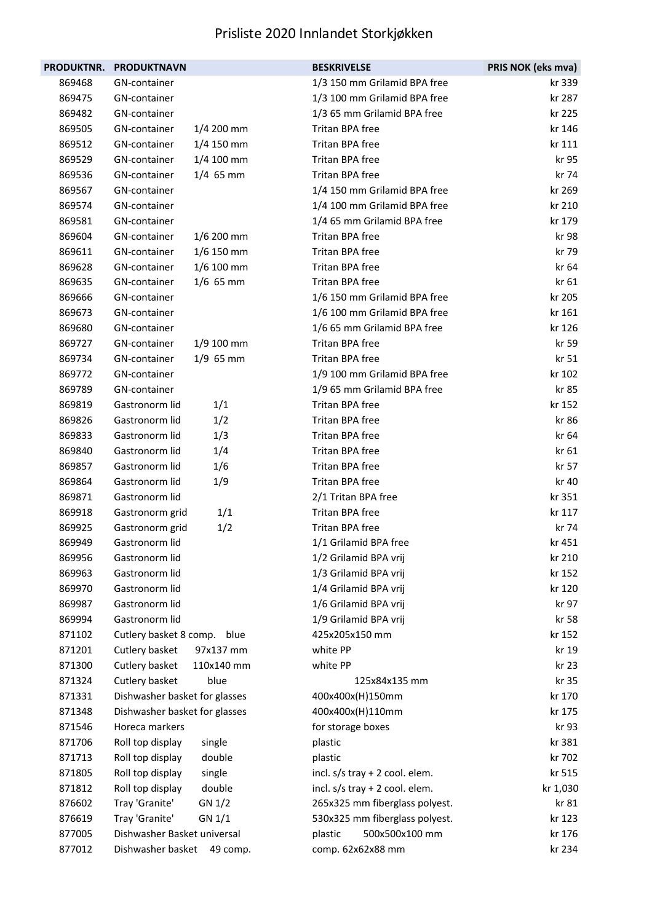| <b>PRODUKTNR.</b> | <b>PRODUKTNAVN</b>             | <b>BESKRIVELSE</b>               | PRIS NOK (eks mva) |
|-------------------|--------------------------------|----------------------------------|--------------------|
| 869468            | GN-container                   | 1/3 150 mm Grilamid BPA free     | kr 339             |
| 869475            | GN-container                   | 1/3 100 mm Grilamid BPA free     | kr 287             |
| 869482            | GN-container                   | 1/3 65 mm Grilamid BPA free      | kr 225             |
| 869505            | GN-container<br>$1/4$ 200 mm   | Tritan BPA free                  | kr 146             |
| 869512            | GN-container<br>1/4 150 mm     | Tritan BPA free                  | kr 111             |
| 869529            | GN-container<br>$1/4$ 100 mm   | Tritan BPA free                  | kr 95              |
| 869536            | $1/4$ 65 mm<br>GN-container    | Tritan BPA free                  | kr 74              |
| 869567            | GN-container                   | 1/4 150 mm Grilamid BPA free     | kr 269             |
| 869574            | GN-container                   | 1/4 100 mm Grilamid BPA free     | kr 210             |
| 869581            | GN-container                   | 1/4 65 mm Grilamid BPA free      | kr 179             |
| 869604            | GN-container<br>1/6 200 mm     | Tritan BPA free                  | kr 98              |
| 869611            | $1/6$ 150 mm<br>GN-container   | Tritan BPA free                  | kr 79              |
| 869628            | $1/6$ 100 mm<br>GN-container   | Tritan BPA free                  | kr 64              |
| 869635            | GN-container<br>$1/6$ 65 mm    | Tritan BPA free                  | kr 61              |
| 869666            | GN-container                   | 1/6 150 mm Grilamid BPA free     | kr 205             |
| 869673            | GN-container                   | 1/6 100 mm Grilamid BPA free     | kr 161             |
| 869680            | GN-container                   | 1/6 65 mm Grilamid BPA free      | kr 126             |
| 869727            | GN-container<br>$1/9$ 100 mm   | Tritan BPA free                  | kr 59              |
| 869734            | $1/9$ 65 mm<br>GN-container    | Tritan BPA free                  | kr 51              |
| 869772            | GN-container                   | 1/9 100 mm Grilamid BPA free     | kr 102             |
| 869789            | GN-container                   | 1/9 65 mm Grilamid BPA free      | kr 85              |
| 869819            | Gastronorm lid<br>1/1          | Tritan BPA free                  | kr 152             |
| 869826            | Gastronorm lid<br>1/2          | Tritan BPA free                  | kr 86              |
| 869833            | Gastronorm lid<br>1/3          | Tritan BPA free                  | kr 64              |
| 869840            | 1/4<br>Gastronorm lid          | Tritan BPA free                  | kr 61              |
| 869857            | Gastronorm lid<br>1/6          | Tritan BPA free                  | kr 57              |
| 869864            | Gastronorm lid<br>1/9          | Tritan BPA free                  | kr 40              |
| 869871            | Gastronorm lid                 | 2/1 Tritan BPA free              | kr 351             |
| 869918            | Gastronorm grid<br>1/1         | Tritan BPA free                  | kr 117             |
| 869925            | 1/2<br>Gastronorm grid         | Tritan BPA free                  | kr 74              |
| 869949            | Gastronorm lid                 | 1/1 Grilamid BPA free            | kr 451             |
| 869956            | Gastronorm lid                 | 1/2 Grilamid BPA vrij            | kr 210             |
| 869963            | Gastronorm lid                 | 1/3 Grilamid BPA vrij            | kr 152             |
| 869970            | Gastronorm lid                 | 1/4 Grilamid BPA vrij            | kr 120             |
| 869987            | Gastronorm lid                 | 1/6 Grilamid BPA vrij            | kr 97              |
| 869994            | Gastronorm lid                 | 1/9 Grilamid BPA vrij            | kr 58              |
| 871102            | Cutlery basket 8 comp.<br>blue | 425x205x150 mm                   | kr 152             |
| 871201            | Cutlery basket<br>97x137 mm    | white PP                         | kr 19              |
| 871300            | Cutlery basket<br>110x140 mm   | white PP                         | kr 23              |
| 871324            | Cutlery basket<br>blue         | 125x84x135 mm                    | kr 35              |
| 871331            | Dishwasher basket for glasses  | 400x400x(H)150mm                 | kr 170             |
| 871348            | Dishwasher basket for glasses  | 400x400x(H)110mm                 | kr 175             |
| 871546            | Horeca markers                 | for storage boxes                | kr 93              |
| 871706            | Roll top display<br>single     | plastic                          | kr 381             |
| 871713            | Roll top display<br>double     | plastic                          | kr 702             |
| 871805            | Roll top display<br>single     | incl. s/s tray + 2 cool. elem.   | kr 515             |
| 871812            | double<br>Roll top display     | incl. $s/s$ tray + 2 cool. elem. | kr 1,030           |
| 876602            | Tray 'Granite'<br>GN 1/2       | 265x325 mm fiberglass polyest.   | kr 81              |
| 876619            | Tray 'Granite'<br>GN 1/1       | 530x325 mm fiberglass polyest.   | kr 123             |
| 877005            | Dishwasher Basket universal    | 500x500x100 mm<br>plastic        | kr 176             |
| 877012            | Dishwasher basket<br>49 comp.  | comp. 62x62x88 mm                | kr 234             |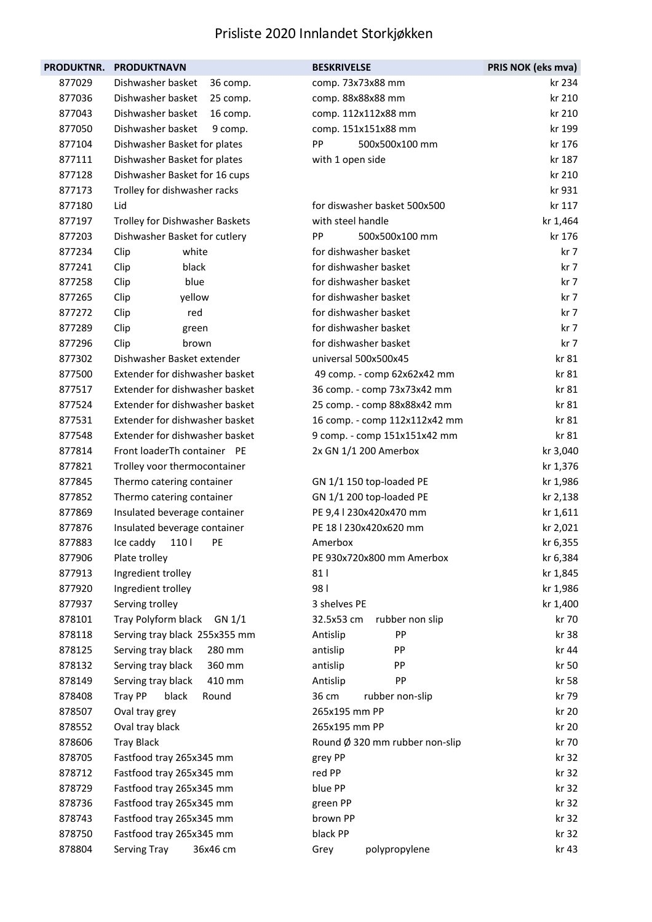| <b>PRODUKTNR.</b> | <b>PRODUKTNAVN</b>             | <b>BESKRIVELSE</b>             | PRIS NOK (eks mva) |
|-------------------|--------------------------------|--------------------------------|--------------------|
| 877029            | Dishwasher basket<br>36 comp.  | comp. 73x73x88 mm              | kr 234             |
| 877036            | Dishwasher basket<br>25 comp.  | comp. 88x88x88 mm              | kr 210             |
| 877043            | Dishwasher basket<br>16 comp.  | comp. 112x112x88 mm            | kr 210             |
| 877050            | Dishwasher basket<br>9 comp.   | comp. 151x151x88 mm            | kr 199             |
| 877104            | Dishwasher Basket for plates   | PP<br>500x500x100 mm           | kr 176             |
| 877111            | Dishwasher Basket for plates   | with 1 open side               | kr 187             |
| 877128            | Dishwasher Basket for 16 cups  |                                | kr 210             |
| 877173            | Trolley for dishwasher racks   |                                | kr 931             |
| 877180            | Lid                            | for diswasher basket 500x500   | kr 117             |
| 877197            | Trolley for Dishwasher Baskets | with steel handle              | kr 1,464           |
| 877203            | Dishwasher Basket for cutlery  | PP<br>500x500x100 mm           | kr 176             |
| 877234            | Clip<br>white                  | for dishwasher basket          | kr 7               |
| 877241            | black<br>Clip                  | for dishwasher basket          | kr 7               |
| 877258            | blue<br>Clip                   | for dishwasher basket          | kr 7               |
| 877265            | yellow<br>Clip                 | for dishwasher basket          | kr 7               |
| 877272            | Clip<br>red                    | for dishwasher basket          | kr 7               |
| 877289            | Clip<br>green                  | for dishwasher basket          | kr 7               |
| 877296            | Clip<br>brown                  | for dishwasher basket          | kr 7               |
| 877302            | Dishwasher Basket extender     | universal 500x500x45           | kr 81              |
| 877500            | Extender for dishwasher basket | 49 comp. - comp 62x62x42 mm    | kr 81              |
| 877517            | Extender for dishwasher basket | 36 comp. - comp 73x73x42 mm    | kr 81              |
| 877524            | Extender for dishwasher basket | 25 comp. - comp 88x88x42 mm    | kr 81              |
| 877531            | Extender for dishwasher basket | 16 comp. - comp 112x112x42 mm  | kr 81              |
| 877548            | Extender for dishwasher basket | 9 comp. - comp 151x151x42 mm   | kr 81              |
| 877814            | Front loaderTh container PE    | 2x GN 1/1 200 Amerbox          | kr 3,040           |
| 877821            | Trolley voor thermocontainer   |                                | kr 1,376           |
| 877845            | Thermo catering container      | GN 1/1 150 top-loaded PE       | kr 1,986           |
| 877852            | Thermo catering container      | GN 1/1 200 top-loaded PE       | kr 2,138           |
| 877869            | Insulated beverage container   | PE 9,4   230x420x470 mm        | kr 1,611           |
| 877876            | Insulated beverage container   | PE 18   230x420x620 mm         | kr 2,021           |
| 877883            | 110<br>PE<br>Ice caddy         | Amerbox                        | kr 6,355           |
| 877906            | Plate trolley                  | PE 930x720x800 mm Amerbox      | kr 6,384           |
| 877913            | Ingredient trolley             | 81                             | kr 1,845           |
| 877920            | Ingredient trolley             | 981                            | kr 1,986           |
| 877937            | Serving trolley                | 3 shelves PE                   | kr 1,400           |
| 878101            | Tray Polyform black<br>GN 1/1  | 32.5x53 cm<br>rubber non slip  | kr 70              |
| 878118            | Serving tray black 255x355 mm  | PP<br>Antislip                 | kr 38              |
| 878125            | 280 mm<br>Serving tray black   | PP<br>antislip                 | kr 44              |
| 878132            | Serving tray black<br>360 mm   | PP<br>antislip                 | kr 50              |
| 878149            | Serving tray black<br>410 mm   | PP<br>Antislip                 | kr 58              |
| 878408            | Tray PP<br>black<br>Round      | 36 cm<br>rubber non-slip       | kr 79              |
| 878507            | Oval tray grey                 | 265x195 mm PP                  | kr 20              |
| 878552            | Oval tray black                | 265x195 mm PP                  | kr 20              |
| 878606            | <b>Tray Black</b>              | Round Ø 320 mm rubber non-slip | kr 70              |
| 878705            | Fastfood tray 265x345 mm       | grey PP                        | kr 32              |
| 878712            | Fastfood tray 265x345 mm       | red PP                         | kr 32              |
| 878729            | Fastfood tray 265x345 mm       | blue PP                        | kr 32              |
| 878736            | Fastfood tray 265x345 mm       | green PP                       | kr 32              |
| 878743            | Fastfood tray 265x345 mm       | brown PP                       | kr 32              |
| 878750            | Fastfood tray 265x345 mm       | black PP                       | kr 32              |
| 878804            | 36x46 cm<br>Serving Tray       | polypropylene<br>Grey          | kr 43              |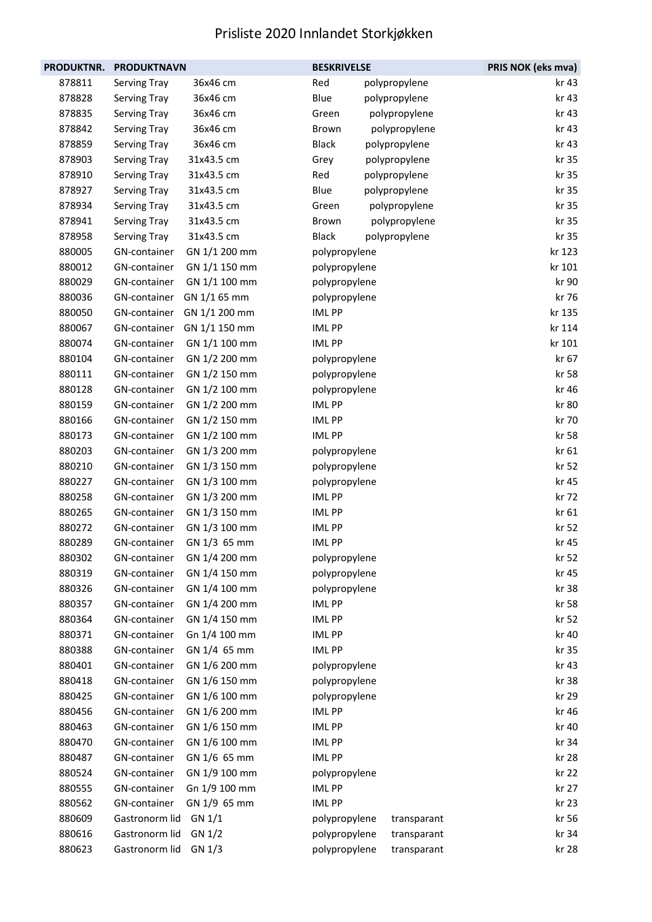| PRODUKTNR. | <b>PRODUKTNAVN</b> |               | <b>BESKRIVELSE</b> |  | PRIS NOK (eks mva) |        |
|------------|--------------------|---------------|--------------------|--|--------------------|--------|
| 878811     | Serving Tray       | 36x46 cm      | Red                |  | polypropylene      | kr 43  |
| 878828     | Serving Tray       | 36x46 cm      | Blue               |  | polypropylene      | kr 43  |
| 878835     | Serving Tray       | 36x46 cm      | Green              |  | polypropylene      | kr 43  |
| 878842     | Serving Tray       | 36x46 cm      | Brown              |  | polypropylene      | kr 43  |
| 878859     | Serving Tray       | 36x46 cm      | <b>Black</b>       |  | polypropylene      | kr 43  |
| 878903     | Serving Tray       | 31x43.5 cm    | Grey               |  | polypropylene      | kr 35  |
| 878910     | Serving Tray       | 31x43.5 cm    | Red                |  | polypropylene      | kr 35  |
| 878927     | Serving Tray       | 31x43.5 cm    | Blue               |  | polypropylene      | kr 35  |
| 878934     | Serving Tray       | 31x43.5 cm    | Green              |  | polypropylene      | kr 35  |
| 878941     | Serving Tray       | 31x43.5 cm    | Brown              |  | polypropylene      | kr 35  |
| 878958     | Serving Tray       | 31x43.5 cm    | <b>Black</b>       |  | polypropylene      | kr 35  |
| 880005     | GN-container       | GN 1/1 200 mm | polypropylene      |  |                    | kr 123 |
| 880012     | GN-container       | GN 1/1 150 mm | polypropylene      |  |                    | kr 101 |
| 880029     | GN-container       | GN 1/1 100 mm | polypropylene      |  |                    | kr 90  |
| 880036     | GN-container       | GN 1/1 65 mm  | polypropylene      |  |                    | kr 76  |
| 880050     | GN-container       | GN 1/1 200 mm | <b>IMLPP</b>       |  |                    | kr 135 |
| 880067     | GN-container       | GN 1/1 150 mm | <b>IMLPP</b>       |  |                    | kr 114 |
| 880074     | GN-container       | GN 1/1 100 mm | <b>IMLPP</b>       |  |                    | kr 101 |
| 880104     | GN-container       | GN 1/2 200 mm | polypropylene      |  |                    | kr 67  |
| 880111     | GN-container       | GN 1/2 150 mm | polypropylene      |  |                    | kr 58  |
| 880128     | GN-container       | GN 1/2 100 mm | polypropylene      |  |                    | kr 46  |
| 880159     | GN-container       | GN 1/2 200 mm | <b>IMLPP</b>       |  |                    | kr 80  |
| 880166     | GN-container       | GN 1/2 150 mm | <b>IMLPP</b>       |  |                    | kr 70  |
| 880173     | GN-container       | GN 1/2 100 mm | <b>IMLPP</b>       |  |                    | kr 58  |
| 880203     | GN-container       | GN 1/3 200 mm | polypropylene      |  |                    | kr 61  |
| 880210     | GN-container       | GN 1/3 150 mm | polypropylene      |  |                    | kr 52  |
| 880227     | GN-container       | GN 1/3 100 mm | polypropylene      |  |                    | kr 45  |
| 880258     | GN-container       | GN 1/3 200 mm | <b>IMLPP</b>       |  |                    | kr 72  |
| 880265     | GN-container       | GN 1/3 150 mm | <b>IMLPP</b>       |  |                    | kr 61  |
| 880272     | GN-container       | GN 1/3 100 mm | <b>IMLPP</b>       |  |                    | kr 52  |
| 880289     | GN-container       | GN 1/3 65 mm  | <b>IMLPP</b>       |  |                    | kr 45  |
| 880302     | GN-container       | GN 1/4 200 mm | polypropylene      |  |                    | kr 52  |
| 880319     | GN-container       | GN 1/4 150 mm | polypropylene      |  |                    | kr 45  |
| 880326     | GN-container       | GN 1/4 100 mm | polypropylene      |  |                    | kr 38  |
| 880357     | GN-container       | GN 1/4 200 mm | <b>IMLPP</b>       |  |                    | kr 58  |
| 880364     | GN-container       | GN 1/4 150 mm | IML PP             |  |                    | kr 52  |
| 880371     | GN-container       | Gn 1/4 100 mm | <b>IMLPP</b>       |  |                    | kr 40  |
| 880388     | GN-container       | GN 1/4 65 mm  | <b>IMLPP</b>       |  |                    | kr 35  |
| 880401     | GN-container       | GN 1/6 200 mm | polypropylene      |  |                    | kr 43  |
| 880418     | GN-container       | GN 1/6 150 mm | polypropylene      |  |                    | kr 38  |
| 880425     | GN-container       | GN 1/6 100 mm | polypropylene      |  |                    | kr 29  |
| 880456     | GN-container       | GN 1/6 200 mm | <b>IMLPP</b>       |  |                    | kr 46  |
| 880463     | GN-container       | GN 1/6 150 mm | <b>IMLPP</b>       |  |                    | kr 40  |
| 880470     | GN-container       | GN 1/6 100 mm | <b>IMLPP</b>       |  |                    | kr 34  |
| 880487     | GN-container       | GN 1/6 65 mm  | <b>IMLPP</b>       |  |                    | kr 28  |
| 880524     | GN-container       | GN 1/9 100 mm | polypropylene      |  |                    | kr 22  |
| 880555     | GN-container       | Gn 1/9 100 mm | <b>IMLPP</b>       |  |                    | kr 27  |
| 880562     | GN-container       | GN 1/9 65 mm  | <b>IMLPP</b>       |  |                    | kr 23  |
| 880609     | Gastronorm lid     | GN 1/1        | polypropylene      |  | transparant        | kr 56  |
| 880616     | Gastronorm lid     | GN 1/2        | polypropylene      |  | transparant        | kr 34  |
| 880623     | Gastronorm lid     | GN 1/3        | polypropylene      |  | transparant        | kr 28  |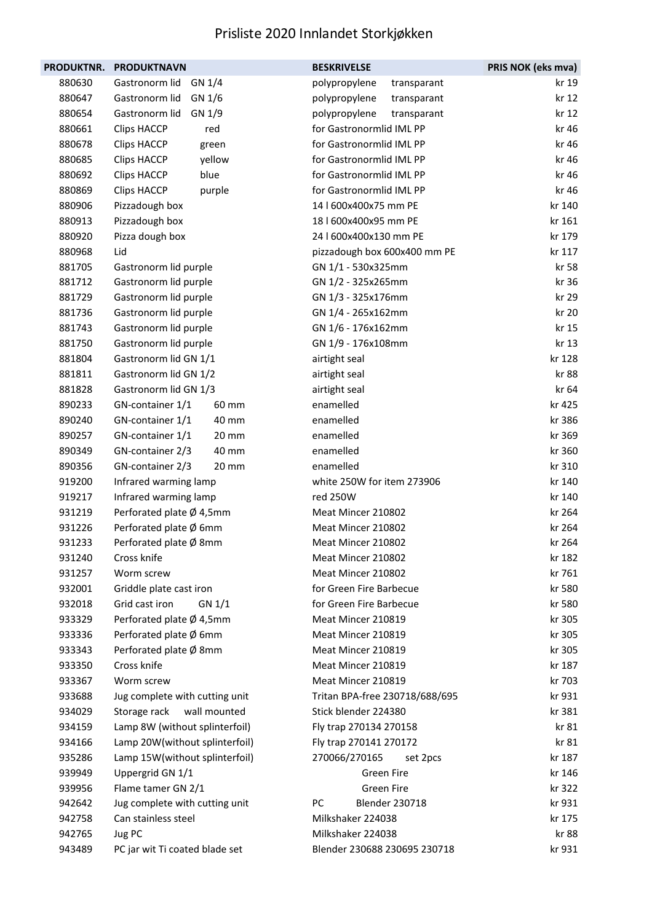| PRODUKTNR. | <b>PRODUKTNAVN</b>             | <b>BESKRIVELSE</b>             | PRIS NOK (eks mva) |
|------------|--------------------------------|--------------------------------|--------------------|
| 880630     | Gastronorm lid<br>GN 1/4       | polypropylene<br>transparant   | kr 19              |
| 880647     | Gastronorm lid<br>GN 1/6       | polypropylene<br>transparant   | kr 12              |
| 880654     | Gastronorm lid<br>GN 1/9       | polypropylene<br>transparant   | kr 12              |
| 880661     | <b>Clips HACCP</b><br>red      | for Gastronormlid IML PP       | kr 46              |
| 880678     | <b>Clips HACCP</b><br>green    | for Gastronormlid IML PP       | kr 46              |
| 880685     | <b>Clips HACCP</b><br>yellow   | for Gastronormlid IML PP       | kr 46              |
| 880692     | <b>Clips HACCP</b><br>blue     | for Gastronormlid IML PP       | kr 46              |
| 880869     | <b>Clips HACCP</b><br>purple   | for Gastronormlid IML PP       | kr 46              |
| 880906     | Pizzadough box                 | 14   600x400x75 mm PE          | kr 140             |
| 880913     | Pizzadough box                 | 18   600x400x95 mm PE          | kr 161             |
| 880920     | Pizza dough box                | 24   600x400x130 mm PE         | kr 179             |
| 880968     | Lid                            | pizzadough box 600x400 mm PE   | kr 117             |
| 881705     | Gastronorm lid purple          | GN 1/1 - 530x325mm             | kr 58              |
| 881712     | Gastronorm lid purple          | GN 1/2 - 325x265mm             | kr 36              |
| 881729     | Gastronorm lid purple          | GN 1/3 - 325x176mm             | kr 29              |
| 881736     | Gastronorm lid purple          | GN 1/4 - 265x162mm             | kr 20              |
| 881743     | Gastronorm lid purple          | GN 1/6 - 176x162mm             | kr 15              |
| 881750     | Gastronorm lid purple          | GN 1/9 - 176x108mm             | kr 13              |
| 881804     | Gastronorm lid GN 1/1          | airtight seal                  | kr 128             |
| 881811     | Gastronorm lid GN 1/2          | airtight seal                  | kr 88              |
| 881828     | Gastronorm lid GN 1/3          | airtight seal                  | kr 64              |
| 890233     | GN-container 1/1<br>60 mm      | enamelled                      | kr 425             |
| 890240     | GN-container 1/1<br>40 mm      | enamelled                      | kr 386             |
| 890257     | GN-container 1/1<br>20 mm      | enamelled                      | kr 369             |
| 890349     | GN-container 2/3<br>40 mm      | enamelled                      | kr 360             |
| 890356     | GN-container 2/3<br>20 mm      | enamelled                      | kr 310             |
| 919200     | Infrared warming lamp          | white 250W for item 273906     | kr 140             |
| 919217     | Infrared warming lamp          | red 250W                       | kr 140             |
| 931219     | Perforated plate Ø 4,5mm       | Meat Mincer 210802             | kr 264             |
| 931226     | Perforated plate Ø 6mm         | Meat Mincer 210802             | kr 264             |
| 931233     | Perforated plate Ø 8mm         | Meat Mincer 210802             | kr 264             |
| 931240     | Cross knife                    | Meat Mincer 210802             | kr 182             |
| 931257     | Worm screw                     | Meat Mincer 210802             | kr 761             |
| 932001     | Griddle plate cast iron        | for Green Fire Barbecue        | kr 580             |
| 932018     | Grid cast iron<br>GN 1/1       | for Green Fire Barbecue        | kr 580             |
| 933329     | Perforated plate Ø 4,5mm       | Meat Mincer 210819             | kr 305             |
| 933336     | Perforated plate Ø 6mm         | Meat Mincer 210819             | kr 305             |
| 933343     | Perforated plate Ø 8mm         | Meat Mincer 210819             | kr 305             |
| 933350     | Cross knife                    | Meat Mincer 210819             | kr 187             |
| 933367     | Worm screw                     | Meat Mincer 210819             | kr 703             |
| 933688     | Jug complete with cutting unit | Tritan BPA-free 230718/688/695 | kr 931             |
| 934029     | Storage rack<br>wall mounted   | Stick blender 224380           | kr 381             |
| 934159     | Lamp 8W (without splinterfoil) | Fly trap 270134 270158         | kr 81              |
| 934166     | Lamp 20W(without splinterfoil) | Fly trap 270141 270172         | kr 81              |
| 935286     | Lamp 15W(without splinterfoil) | 270066/270165<br>set 2pcs      | kr 187             |
| 939949     | Uppergrid GN 1/1               | Green Fire                     | kr 146             |
| 939956     | Flame tamer GN 2/1             | Green Fire                     | kr 322             |
| 942642     | Jug complete with cutting unit | PC<br><b>Blender 230718</b>    | kr 931             |
| 942758     | Can stainless steel            | Milkshaker 224038              | kr 175             |
| 942765     | Jug PC                         | Milkshaker 224038              | kr 88              |
| 943489     | PC jar wit Ti coated blade set | Blender 230688 230695 230718   | kr 931             |